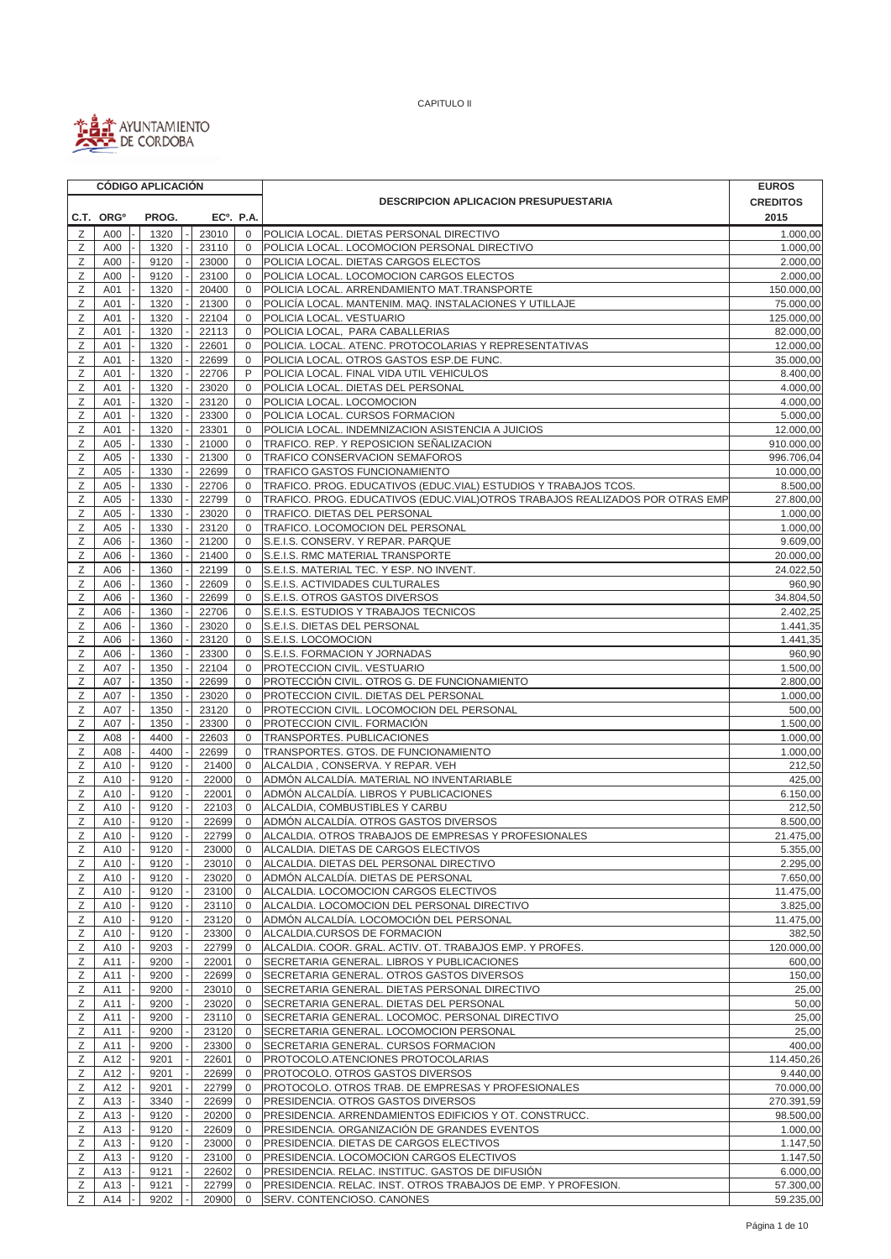

|        |                       |  | <b>CÓDIGO APLICACIÓN</b> |  |                        |                                              |                                                                              | <b>EUROS</b>            |
|--------|-----------------------|--|--------------------------|--|------------------------|----------------------------------------------|------------------------------------------------------------------------------|-------------------------|
|        |                       |  |                          |  |                        | <b>DESCRIPCION APLICACION PRESUPUESTARIA</b> | <b>CREDITOS</b>                                                              |                         |
|        | C.T. ORG <sup>o</sup> |  | PROG.                    |  | EC <sup>o</sup> . P.A. |                                              |                                                                              | 2015                    |
| Ζ      | A00                   |  | 1320                     |  | 23010                  | $\mathbf 0$                                  | POLICIA LOCAL. DIETAS PERSONAL DIRECTIVO                                     | 1.000,00                |
| Z      | A00                   |  | 1320                     |  | 23110                  | $\mathbf 0$                                  | POLICIA LOCAL. LOCOMOCION PERSONAL DIRECTIVO                                 | 1.000,00                |
| Ζ      | A00                   |  | 9120                     |  | 23000                  | $\mathbf{0}$                                 | POLICIA LOCAL. DIETAS CARGOS ELECTOS                                         | 2.000,00                |
| Ζ      | A00                   |  | 9120                     |  | 23100                  | 0                                            | POLICIA LOCAL. LOCOMOCION CARGOS ELECTOS                                     | 2.000,00                |
| Ζ      | A01                   |  | 1320                     |  | 20400                  | $\mathbf 0$                                  | POLICIA LOCAL. ARRENDAMIENTO MAT.TRANSPORTE                                  | 150.000,00              |
| Ζ<br>Ζ | A01                   |  | 1320                     |  | 21300                  | $\mathbf 0$<br>$\mathbf 0$                   | POLICÍA LOCAL. MANTENIM. MAQ. INSTALACIONES Y UTILLAJE                       | 75.000,00               |
| Ζ      | A01<br>A01            |  | 1320<br>1320             |  | 22104<br>22113         | $\mathbf 0$                                  | POLICIA LOCAL. VESTUARIO<br>POLICIA LOCAL, PARA CABALLERIAS                  | 125.000,00<br>82.000,00 |
| Z      | A01                   |  | 1320                     |  | 22601                  | $\mathbf 0$                                  | POLICIA. LOCAL. ATENC. PROTOCOLARIAS Y REPRESENTATIVAS                       | 12.000,00               |
| Ζ      | A01                   |  | 1320                     |  | 22699                  | $\mathbf 0$                                  | POLICIA LOCAL. OTROS GASTOS ESP.DE FUNC.                                     | 35.000,00               |
| Z      | A01                   |  | 1320                     |  | 22706                  | P                                            | POLICIA LOCAL. FINAL VIDA UTIL VEHICULOS                                     | 8.400,00                |
| Ζ      | A01                   |  | 1320                     |  | 23020                  | $\mathbf 0$                                  | POLICIA LOCAL. DIETAS DEL PERSONAL                                           | 4.000,00                |
| Ζ      | A01                   |  | 1320                     |  | 23120                  | $\mathbf 0$                                  | POLICIA LOCAL. LOCOMOCION                                                    | 4.000,00                |
| Ζ      | A01                   |  | 1320                     |  | 23300                  | $\mathbf{0}$                                 | POLICIA LOCAL. CURSOS FORMACION                                              | 5.000,00                |
| Ζ      | A01                   |  | 1320                     |  | 23301                  | $\mathbf 0$                                  | POLICIA LOCAL. INDEMNIZACION ASISTENCIA A JUICIOS                            | 12.000,00               |
| Z      | A05                   |  | 1330                     |  | 21000                  | $\mathbf 0$                                  | TRAFICO. REP. Y REPOSICION SEÑALIZACION                                      | 910.000,00              |
| Ζ      | A05                   |  | 1330                     |  | 21300                  | $\mathbf 0$                                  | TRAFICO CONSERVACION SEMAFOROS                                               | 996.706,04              |
| Ζ      | A05                   |  | 1330                     |  | 22699                  | 0                                            | TRAFICO GASTOS FUNCIONAMIENTO                                                | 10.000,00               |
| Ζ      | A05                   |  | 1330                     |  | 22706                  | 0                                            | TRAFICO. PROG. EDUCATIVOS (EDUC.VIAL) ESTUDIOS Y TRABAJOS TCOS.              | 8.500,00                |
| Ζ      | A05                   |  | 1330                     |  | 22799                  | 0                                            | TRAFICO. PROG. EDUCATIVOS (EDUC.VIAL)OTROS TRABAJOS REALIZADOS POR OTRAS EMP | 27.800,00               |
| Ζ      | A05                   |  | 1330                     |  | 23020                  | $\mathbf 0$                                  | TRAFICO. DIETAS DEL PERSONAL                                                 | 1.000,00                |
| Ζ      | A05                   |  | 1330                     |  | 23120                  | $\mathbf 0$                                  | TRAFICO. LOCOMOCION DEL PERSONAL<br>S.E.I.S. CONSERV. Y REPAR. PARQUE        | 1.000,00                |
| Ζ<br>Ζ | A06<br>A06            |  | 1360<br>1360             |  | 21200<br>21400         | $\mathbf 0$<br>0                             | S.E.I.S. RMC MATERIAL TRANSPORTE                                             | 9.609,00<br>20.000,00   |
| Ζ      | A06                   |  | 1360                     |  | 22199                  | 0                                            | S.E.I.S. MATERIAL TEC. Y ESP. NO INVENT.                                     | 24.022,50               |
| Ζ      | A06                   |  | 1360                     |  | 22609                  | $\mathbf 0$                                  | S.E.I.S. ACTIVIDADES CULTURALES                                              | 960,90                  |
| Ζ      | A06                   |  | 1360                     |  | 22699                  | $\mathbf 0$                                  | S.E.I.S. OTROS GASTOS DIVERSOS                                               | 34.804,50               |
| Ζ      | A06                   |  | 1360                     |  | 22706                  | $\mathbf 0$                                  | S.E.I.S. ESTUDIOS Y TRABAJOS TECNICOS                                        | 2.402,25                |
| Ζ      | A06                   |  | 1360                     |  | 23020                  | 0                                            | S.E.I.S. DIETAS DEL PERSONAL                                                 | 1.441,35                |
| Z      | A06                   |  | 1360                     |  | 23120                  | $\mathbf 0$                                  | S.E.I.S. LOCOMOCION                                                          | 1.441,35                |
| Ζ      | A06                   |  | 1360                     |  | 23300                  | 0                                            | S.E.I.S. FORMACION Y JORNADAS                                                | 960,90                  |
| Ζ      | A07                   |  | 1350                     |  | 22104                  | $\mathbf 0$                                  | PROTECCION CIVIL. VESTUARIO                                                  | 1.500,00                |
| Ζ      | A07                   |  | 1350                     |  | 22699                  | 0                                            | PROTECCIÓN CIVIL. OTROS G. DE FUNCIONAMIENTO                                 | 2.800,00                |
| Ζ      | A07                   |  | 1350                     |  | 23020                  | $\mathbf{0}$                                 | PROTECCION CIVIL. DIETAS DEL PERSONAL                                        | 1.000,00                |
| Ζ      | A07                   |  | 1350                     |  | 23120                  | $\mathbf 0$                                  | PROTECCION CIVIL. LOCOMOCION DEL PERSONAL                                    | 500,00                  |
| Ζ      | A07                   |  | 1350                     |  | 23300                  | 0                                            | PROTECCION CIVIL. FORMACIÓN                                                  | 1.500,00                |
| Ζ      | A08                   |  | 4400                     |  | 22603                  | $\mathbf 0$                                  | TRANSPORTES. PUBLICACIONES                                                   | 1.000,00                |
| Ζ      | A08                   |  | 4400                     |  | 22699                  | $\mathbf 0$                                  | TRANSPORTES. GTOS. DE FUNCIONAMIENTO                                         | 1.000,00                |
| Ζ      | A10                   |  | 9120                     |  | 21400                  | $\mathbf{0}$                                 | ALCALDIA, CONSERVA. Y REPAR. VEH                                             | 212,50                  |
| Ζ      | A10                   |  | 9120                     |  | 22000                  | 0                                            | ADMÓN ALCALDÍA. MATERIAL NO INVENTARIABLE                                    | 425,00                  |
| Ζ<br>Ζ | A10<br>A10            |  | 9120<br>9120             |  | 22001<br>22103         | $\mathbf 0$<br>$\mathbf 0$                   | ADMÓN ALCALDÍA. LIBROS Y PUBLICACIONES<br>ALCALDIA, COMBUSTIBLES Y CARBU     | 6.150,00<br>212,50      |
| Z      | A10                   |  | 9120                     |  | 22699                  | $\mathbf{0}$                                 | ADMÓN ALCALDÍA. OTROS GASTOS DIVERSOS                                        | 8.500,00                |
| Ζ      | A10                   |  | 9120                     |  | 22799                  | $\mathbf 0$                                  | ALCALDIA. OTROS TRABAJOS DE EMPRESAS Y PROFESIONALES                         | 21.475,00               |
| Ζ      | A10                   |  | 9120                     |  | 23000                  | $\mathsf 0$                                  | ALCALDIA. DIETAS DE CARGOS ELECTIVOS                                         | 5.355,00                |
| Ζ      | A10                   |  | 9120                     |  | 23010                  | $\mathbf{0}$                                 | ALCALDIA. DIETAS DEL PERSONAL DIRECTIVO                                      | 2.295,00                |
| Ζ      | A10                   |  | 9120                     |  | 23020                  | $\mathbf 0$                                  | ADMÓN ALCALDÍA. DIETAS DE PERSONAL                                           | 7.650,00                |
| Ζ      | A10                   |  | 9120                     |  | 23100                  | $\mathbf 0$                                  | ALCALDIA. LOCOMOCION CARGOS ELECTIVOS                                        | 11.475,00               |
| Ζ      | A10                   |  | 9120                     |  | 23110                  | 0                                            | ALCALDIA. LOCOMOCION DEL PERSONAL DIRECTIVO                                  | 3.825,00                |
| Ζ      | A10                   |  | 9120                     |  | 23120                  | $\mathbf 0$                                  | ADMÓN ALCALDÍA. LOCOMOCIÓN DEL PERSONAL                                      | 11.475,00               |
| Ζ      | A10                   |  | 9120                     |  | 23300                  | $\mathbf{0}$                                 | ALCALDIA.CURSOS DE FORMACION                                                 | 382,50                  |
| Ζ      | A10                   |  | 9203                     |  | 22799                  | $\mathbf 0$                                  | ALCALDIA. COOR. GRAL. ACTIV. OT. TRABAJOS EMP. Y PROFES.                     | 120.000,00              |
| Ζ      | A11                   |  | 9200                     |  | 22001                  | $\mathbf{0}$                                 | SECRETARIA GENERAL. LIBROS Y PUBLICACIONES                                   | 600,00                  |
| Ζ      | A11                   |  | 9200                     |  | 22699                  | $\mathbf{0}$                                 | SECRETARIA GENERAL. OTROS GASTOS DIVERSOS                                    | 150,00                  |
| Ζ      | A11                   |  | 9200                     |  | 23010                  | $\mathbf{0}$                                 | SECRETARIA GENERAL. DIETAS PERSONAL DIRECTIVO                                | 25,00                   |
| Ζ      | A11                   |  | 9200                     |  | 23020                  | 0                                            | SECRETARIA GENERAL. DIETAS DEL PERSONAL                                      | 50,00                   |
| Ζ      | A11                   |  | 9200                     |  | 23110                  | 0                                            | SECRETARIA GENERAL. LOCOMOC. PERSONAL DIRECTIVO                              | 25,00                   |
| Ζ      | A11                   |  | 9200                     |  | 23120                  | 0                                            | SECRETARIA GENERAL. LOCOMOCION PERSONAL                                      | 25,00                   |
| Ζ<br>Ζ | A11<br>A12            |  | 9200<br>9201             |  | 23300<br>22601         | 0<br>$\mathbf{0}$                            | SECRETARIA GENERAL. CURSOS FORMACION<br>PROTOCOLO.ATENCIONES PROTOCOLARIAS   | 400,00<br>114.450,26    |
| Ζ      | A12                   |  | 9201                     |  | 22699                  | $\mathbf 0$                                  | PROTOCOLO. OTROS GASTOS DIVERSOS                                             | 9.440,00                |
| Ζ      | A12                   |  | 9201                     |  | 22799                  | $\mathbf{0}$                                 | PROTOCOLO. OTROS TRAB. DE EMPRESAS Y PROFESIONALES                           | 70.000,00               |
| Ζ      | A13                   |  | 3340                     |  | 22699                  | $\mathbf 0$                                  | PRESIDENCIA. OTROS GASTOS DIVERSOS                                           | 270.391,59              |
| Ζ      | A13                   |  | 9120                     |  | 20200                  | 0                                            | PRESIDENCIA. ARRENDAMIENTOS EDIFICIOS Y OT. CONSTRUCC.                       | 98.500,00               |
| Ζ      | A13                   |  | 9120                     |  | 22609                  | 0                                            | PRESIDENCIA. ORGANIZACIÓN DE GRANDES EVENTOS                                 | 1.000,00                |
| Ζ      | A13                   |  | 9120                     |  | 23000                  | $\mathbf 0$                                  | PRESIDENCIA. DIETAS DE CARGOS ELECTIVOS                                      | 1.147,50                |
| Ζ      | A13                   |  | 9120                     |  | 23100                  | $\mathbf{0}$                                 | PRESIDENCIA. LOCOMOCION CARGOS ELECTIVOS                                     | 1.147,50                |
| Ζ      | A13                   |  | 9121                     |  | 22602                  | $\mathbf 0$                                  | PRESIDENCIA. RELAC. INSTITUC. GASTOS DE DIFUSIÓN                             | 6.000,00                |
| Ζ      | A13                   |  | 9121                     |  | 22799                  | $\mathbf{0}$                                 | PRESIDENCIA. RELAC. INST. OTROS TRABAJOS DE EMP. Y PROFESION.                | 57.300,00               |
| Ζ      | A14                   |  | 9202                     |  | 20900                  | $\mathbf 0$                                  | SERV. CONTENCIOSO. CANONES                                                   | 59.235,00               |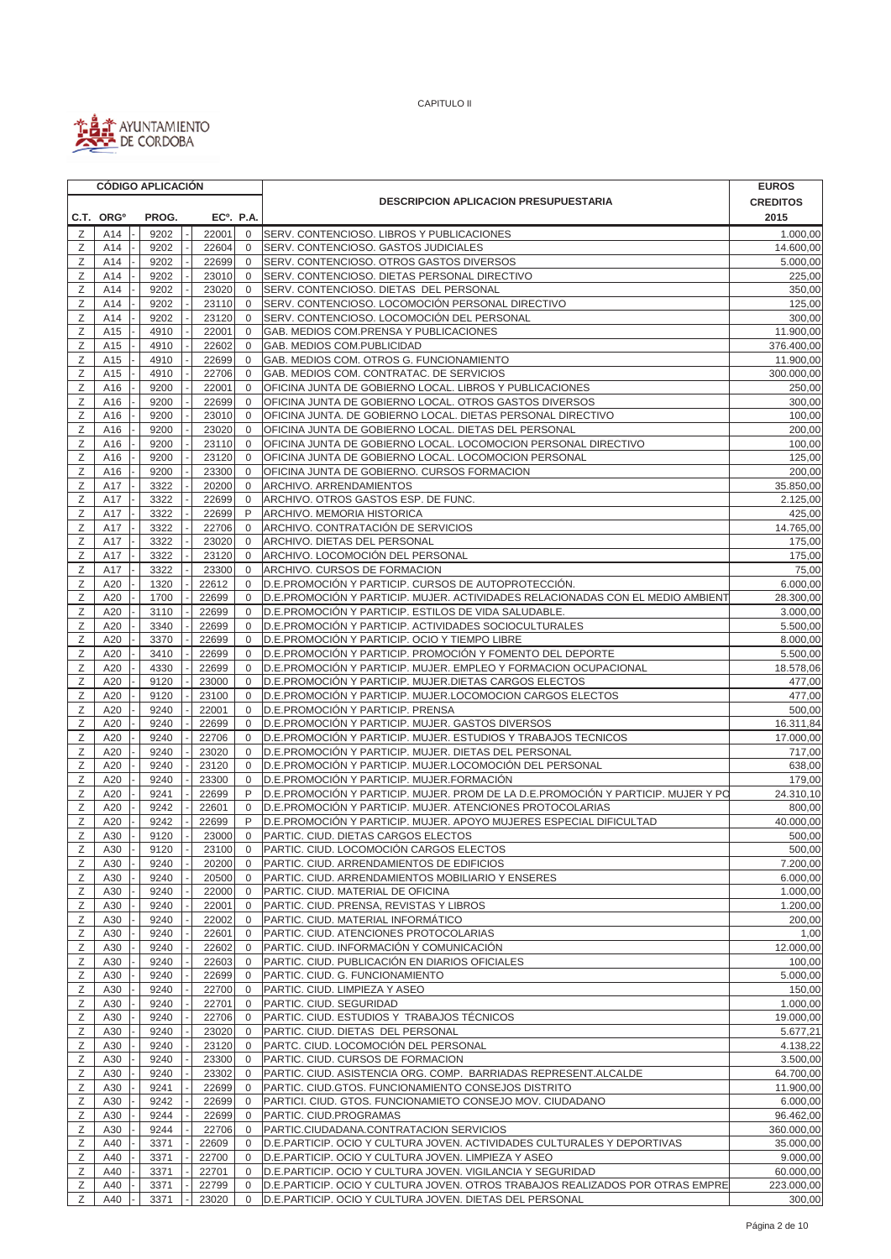

|        |                                                          |  | <b>CÓDIGO APLICACIÓN</b> |  |                |                            |                                                                                                                                             | <b>EUROS</b>          |
|--------|----------------------------------------------------------|--|--------------------------|--|----------------|----------------------------|---------------------------------------------------------------------------------------------------------------------------------------------|-----------------------|
|        |                                                          |  |                          |  |                |                            | <b>DESCRIPCION APLICACION PRESUPUESTARIA</b>                                                                                                | <b>CREDITOS</b>       |
|        | C.T. ORG <sup>o</sup><br>PROG.<br>EC <sup>o</sup> , P.A. |  |                          |  |                |                            |                                                                                                                                             | 2015                  |
| Ζ      | A14                                                      |  | 9202                     |  | 22001          | $\mathbf 0$                | SERV. CONTENCIOSO. LIBROS Y PUBLICACIONES                                                                                                   | 1.000,00              |
| Z      | A14                                                      |  | 9202                     |  | 22604          | $\mathbf 0$                | SERV. CONTENCIOSO. GASTOS JUDICIALES                                                                                                        | 14.600,00             |
| Ζ      | A14                                                      |  | 9202                     |  | 22699          | $\mathbf 0$                | SERV. CONTENCIOSO. OTROS GASTOS DIVERSOS                                                                                                    | 5.000,00              |
| Ζ      | A14                                                      |  | 9202                     |  | 23010          | $\mathbf 0$                | SERV. CONTENCIOSO. DIETAS PERSONAL DIRECTIVO                                                                                                | 225,00                |
| Ζ      | A14                                                      |  | 9202                     |  | 23020          | $\mathbf{0}$               | SERV. CONTENCIOSO. DIETAS DEL PERSONAL                                                                                                      | 350,00                |
| Ζ      | A14                                                      |  | 9202                     |  | 23110          | $\mathbf{0}$               | SERV. CONTENCIOSO. LOCOMOCIÓN PERSONAL DIRECTIVO                                                                                            | 125,00                |
| Ζ      | A14                                                      |  | 9202                     |  | 23120          | $\mathbf 0$                | SERV. CONTENCIOSO. LOCOMOCIÓN DEL PERSONAL                                                                                                  | 300,00                |
| Ζ      | A15                                                      |  | 4910                     |  | 22001          | $\mathbf{0}$               | GAB. MEDIOS COM.PRENSA Y PUBLICACIONES                                                                                                      | 11.900,00             |
| Ζ      | A15                                                      |  | 4910                     |  | 22602          | $\mathbf 0$                | GAB. MEDIOS COM.PUBLICIDAD                                                                                                                  | 376.400,00            |
| Ζ      | A15                                                      |  | 4910                     |  | 22699          | 0                          | GAB. MEDIOS COM. OTROS G. FUNCIONAMIENTO                                                                                                    | 11.900,00             |
| Ζ<br>Ζ | A15<br>A16                                               |  | 4910<br>9200             |  | 22706<br>22001 | $\mathbf 0$<br>$\mathbf 0$ | GAB. MEDIOS COM. CONTRATAC. DE SERVICIOS<br>OFICINA JUNTA DE GOBIERNO LOCAL. LIBROS Y PUBLICACIONES                                         | 300.000,00<br>250,00  |
| Ζ      | A16                                                      |  | 9200                     |  | 22699          | $\mathbf 0$                | OFICINA JUNTA DE GOBIERNO LOCAL. OTROS GASTOS DIVERSOS                                                                                      | 300,00                |
| Ζ      | A16                                                      |  | 9200                     |  | 23010          | $\mathbf 0$                | OFICINA JUNTA. DE GOBIERNO LOCAL. DIETAS PERSONAL DIRECTIVO                                                                                 | 100,00                |
| Ζ      | A16                                                      |  | 9200                     |  | 23020          | $\mathbf 0$                | OFICINA JUNTA DE GOBIERNO LOCAL. DIETAS DEL PERSONAL                                                                                        | 200,00                |
| Z      | A16                                                      |  | 9200                     |  | 23110          | $\mathbf 0$                | OFICINA JUNTA DE GOBIERNO LOCAL. LOCOMOCION PERSONAL DIRECTIVO                                                                              | 100,00                |
| Ζ      | A16                                                      |  | 9200                     |  | 23120          | $\mathbf 0$                | OFICINA JUNTA DE GOBIERNO LOCAL. LOCOMOCION PERSONAL                                                                                        | 125,00                |
| Ζ      | A16                                                      |  | 9200                     |  | 23300          | $\mathbf 0$                | OFICINA JUNTA DE GOBIERNO. CURSOS FORMACION                                                                                                 | 200,00                |
| Ζ      | A17                                                      |  | 3322                     |  | 20200          | $\mathbf 0$                | ARCHIVO. ARRENDAMIENTOS                                                                                                                     | 35.850,00             |
| Ζ      | A17                                                      |  | 3322                     |  | 22699          | $\mathbf 0$                | ARCHIVO. OTROS GASTOS ESP. DE FUNC.                                                                                                         | 2.125,00              |
| Ζ      | A17                                                      |  | 3322                     |  | 22699          | P                          | ARCHIVO. MEMORIA HISTORICA                                                                                                                  | 425,00                |
| Ζ      | A17                                                      |  | 3322                     |  | 22706          | $\mathbf 0$                | ARCHIVO. CONTRATACIÓN DE SERVICIOS                                                                                                          | 14.765,00             |
| Ζ      | A17                                                      |  | 3322                     |  | 23020          | $\mathbf 0$                | ARCHIVO. DIETAS DEL PERSONAL                                                                                                                | 175,00                |
| Ζ      | A17                                                      |  | 3322                     |  | 23120          | $\mathbf 0$                | ARCHIVO. LOCOMOCIÓN DEL PERSONAL                                                                                                            | 175,00                |
| Ζ      | A17                                                      |  | 3322                     |  | 23300          | $\mathbf 0$                | ARCHIVO. CURSOS DE FORMACION                                                                                                                | 75,00                 |
| Ζ      | A20                                                      |  | 1320                     |  | 22612          | $\mathbf 0$                | D.E.PROMOCIÓN Y PARTICIP. CURSOS DE AUTOPROTECCIÓN.                                                                                         | 6.000,00              |
| Ζ      | A20                                                      |  | 1700                     |  | 22699          | $\mathbf 0$                | D.E.PROMOCIÓN Y PARTICIP. MUJER. ACTIVIDADES RELACIONADAS CON EL MEDIO AMBIENT                                                              | 28.300,00             |
| Ζ      | A20                                                      |  | 3110                     |  | 22699          | 0                          | D.E.PROMOCIÓN Y PARTICIP. ESTILOS DE VIDA SALUDABLE.                                                                                        | 3.000,00              |
| Ζ      | A20                                                      |  | 3340                     |  | 22699          | $\mathbf 0$                | D.E.PROMOCIÓN Y PARTICIP. ACTIVIDADES SOCIOCULTURALES                                                                                       | 5.500,00              |
| Ζ      | A20                                                      |  | 3370                     |  | 22699          | $\mathbf 0$                | D.E.PROMOCIÓN Y PARTICIP. OCIO Y TIEMPO LIBRE                                                                                               | 8.000,00              |
| Ζ<br>Ζ | A20<br>A20                                               |  | 3410<br>4330             |  | 22699<br>22699 | $\mathbf 0$<br>$\mathbf 0$ | D.E.PROMOCIÓN Y PARTICIP. PROMOCIÓN Y FOMENTO DEL DEPORTE                                                                                   | 5.500,00              |
| Ζ      | A20                                                      |  | 9120                     |  | 23000          | 0                          | D.E.PROMOCIÓN Y PARTICIP. MUJER. EMPLEO Y FORMACION OCUPACIONAL<br>D.E.PROMOCIÓN Y PARTICIP. MUJER.DIETAS CARGOS ELECTOS                    | 18.578,06<br>477,00   |
| Ζ      | A20                                                      |  | 9120                     |  | 23100          | 0                          | D.E.PROMOCIÓN Y PARTICIP. MUJER.LOCOMOCION CARGOS ELECTOS                                                                                   | 477,00                |
| Ζ      | A20                                                      |  | 9240                     |  | 22001          | 0                          | D.E.PROMOCIÓN Y PARTICIP. PRENSA                                                                                                            | 500,00                |
| Ζ      | A20                                                      |  | 9240                     |  | 22699          | 0                          | D.E. PROMOCIÓN Y PARTICIP. MUJER. GASTOS DIVERSOS                                                                                           | 16.311,84             |
| Ζ      | A20                                                      |  | 9240                     |  | 22706          | $\mathbf{0}$               | D.E.PROMOCIÓN Y PARTICIP. MUJER. ESTUDIOS Y TRABAJOS TECNICOS                                                                               | 17.000,00             |
| Ζ      | A20                                                      |  | 9240                     |  | 23020          | $\mathbf 0$                | D.E.PROMOCIÓN Y PARTICIP. MUJER. DIETAS DEL PERSONAL                                                                                        | 717,00                |
| Ζ      | A20                                                      |  | 9240                     |  | 23120          | $\mathbf{0}$               | D.E.PROMOCIÓN Y PARTICIP. MUJER.LOCOMOCIÓN DEL PERSONAL                                                                                     | 638,00                |
| Ζ      | A20                                                      |  | 9240                     |  | 23300          | 0                          | D.E.PROMOCIÓN Y PARTICIP. MUJER.FORMACIÓN                                                                                                   | 179,00                |
| Ζ      | A20                                                      |  | 9241                     |  | 22699          | P                          | D.E.PROMOCIÓN Y PARTICIP. MUJER. PROM DE LA D.E.PROMOCIÓN Y PARTICIP. MUJER Y PO                                                            | 24.310,10             |
| Ζ      | A20                                                      |  | 9242                     |  | 22601          | 0                          | D.E.PROMOCIÓN Y PARTICIP. MUJER. ATENCIONES PROTOCOLARIAS                                                                                   | 800.00                |
| Z      | A20                                                      |  | 9242                     |  | 22699          | P                          | D.E.PROMOCIÓN Y PARTICIP. MUJER. APOYO MUJERES ESPECIAL DIFICULTAD                                                                          | 40.000,00             |
| Ζ      | A30                                                      |  | 9120                     |  | 23000          | $\Omega$                   | PARTIC. CIUD. DIETAS CARGOS ELECTOS                                                                                                         | 500,00                |
| Ζ      | A30                                                      |  | 9120                     |  | 23100          | $\overline{0}$             | PARTIC. CIUD. LOCOMOCIÓN CARGOS ELECTOS                                                                                                     | 500,00                |
| Ζ      | A30                                                      |  | 9240                     |  | 20200          | $\overline{0}$             | PARTIC. CIUD. ARRENDAMIENTOS DE EDIFICIOS                                                                                                   | 7.200,00              |
| Ζ      | A30                                                      |  | 9240                     |  | 20500          | $\mathbf{0}$               | PARTIC. CIUD. ARRENDAMIENTOS MOBILIARIO Y ENSERES                                                                                           | 6.000,00              |
| Ζ<br>Ζ | A30                                                      |  | 9240                     |  | 22000          | $\mathbf 0$<br>$\mathbf 0$ | PARTIC. CIUD. MATERIAL DE OFICINA                                                                                                           | 1.000,00<br>1.200,00  |
| Ζ      | A30<br>A30                                               |  | 9240<br>9240             |  | 22001<br>22002 | $\mathbf 0$                | PARTIC. CIUD. PRENSA, REVISTAS Y LIBROS<br>PARTIC. CIUD. MATERIAL INFORMÁTICO                                                               | 200,00                |
| Ζ      | A30                                                      |  | 9240                     |  | 22601          | $\mathbf{0}$               | PARTIC. CIUD. ATENCIONES PROTOCOLARIAS                                                                                                      | 1,00                  |
| Ζ      | A30                                                      |  | 9240                     |  | 22602          | $\mathbf 0$                | PARTIC. CIUD. INFORMACIÓN Y COMUNICACIÓN                                                                                                    | 12.000,00             |
| Ζ      | A30                                                      |  | 9240                     |  | 22603          | $\mathbf{0}$               | PARTIC. CIUD. PUBLICACIÓN EN DIARIOS OFICIALES                                                                                              | 100,00                |
| Ζ      | A30                                                      |  | 9240                     |  | 22699          | 0                          | PARTIC. CIUD. G. FUNCIONAMIENTO                                                                                                             | 5.000,00              |
| Ζ      | A30                                                      |  | 9240                     |  | 22700          | $\mathbf 0$                | PARTIC. CIUD. LIMPIEZA Y ASEO                                                                                                               | 150,00                |
| Ζ      | A30                                                      |  | 9240                     |  | 22701          | $\mathbf 0$                | PARTIC. CIUD. SEGURIDAD                                                                                                                     | 1.000,00              |
| Ζ      | A30                                                      |  | 9240                     |  | 22706          | $\mathbf 0$                | PARTIC. CIUD. ESTUDIOS Y TRABAJOS TÉCNICOS                                                                                                  | 19.000,00             |
| Ζ      | A30                                                      |  | 9240                     |  | 23020          | $\mathbf 0$                | PARTIC. CIUD. DIETAS DEL PERSONAL                                                                                                           | 5.677,21              |
| Ζ      | A30                                                      |  | 9240                     |  | 23120          | $\mathbf{0}$               | PARTC. CIUD. LOCOMOCIÓN DEL PERSONAL                                                                                                        | 4.138,22              |
| Ζ      | A30                                                      |  | 9240                     |  | 23300          | $\mathbf{0}$               | PARTIC. CIUD. CURSOS DE FORMACION                                                                                                           | 3.500,00              |
| Ζ      | A30                                                      |  | 9240                     |  | 23302          | 0                          | PARTIC. CIUD. ASISTENCIA ORG. COMP. BARRIADAS REPRESENT.ALCALDE                                                                             | 64.700,00             |
| Ζ      | A30                                                      |  | 9241                     |  | 22699          | 0                          | PARTIC. CIUD.GTOS. FUNCIONAMIENTO CONSEJOS DISTRITO                                                                                         | 11.900,00             |
| Ζ      | A30                                                      |  | 9242                     |  | 22699          | 0                          | PARTICI. CIUD. GTOS. FUNCIONAMIETO CONSEJO MOV. CIUDADANO                                                                                   | 6.000,00              |
| Ζ      | A30                                                      |  | 9244                     |  | 22699          | $\mathbf 0$                | PARTIC. CIUD.PROGRAMAS                                                                                                                      | 96.462,00             |
| Ζ      | A30                                                      |  | 9244                     |  | 22706          | $\mathbf 0$                | PARTIC.CIUDADANA.CONTRATACION SERVICIOS                                                                                                     | 360.000,00            |
| Ζ      | A40                                                      |  | 3371                     |  | 22609          | 0                          | D.E.PARTICIP. OCIO Y CULTURA JOVEN. ACTIVIDADES CULTURALES Y DEPORTIVAS                                                                     | 35.000,00             |
| Ζ<br>Ζ | A40                                                      |  | 3371                     |  | 22700          | $\mathbf 0$<br>$\mathbf 0$ | D.E.PARTICIP. OCIO Y CULTURA JOVEN. LIMPIEZA Y ASEO                                                                                         | 9.000,00<br>60.000,00 |
| Ζ      | A40<br>A40                                               |  | 3371<br>3371             |  | 22701<br>22799 | $\mathbf{0}$               | D.E.PARTICIP. OCIO Y CULTURA JOVEN. VIGILANCIA Y SEGURIDAD<br>D.E.PARTICIP. OCIO Y CULTURA JOVEN. OTROS TRABAJOS REALIZADOS POR OTRAS EMPRE | 223.000,00            |
| Ζ      | A40                                                      |  | 3371                     |  | 23020          | 0                          | D.E.PARTICIP. OCIO Y CULTURA JOVEN. DIETAS DEL PERSONAL                                                                                     | 300,00                |
|        |                                                          |  |                          |  |                |                            |                                                                                                                                             |                       |

 $\overline{\phantom{0}}$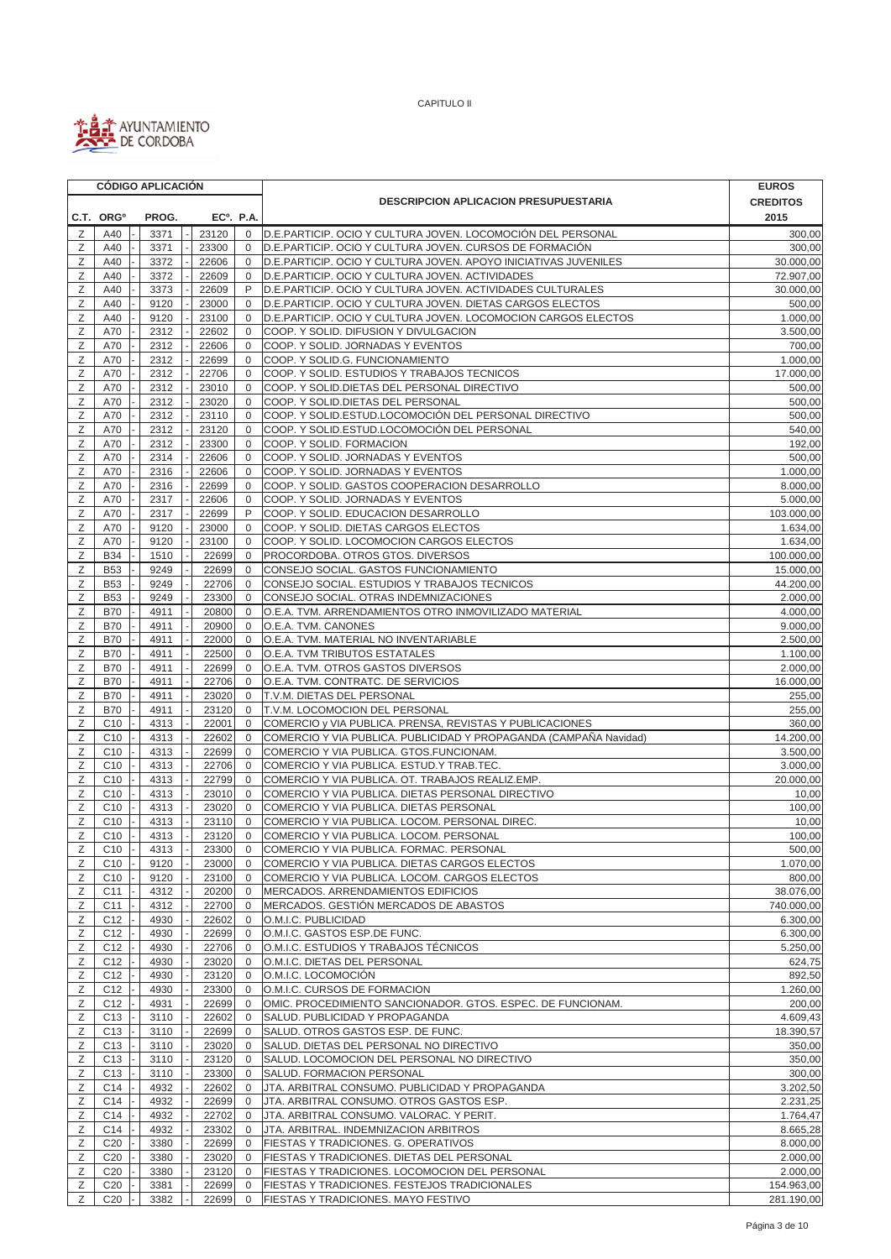

|        |                                    |  | <b>CÓDIGO APLICACIÓN</b> |  |                        |                              |                                                                                                                         | <b>EUROS</b>             |
|--------|------------------------------------|--|--------------------------|--|------------------------|------------------------------|-------------------------------------------------------------------------------------------------------------------------|--------------------------|
|        |                                    |  |                          |  |                        |                              | <b>DESCRIPCION APLICACION PRESUPUESTARIA</b>                                                                            | <b>CREDITOS</b>          |
|        | C.T. ORG <sup>o</sup>              |  | PROG.                    |  | EC <sup>o</sup> . P.A. |                              |                                                                                                                         | 2015                     |
| Ζ      | A40                                |  | 3371                     |  | 23120                  | $\mathbf 0$                  | D.E.PARTICIP. OCIO Y CULTURA JOVEN. LOCOMOCIÓN DEL PERSONAL                                                             | 300,00                   |
| Z      | A40                                |  | 3371                     |  | 23300                  | $\mathbf 0$                  | D.E.PARTICIP. OCIO Y CULTURA JOVEN. CURSOS DE FORMACIÓN                                                                 | 300,00                   |
| Ζ      | A40                                |  | 3372                     |  | 22606                  | $\mathbf 0$                  | D.E.PARTICIP. OCIO Y CULTURA JOVEN. APOYO INICIATIVAS JUVENILES                                                         | 30.000,00                |
| Ζ      | A40                                |  | 3372                     |  | 22609                  | $\mathbf 0$                  | D.E.PARTICIP. OCIO Y CULTURA JOVEN. ACTIVIDADES                                                                         | 72.907,00                |
| Ζ<br>Ζ | A40                                |  | 3373<br>9120             |  | 22609                  | P<br>0                       | D.E.PARTICIP. OCIO Y CULTURA JOVEN. ACTIVIDADES CULTURALES<br>D.E.PARTICIP. OCIO Y CULTURA JOVEN. DIETAS CARGOS ELECTOS | 30.000,00<br>500,00      |
| Ζ      | A40<br>A40                         |  | 9120                     |  | 23000<br>23100         | $\mathbf 0$                  | D.E.PARTICIP. OCIO Y CULTURA JOVEN. LOCOMOCION CARGOS ELECTOS                                                           | 1.000,00                 |
| Ζ      | A70                                |  | 2312                     |  | 22602                  | $\mathbf 0$                  | COOP. Y SOLID. DIFUSION Y DIVULGACION                                                                                   | 3.500,00                 |
| Z      | A70                                |  | 2312                     |  | 22606                  | $\mathbf{0}$                 | COOP. Y SOLID. JORNADAS Y EVENTOS                                                                                       | 700,00                   |
| Ζ      | A70                                |  | 2312                     |  | 22699                  | $\mathbf 0$                  | COOP. Y SOLID.G. FUNCIONAMIENTO                                                                                         | 1.000,00                 |
| Ζ      | A70                                |  | 2312                     |  | 22706                  | 0                            | COOP. Y SOLID. ESTUDIOS Y TRABAJOS TECNICOS                                                                             | 17.000,00                |
| Ζ      | A70                                |  | 2312                     |  | 23010                  | $\mathbf 0$                  | COOP. Y SOLID.DIETAS DEL PERSONAL DIRECTIVO                                                                             | 500,00                   |
| Ζ      | A70                                |  | 2312                     |  | 23020                  | $\mathbf 0$                  | COOP. Y SOLID.DIETAS DEL PERSONAL                                                                                       | 500,00                   |
| Ζ      | A70                                |  | 2312                     |  | 23110                  | $\mathbf{0}$                 | COOP. Y SOLID.ESTUD.LOCOMOCIÓN DEL PERSONAL DIRECTIVO                                                                   | 500,00                   |
| Ζ      | A70                                |  | 2312                     |  | 23120                  | $\mathbf 0$                  | COOP. Y SOLID.ESTUD.LOCOMOCIÓN DEL PERSONAL                                                                             | 540,00                   |
| Z      | A70                                |  | 2312                     |  | 23300                  | $\mathbf{0}$                 | COOP. Y SOLID. FORMACION                                                                                                | 192,00                   |
| Ζ<br>Ζ | A70<br>A70                         |  | 2314<br>2316             |  | 22606<br>22606         | $\mathbf 0$<br>$\bf 0$       | COOP. Y SOLID. JORNADAS Y EVENTOS<br>COOP. Y SOLID. JORNADAS Y EVENTOS                                                  | 500,00<br>1.000,00       |
| Ζ      | A70                                |  | 2316                     |  | 22699                  | $\mathbf{0}$                 | COOP. Y SOLID. GASTOS COOPERACION DESARROLLO                                                                            | 8.000,00                 |
| Ζ      | A70                                |  | 2317                     |  | 22606                  | 0                            | COOP. Y SOLID. JORNADAS Y EVENTOS                                                                                       | 5.000,00                 |
| Ζ      | A70                                |  | 2317                     |  | 22699                  | P                            | COOP. Y SOLID. EDUCACION DESARROLLO                                                                                     | 103.000,00               |
| Ζ      | A70                                |  | 9120                     |  | 23000                  | $\mathbf 0$                  | COOP. Y SOLID. DIETAS CARGOS ELECTOS                                                                                    | 1.634,00                 |
| Ζ      | A70                                |  | 9120                     |  | 23100                  | $\mathbf{0}$                 | COOP. Y SOLID. LOCOMOCION CARGOS ELECTOS                                                                                | 1.634,00                 |
| Ζ      | <b>B34</b>                         |  | 1510                     |  | 22699                  | $\mathbf 0$                  | PROCORDOBA. OTROS GTOS. DIVERSOS                                                                                        | 100.000,00               |
| Ζ      | <b>B53</b>                         |  | 9249                     |  | 22699                  | $\mathbf{0}$                 | CONSEJO SOCIAL. GASTOS FUNCIONAMIENTO                                                                                   | 15.000,00                |
| Ζ      | <b>B53</b>                         |  | 9249                     |  | 22706                  | $\mathbf 0$                  | CONSEJO SOCIAL. ESTUDIOS Y TRABAJOS TECNICOS                                                                            | 44.200,00                |
| Ζ      | <b>B53</b>                         |  | 9249                     |  | 23300                  | $\mathbf 0$                  | CONSEJO SOCIAL. OTRAS INDEMNIZACIONES                                                                                   | 2.000,00                 |
| Ζ      | <b>B70</b>                         |  | 4911                     |  | 20800                  | $\mathbf 0$                  | O.E.A. TVM. ARRENDAMIENTOS OTRO INMOVILIZADO MATERIAL                                                                   | 4.000,00                 |
| Ζ      | <b>B70</b>                         |  | 4911                     |  | 20900                  | 0                            | O.E.A. TVM. CANONES                                                                                                     | 9.000,00                 |
| Z<br>Ζ | <b>B70</b><br><b>B70</b>           |  | 4911<br>4911             |  | 22000<br>22500         | $\mathbf{0}$<br>$\mathbf{0}$ | O.E.A. TVM. MATERIAL NO INVENTARIABLE<br>O.E.A. TVM TRIBUTOS ESTATALES                                                  | 2.500,00<br>1.100,00     |
| Ζ      | <b>B70</b>                         |  | 4911                     |  | 22699                  | 0                            | O.E.A. TVM. OTROS GASTOS DIVERSOS                                                                                       | 2.000,00                 |
| Ζ      | <b>B70</b>                         |  | 4911                     |  | 22706                  | $\mathbf 0$                  | O.E.A. TVM. CONTRATC. DE SERVICIOS                                                                                      | 16.000,00                |
| Ζ      | <b>B70</b>                         |  | 4911                     |  | 23020                  | $\mathbf{0}$                 | T.V.M. DIETAS DEL PERSONAL                                                                                              | 255,00                   |
| Ζ      | <b>B70</b>                         |  | 4911                     |  | 23120                  | $\Omega$                     | T.V.M. LOCOMOCION DEL PERSONAL                                                                                          | 255,00                   |
| Ζ      | C <sub>10</sub>                    |  | 4313                     |  | 22001                  | 0                            | COMERCIO y VIA PUBLICA. PRENSA, REVISTAS Y PUBLICACIONES                                                                | 360,00                   |
| Ζ      | C <sub>10</sub>                    |  | 4313                     |  | 22602                  | $\mathbf 0$                  | COMERCIO Y VIA PUBLICA. PUBLICIDAD Y PROPAGANDA (CAMPAÑA Navidad)                                                       | 14.200,00                |
| Ζ      | C <sub>10</sub>                    |  | 4313                     |  | 22699                  | $\mathbf 0$                  | COMERCIO Y VIA PUBLICA. GTOS.FUNCIONAM.                                                                                 | 3.500,00                 |
| Ζ      | C <sub>10</sub>                    |  | 4313                     |  | 22706                  | $\mathbf{0}$                 | COMERCIO Y VIA PUBLICA. ESTUD.Y TRAB.TEC.                                                                               | 3.000,00                 |
| Ζ      | C <sub>10</sub>                    |  | 4313                     |  | 22799                  | 0                            | COMERCIO Y VIA PUBLICA. OT. TRABAJOS REALIZ.EMP.                                                                        | 20.000,00                |
| Ζ      | C <sub>10</sub>                    |  | 4313                     |  | 23010                  | $\mathbf{0}$                 | COMERCIO Y VIA PUBLICA. DIETAS PERSONAL DIRECTIVO                                                                       | 10,00                    |
| Ζ<br>Z | C <sub>10</sub>                    |  | 4313                     |  | 23020                  | $\mathbf{0}$<br>$\mathbf{0}$ | COMERCIO Y VIA PUBLICA, DIETAS PERSONAL<br>COMERCIO Y VIA PUBLICA. LOCOM. PERSONAL DIREC.                               | 100,00                   |
| Ζ      | C <sub>10</sub><br>C <sub>10</sub> |  | 4313<br>4313             |  | 23110<br>23120         | $\mathbf 0$                  | COMERCIO Y VIA PUBLICA. LOCOM. PERSONAL                                                                                 | 10,00<br>100,00          |
| Ζ      | $C10$ -                            |  | 4313                     |  | 23300                  | $\mathsf 0$                  | COMERCIO Y VIA PUBLICA. FORMAC. PERSONAL                                                                                | 500,00                   |
| Ζ      | C <sub>10</sub>                    |  | 9120                     |  | 23000                  | $\mathbf{0}$                 | COMERCIO Y VIA PUBLICA. DIETAS CARGOS ELECTOS                                                                           | 1.070,00                 |
| Ζ      | C <sub>10</sub>                    |  | 9120                     |  | 23100                  | $\mathbf 0$                  | COMERCIO Y VIA PUBLICA. LOCOM. CARGOS ELECTOS                                                                           | 800,00                   |
| Ζ      | C11                                |  | 4312                     |  | 20200                  | $\mathbf 0$                  | MERCADOS. ARRENDAMIENTOS EDIFICIOS                                                                                      | 38.076,00                |
| Ζ      | C <sub>11</sub>                    |  | 4312                     |  | 22700                  | $\mathbf 0$                  | MERCADOS. GESTIÓN MERCADOS DE ABASTOS                                                                                   | 740.000,00               |
| Ζ      | C <sub>12</sub>                    |  | 4930                     |  | 22602                  | $\mathbf 0$                  | O.M.I.C. PUBLICIDAD                                                                                                     | 6.300,00                 |
| Ζ      | C <sub>12</sub>                    |  | 4930                     |  | 22699                  | 0                            | O.M.I.C. GASTOS ESP.DE FUNC.                                                                                            | 6.300,00                 |
| Ζ      | C <sub>12</sub>                    |  | 4930                     |  | 22706                  | $\mathbf 0$                  | O.M.I.C. ESTUDIOS Y TRABAJOS TÉCNICOS                                                                                   | 5.250,00                 |
| Ζ      | C <sub>12</sub>                    |  | 4930                     |  | 23020                  | $\mathbf 0$                  | O.M.I.C. DIETAS DEL PERSONAL                                                                                            | 624,75                   |
| Ζ      | C <sub>12</sub>                    |  | 4930                     |  | 23120                  | $\mathbf 0$                  | O.M.I.C. LOCOMOCIÓN                                                                                                     | 892,50                   |
| Ζ      | C <sub>12</sub><br>C <sub>12</sub> |  | 4930                     |  | 23300                  | $\mathbf{0}$                 | O.M.I.C. CURSOS DE FORMACION                                                                                            | 1.260,00<br>200,00       |
| Ζ<br>Ζ | C <sub>13</sub>                    |  | 4931<br>3110             |  | 22699<br>22602         | 0<br>$\mathbf 0$             | OMIC. PROCEDIMIENTO SANCIONADOR. GTOS. ESPEC. DE FUNCIONAM.<br>SALUD. PUBLICIDAD Y PROPAGANDA                           | 4.609,43                 |
| Ζ      | C <sub>13</sub>                    |  | 3110                     |  | 22699                  | 0                            | SALUD. OTROS GASTOS ESP. DE FUNC.                                                                                       | 18.390,57                |
| Ζ      | C <sub>13</sub>                    |  | 3110                     |  | 23020                  | $\mathbf 0$                  | SALUD. DIETAS DEL PERSONAL NO DIRECTIVO                                                                                 | 350,00                   |
| Ζ      | C <sub>13</sub>                    |  | 3110                     |  | 23120                  | $\mathbf{0}$                 | SALUD. LOCOMOCION DEL PERSONAL NO DIRECTIVO                                                                             | 350,00                   |
| Ζ      | C <sub>13</sub>                    |  | 3110                     |  | 23300                  | 0                            | SALUD. FORMACION PERSONAL                                                                                               | 300,00                   |
| Ζ      | C14                                |  | 4932                     |  | 22602                  | 0                            | JTA. ARBITRAL CONSUMO. PUBLICIDAD Y PROPAGANDA                                                                          | 3.202,50                 |
| Ζ      | C14                                |  | 4932                     |  | 22699                  | 0                            | JTA. ARBITRAL CONSUMO. OTROS GASTOS ESP.                                                                                | 2.231,25                 |
| Ζ      | C14                                |  | 4932                     |  | 22702                  | $\mathbf 0$                  | JTA. ARBITRAL CONSUMO. VALORAC. Y PERIT.                                                                                | 1.764,47                 |
| Ζ      | C14                                |  | 4932                     |  | 23302                  | 0                            | JTA. ARBITRAL. INDEMNIZACION ARBITROS                                                                                   | 8.665,28                 |
| Ζ      | C <sub>20</sub>                    |  | 3380                     |  | 22699                  | $\mathbf 0$                  | FIESTAS Y TRADICIONES. G. OPERATIVOS                                                                                    | 8.000,00                 |
| Ζ      | C <sub>20</sub>                    |  | 3380                     |  | 23020                  | $\mathbf 0$                  | FIESTAS Y TRADICIONES. DIETAS DEL PERSONAL                                                                              | 2.000,00                 |
| Ζ      | C <sub>20</sub><br>C <sub>20</sub> |  | 3380                     |  | 23120                  | $\mathbf 0$<br>$\mathbf 0$   | FIESTAS Y TRADICIONES. LOCOMOCION DEL PERSONAL                                                                          | 2.000,00                 |
| Ζ<br>Ζ | C <sub>20</sub>                    |  | 3381<br>3382             |  | 22699<br>22699         | $\mathbf 0$                  | FIESTAS Y TRADICIONES. FESTEJOS TRADICIONALES<br>FIESTAS Y TRADICIONES. MAYO FESTIVO                                    | 154.963,00<br>281.190,00 |
|        |                                    |  |                          |  |                        |                              |                                                                                                                         |                          |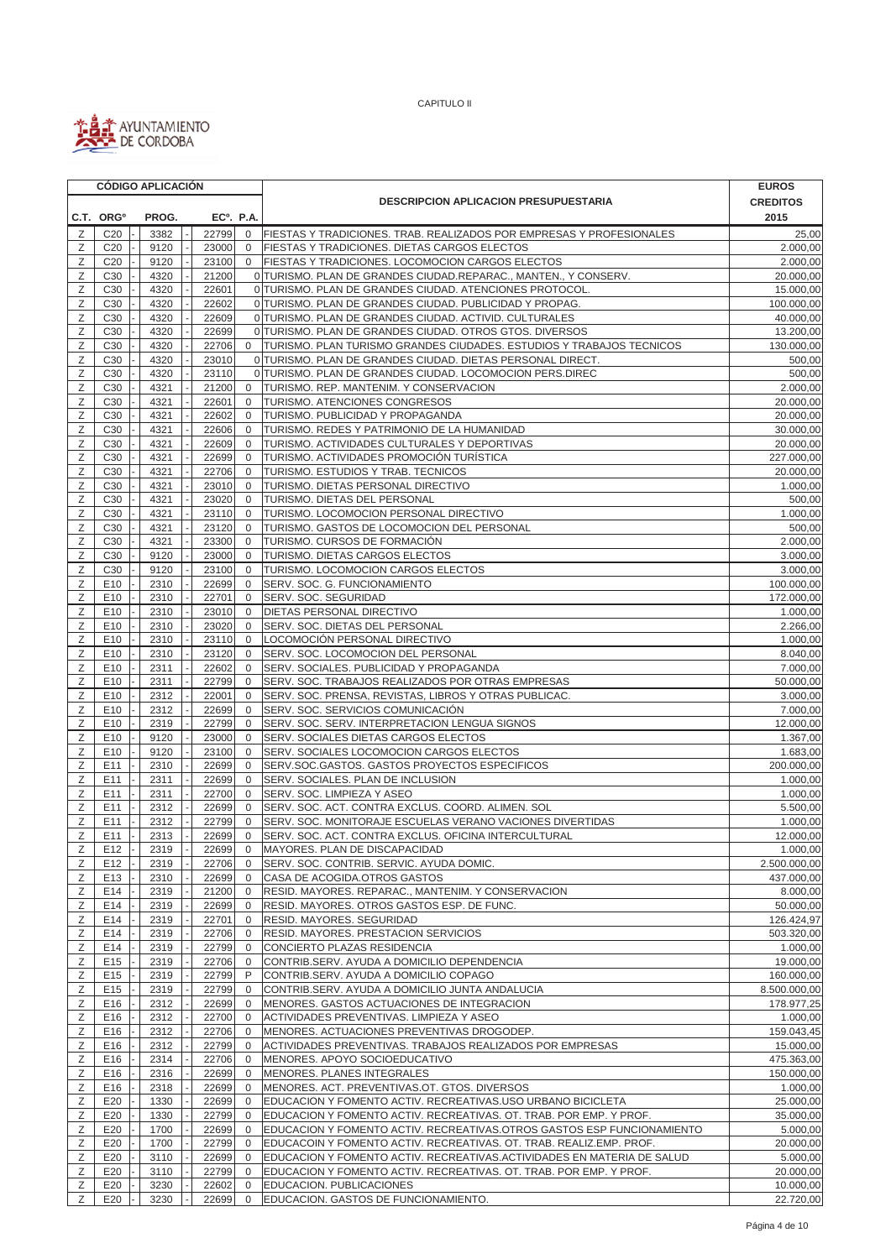

|        |                                    | <b>CÓDIGO APLICACIÓN</b> |  |                |                             |                                                                                            | <b>EUROS</b>           |
|--------|------------------------------------|--------------------------|--|----------------|-----------------------------|--------------------------------------------------------------------------------------------|------------------------|
|        |                                    |                          |  |                |                             | <b>DESCRIPCION APLICACION PRESUPUESTARIA</b>                                               | <b>CREDITOS</b>        |
|        | C.T. ORG <sup>o</sup>              | PROG.                    |  |                | EC <sup>o</sup> . P.A.      |                                                                                            | 2015                   |
| Ζ      | C <sub>20</sub>                    | 3382                     |  | 22799          | $\mathbf 0$                 | FIESTAS Y TRADICIONES. TRAB. REALIZADOS POR EMPRESAS Y PROFESIONALES                       | 25,00                  |
| Ζ      | C <sub>20</sub>                    | 9120                     |  | 23000          | $\mathbf 0$                 | FIESTAS Y TRADICIONES. DIETAS CARGOS ELECTOS                                               | 2.000,00               |
| Ζ      | C <sub>20</sub>                    | 9120                     |  | 23100          | $\overline{0}$              | FIESTAS Y TRADICIONES. LOCOMOCION CARGOS ELECTOS                                           | 2.000.00               |
| Ζ      | C <sub>30</sub>                    | 4320                     |  | 21200          |                             | 0 TURISMO. PLAN DE GRANDES CIUDAD.REPARAC., MANTEN., Y CONSERV.                            | 20.000,00              |
| Ζ      | C <sub>30</sub>                    | 4320                     |  | 22601          |                             | 0 TURISMO. PLAN DE GRANDES CIUDAD. ATENCIONES PROTOCOL.                                    | 15.000,00              |
| Ζ      | C <sub>30</sub>                    | 4320                     |  | 22602          |                             | 0 TURISMO. PLAN DE GRANDES CIUDAD. PUBLICIDAD Y PROPAG.                                    | 100.000,00             |
| Ζ      | C <sub>30</sub>                    | 4320                     |  | 22609          |                             | 0 TURISMO. PLAN DE GRANDES CIUDAD. ACTIVID. CULTURALES                                     | 40.000,00              |
| Ζ      | C <sub>30</sub>                    | 4320                     |  | 22699          |                             | 0 TURISMO. PLAN DE GRANDES CIUDAD. OTROS GTOS. DIVERSOS                                    | 13.200,00              |
| Ζ      | C <sub>30</sub>                    | 4320                     |  | 22706          | 0                           | TURISMO. PLAN TURISMO GRANDES CIUDADES. ESTUDIOS Y TRABAJOS TECNICOS                       | 130.000,00             |
| Ζ      | C <sub>30</sub>                    | 4320                     |  | 23010          |                             | 0 TURISMO. PLAN DE GRANDES CIUDAD. DIETAS PERSONAL DIRECT.                                 | 500,00                 |
| Ζ      | C <sub>30</sub>                    | 4320                     |  | 23110          |                             | 0 TURISMO. PLAN DE GRANDES CIUDAD. LOCOMOCION PERS.DIREC                                   | 500,00                 |
| Ζ      | C30                                | 4321                     |  | 21200          | $\mathbf 0$                 | TURISMO. REP. MANTENIM. Y CONSERVACION                                                     | 2.000,00               |
| Ζ<br>Ζ | C <sub>30</sub><br>C <sub>30</sub> | 4321<br>4321             |  | 22601<br>22602 | $\mathbf 0$<br>$\mathbf{0}$ | <b>TURISMO. ATENCIONES CONGRESOS</b><br>TURISMO. PUBLICIDAD Y PROPAGANDA                   | 20.000,00<br>20.000,00 |
| Z      | C <sub>30</sub>                    | 4321                     |  | 22606          | $\mathbf 0$                 | TURISMO. REDES Y PATRIMONIO DE LA HUMANIDAD                                                | 30.000,00              |
| Ζ      | C30                                | 4321                     |  | 22609          | $\mathbf{0}$                | TURISMO. ACTIVIDADES CULTURALES Y DEPORTIVAS                                               | 20.000,00              |
| Ζ      | C30                                | 4321                     |  | 22699          | $\mathbf 0$                 | TURISMO. ACTIVIDADES PROMOCIÓN TURÍSTICA                                                   | 227.000,00             |
| Ζ      | C30                                | 4321                     |  | 22706          | $\mathbf 0$                 | TURISMO. ESTUDIOS Y TRAB. TECNICOS                                                         | 20.000,00              |
| Ζ      | C30                                | 4321                     |  | 23010          | $\mathbf{0}$                | TURISMO. DIETAS PERSONAL DIRECTIVO                                                         | 1.000,00               |
| Ζ      | C <sub>30</sub>                    | 4321                     |  | 23020          | $\mathbf{0}$                | <b>TURISMO. DIETAS DEL PERSONAL</b>                                                        | 500,00                 |
| Ζ      | C30                                | 4321                     |  | 23110          | $\mathbf{0}$                | TURISMO. LOCOMOCION PERSONAL DIRECTIVO                                                     | 1.000,00               |
| Ζ      | C <sub>30</sub>                    | 4321                     |  | 23120          | $\mathbf 0$                 | TURISMO. GASTOS DE LOCOMOCION DEL PERSONAL                                                 | 500,00                 |
| Ζ      | C <sub>30</sub>                    | 4321                     |  | 23300          | $\mathbf 0$                 | TURISMO. CURSOS DE FORMACIÓN                                                               | 2.000,00               |
| Ζ      | C <sub>30</sub>                    | 9120                     |  | 23000          | $\mathbf 0$                 | TURISMO. DIETAS CARGOS ELECTOS                                                             | 3.000,00               |
| Ζ      | C30                                | 9120                     |  | 23100          | $\mathbf 0$                 | TURISMO. LOCOMOCION CARGOS ELECTOS                                                         | 3.000,00               |
| Ζ      | E10                                | 2310                     |  | 22699          | $\mathbf 0$                 | SERV. SOC. G. FUNCIONAMIENTO                                                               | 100.000,00             |
| Ζ      | E10                                | 2310                     |  | 22701          | $\mathbf 0$                 | SERV. SOC. SEGURIDAD                                                                       | 172.000,00             |
| Z      | E10                                | 2310                     |  | 23010          | $\mathbf{0}$                | DIETAS PERSONAL DIRECTIVO                                                                  | 1.000,00               |
| Ζ      | E10                                | 2310                     |  | 23020          | $\mathbf 0$                 | SERV. SOC. DIETAS DEL PERSONAL                                                             | 2.266,00               |
| Ζ      | E <sub>10</sub>                    | 2310                     |  | 23110          | $\mathbf 0$                 | LOCOMOCIÓN PERSONAL DIRECTIVO                                                              | 1.000,00               |
| Ζ      | E10                                | 2310                     |  | 23120          | $\mathbf 0$                 | SERV. SOC. LOCOMOCION DEL PERSONAL                                                         | 8.040,00               |
| Ζ      | E10                                | 2311                     |  | 22602          | $\mathbf{0}$                | SERV. SOCIALES. PUBLICIDAD Y PROPAGANDA                                                    | 7.000,00               |
| Ζ      | E10                                | 2311                     |  | 22799          | $\mathbf 0$                 | SERV. SOC. TRABAJOS REALIZADOS POR OTRAS EMPRESAS                                          | 50.000,00              |
| Ζ<br>Ζ | E10<br>E10                         | 2312<br>2312             |  | 22001<br>22699 | $\mathbf 0$<br>$\mathbf 0$  | SERV. SOC. PRENSA, REVISTAS, LIBROS Y OTRAS PUBLICAC.<br>SERV. SOC. SERVICIOS COMUNICACIÓN | 3.000,00<br>7.000,00   |
| Ζ      | E10                                | 2319                     |  | 22799          | $\mathbf{0}$                | SERV. SOC. SERV. INTERPRETACION LENGUA SIGNOS                                              | 12.000,00              |
| Ζ      | E10                                | 9120                     |  | 23000          | $\mathbf{0}$                | SERV. SOCIALES DIETAS CARGOS ELECTOS                                                       | 1.367,00               |
| Ζ      | E10                                | 9120                     |  | 23100          | $\mathbf 0$                 | SERV. SOCIALES LOCOMOCION CARGOS ELECTOS                                                   | 1.683,00               |
| Ζ      | E11                                | 2310                     |  | 22699          | $\mathbf 0$                 | SERV.SOC.GASTOS. GASTOS PROYECTOS ESPECIFICOS                                              | 200.000,00             |
| Ζ      | E11                                | 2311                     |  | 22699          | $\mathbf 0$                 | SERV. SOCIALES. PLAN DE INCLUSION                                                          | 1.000.00               |
| Ζ      | E11                                | 2311                     |  | 22700          | $\mathbf 0$                 | SERV. SOC. LIMPIEZA Y ASEO                                                                 | 1.000,00               |
| Ζ      | E11                                | 2312                     |  | 22699          | $\mathbf 0$                 | SERV. SOC. ACT. CONTRA EXCLUS. COORD. ALIMEN. SOL                                          | 5.500,00               |
| Ζ      | E11                                | 2312                     |  | 22799          | $\mathbf 0$                 | SERV. SOC. MONITORAJE ESCUELAS VERANO VACIONES DIVERTIDAS                                  | 1.000,00               |
| Ζ      | E11                                | 2313                     |  | 22699          | $\mathbf 0$                 | SERV. SOC. ACT. CONTRA EXCLUS. OFICINA INTERCULTURAL                                       | 12.000,00              |
| Ζ      | E12                                | 2319                     |  | 22699          | $\mathbf{0}$                | MAYORES. PLAN DE DISCAPACIDAD                                                              | 1.000,00               |
| Ζ      | E <sub>12</sub>                    | 2319                     |  | 22706          | 0                           | SERV. SOC. CONTRIB. SERVIC. AYUDA DOMIC.                                                   | 2.500.000,00           |
| Ζ      | E13                                | 2310                     |  | 22699          | 0                           | CASA DE ACOGIDA.OTROS GASTOS                                                               | 437.000,00             |
| Ζ      | E14                                | 2319                     |  | 21200          | 0                           | RESID. MAYORES. REPARAC., MANTENIM. Y CONSERVACION                                         | 8.000,00               |
| Ζ      | E14                                | 2319                     |  | 22699          | $\mathbf{0}$                | RESID. MAYORES. OTROS GASTOS ESP. DE FUNC.                                                 | 50.000,00              |
| Ζ      | E14                                | 2319                     |  | 22701          | $\mathbf 0$                 | RESID. MAYORES. SEGURIDAD                                                                  | 126.424,97             |
| Ζ      | E14                                | 2319                     |  | 22706          | $\mathbf{0}$                | RESID. MAYORES. PRESTACION SERVICIOS<br>CONCIERTO PLAZAS RESIDENCIA                        | 503.320,00             |
| Ζ<br>Ζ | E14<br>E15                         | 2319<br>2319             |  | 22799<br>22706 | 0<br>$\mathbf 0$            |                                                                                            | 1.000,00<br>19.000,00  |
| Ζ      | E15                                | 2319                     |  | 22799          | P                           | CONTRIB.SERV. AYUDA A DOMICILIO DEPENDENCIA<br>CONTRIB.SERV. AYUDA A DOMICILIO COPAGO      | 160.000,00             |
| Ζ      | E <sub>15</sub>                    | 2319                     |  | 22799          | $\mathbf 0$                 | CONTRIB.SERV. AYUDA A DOMICILIO JUNTA ANDALUCIA                                            | 8.500.000,00           |
| Ζ      | E16                                | 2312                     |  | 22699          | $\mathbf 0$                 | MENORES. GASTOS ACTUACIONES DE INTEGRACION                                                 | 178.977,25             |
| Ζ      | E16                                | 2312                     |  | 22700          | 0                           | ACTIVIDADES PREVENTIVAS. LIMPIEZA Y ASEO                                                   | 1.000,00               |
| Ζ      | E16                                | 2312                     |  | 22706          | $\overline{0}$              | MENORES. ACTUACIONES PREVENTIVAS DROGODEP.                                                 | 159.043,45             |
| Ζ      | E16                                | 2312                     |  | 22799          | $\mathbf{0}$                | ACTIVIDADES PREVENTIVAS. TRABAJOS REALIZADOS POR EMPRESAS                                  | 15.000,00              |
| Ζ      | E16                                | 2314                     |  | 22706          | $\overline{0}$              | MENORES. APOYO SOCIOEDUCATIVO                                                              | 475.363,00             |
| Ζ      | E16                                | 2316                     |  | 22699          | $\mathbf 0$                 | MENORES. PLANES INTEGRALES                                                                 | 150.000,00             |
| Ζ      | E16                                | 2318                     |  | 22699          | 0                           | MENORES. ACT. PREVENTIVAS.OT. GTOS. DIVERSOS                                               | 1.000,00               |
| Ζ      | E20                                | 1330                     |  | 22699          | 0                           | EDUCACION Y FOMENTO ACTIV. RECREATIVAS.USO URBANO BICICLETA                                | 25.000,00              |
| Ζ      | E20                                | 1330                     |  | 22799          | 0                           | EDUCACION Y FOMENTO ACTIV. RECREATIVAS. OT. TRAB. POR EMP. Y PROF.                         | 35.000,00              |
| Ζ      | E20                                | 1700                     |  | 22699          | 0                           | EDUCACION Y FOMENTO ACTIV. RECREATIVAS.OTROS GASTOS ESP FUNCIONAMIENTO                     | 5.000,00               |
| Ζ      | E20                                | 1700                     |  | 22799          | 0                           | EDUCACOIN Y FOMENTO ACTIV. RECREATIVAS. OT. TRAB. REALIZ.EMP. PROF.                        | 20.000,00              |
| Ζ      | E20                                | 3110                     |  | 22699          | $\mathbf{0}$                | EDUCACION Y FOMENTO ACTIV. RECREATIVAS.ACTIVIDADES EN MATERIA DE SALUD                     | 5.000,00               |
| Ζ      | E20                                | 3110                     |  | 22799          | $\mathbf{0}$                | EDUCACION Y FOMENTO ACTIV. RECREATIVAS. OT. TRAB. POR EMP. Y PROF.                         | 20.000,00              |
| Ζ      | E20                                | 3230                     |  | 22602          | $\mathbf 0$                 | EDUCACION. PUBLICACIONES                                                                   | 10.000,00              |
| Ζ      | E20                                | 3230                     |  | 22699          | 0                           | EDUCACION. GASTOS DE FUNCIONAMIENTO.                                                       | 22.720,00              |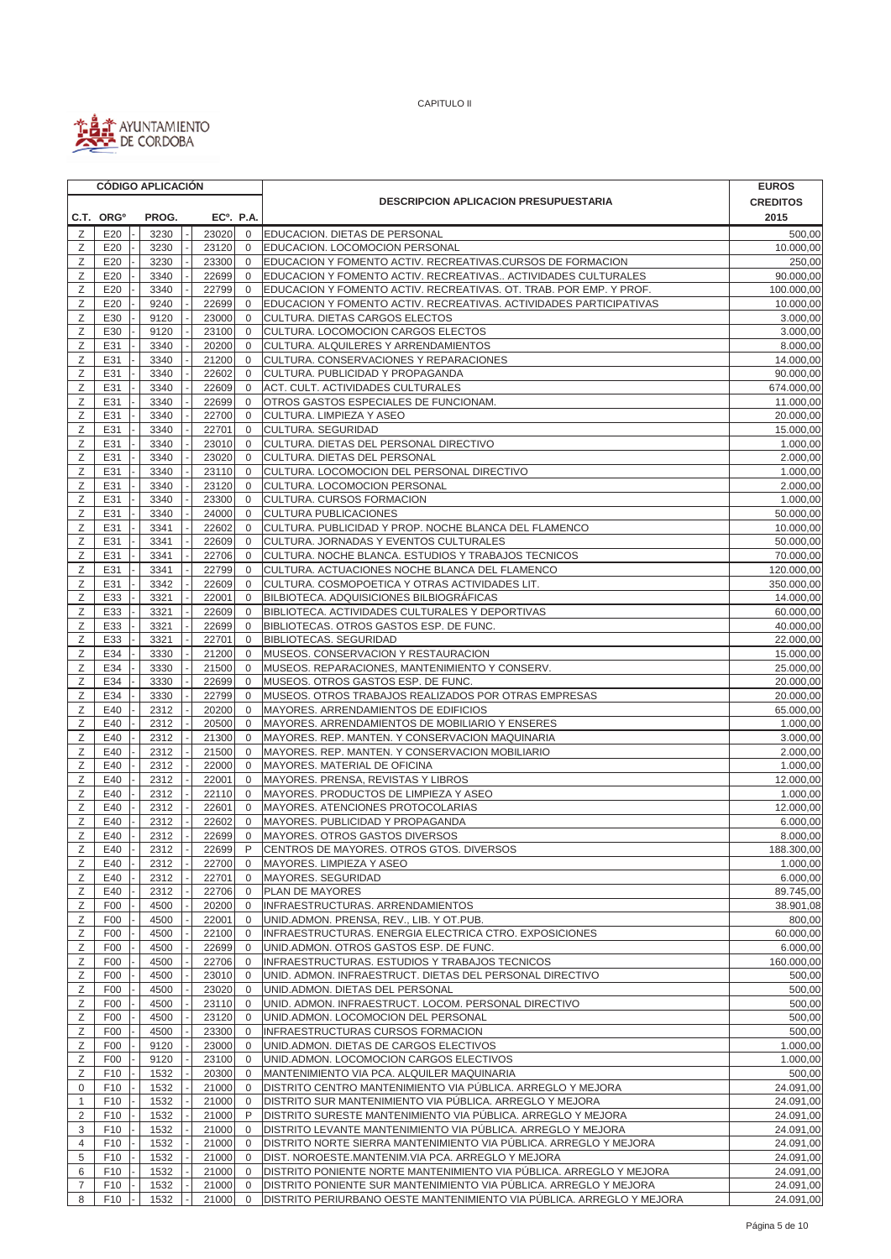

|                | <b>CÓDIGO APLICACIÓN</b> |  |              |  |                        |                             |                                                                                                           | <b>EUROS</b>           |
|----------------|--------------------------|--|--------------|--|------------------------|-----------------------------|-----------------------------------------------------------------------------------------------------------|------------------------|
|                |                          |  |              |  |                        |                             | <b>DESCRIPCION APLICACION PRESUPUESTARIA</b>                                                              | <b>CREDITOS</b>        |
|                | C.T. ORG <sup>o</sup>    |  | PROG.        |  | EC <sup>o</sup> . P.A. |                             |                                                                                                           | 2015                   |
| Ζ              | E20                      |  | 3230         |  | 23020                  | $\mathbf 0$                 | EDUCACION. DIETAS DE PERSONAL                                                                             | 500,00                 |
| Z              | E20                      |  | 3230         |  | 23120                  | $\mathbf 0$                 | EDUCACION. LOCOMOCION PERSONAL                                                                            | 10.000,00              |
| Ζ              | E20                      |  | 3230         |  | 23300                  | $\mathbf 0$                 | EDUCACION Y FOMENTO ACTIV. RECREATIVAS.CURSOS DE FORMACION                                                | 250,00                 |
| Ζ              | E20                      |  | 3340         |  | 22699                  | $\mathbf 0$                 | EDUCACION Y FOMENTO ACTIV. RECREATIVAS ACTIVIDADES CULTURALES                                             | 90.000,00              |
| Z              | E20                      |  | 3340         |  | 22799                  | $\mathbf{0}$                | EDUCACION Y FOMENTO ACTIV. RECREATIVAS. OT. TRAB. POR EMP. Y PROF.                                        | 100.000,00             |
| Ζ              | E20                      |  | 9240         |  | 22699                  | $\mathbf 0$                 | EDUCACION Y FOMENTO ACTIV. RECREATIVAS. ACTIVIDADES PARTICIPATIVAS                                        | 10.000,00              |
| Z<br>Ζ         | E30<br>E30               |  | 9120<br>9120 |  | 23000<br>23100         | $\mathbf 0$<br>$\mathbf{0}$ | CULTURA. DIETAS CARGOS ELECTOS<br>CULTURA. LOCOMOCION CARGOS ELECTOS                                      | 3.000,00<br>3.000,00   |
| Z              | E31                      |  | 3340         |  | 20200                  | $\mathbf{0}$                | CULTURA. ALQUILERES Y ARRENDAMIENTOS                                                                      | 8.000,00               |
| Ζ              | E31                      |  | 3340         |  | 21200                  | $\mathbf 0$                 | CULTURA. CONSERVACIONES Y REPARACIONES                                                                    | 14.000,00              |
| Ζ              | E31                      |  | 3340         |  | 22602                  | $\mathbf 0$                 | CULTURA. PUBLICIDAD Y PROPAGANDA                                                                          | 90.000,00              |
| Ζ              | E31                      |  | 3340         |  | 22609                  | $\mathbf 0$                 | ACT. CULT. ACTIVIDADES CULTURALES                                                                         | 674.000,00             |
| Z              | E31                      |  | 3340         |  | 22699                  | $\mathbf{0}$                | OTROS GASTOS ESPECIALES DE FUNCIONAM.                                                                     | 11.000,00              |
| Ζ              | E31                      |  | 3340         |  | 22700                  | $\mathbf 0$                 | CULTURA. LIMPIEZA Y ASEO                                                                                  | 20.000,00              |
| Ζ              | E31                      |  | 3340         |  | 22701                  | 0                           | CULTURA. SEGURIDAD                                                                                        | 15.000,00              |
| Z              | E31                      |  | 3340         |  | 23010                  | $\mathbf{0}$                | CULTURA. DIETAS DEL PERSONAL DIRECTIVO                                                                    | $\overline{1.000,00}$  |
| Ζ              | E31                      |  | 3340         |  | 23020                  | $\mathbf 0$                 | CULTURA. DIETAS DEL PERSONAL                                                                              | 2.000,00               |
| Ζ              | E31                      |  | 3340         |  | 23110                  | $\mathbf 0$                 | CULTURA. LOCOMOCION DEL PERSONAL DIRECTIVO                                                                | 1.000,00               |
| Ζ              | E31                      |  | 3340         |  | 23120                  | $\mathbf 0$                 | CULTURA. LOCOMOCION PERSONAL                                                                              | 2.000,00               |
| Ζ<br>Ζ         | E31<br>E31               |  | 3340<br>3340 |  | 23300<br>24000         | $\mathbf 0$<br>$\mathbf{0}$ | CULTURA. CURSOS FORMACION<br>CULTURA PUBLICACIONES                                                        | 1.000,00<br>50.000,00  |
| Ζ              | E31                      |  | 3341         |  | 22602                  | $\mathbf{0}$                | CULTURA. PUBLICIDAD Y PROP. NOCHE BLANCA DEL FLAMENCO                                                     | 10.000,00              |
| Ζ              | E31                      |  | 3341         |  | 22609                  | $\mathbf 0$                 | CULTURA. JORNADAS Y EVENTOS CULTURALES                                                                    | 50.000,00              |
| Ζ              | E31                      |  | 3341         |  | 22706                  | 0                           | CULTURA. NOCHE BLANCA. ESTUDIOS Y TRABAJOS TECNICOS                                                       | 70.000,00              |
| Ζ              | E31                      |  | 3341         |  | 22799                  | $\mathbf 0$                 | CULTURA. ACTUACIONES NOCHE BLANCA DEL FLAMENCO                                                            | 120.000,00             |
| Ζ              | E31                      |  | 3342         |  | 22609                  | $\mathbf 0$                 | CULTURA. COSMOPOETICA Y OTRAS ACTIVIDADES LIT.                                                            | 350.000,00             |
| Ζ              | E33                      |  | 3321         |  | 22001                  | $\mathbf 0$                 | BILBIOTECA. ADQUISICIONES BILBIOGRÁFICAS                                                                  | 14.000,00              |
| Ζ              | E33                      |  | 3321         |  | 22609                  | $\mathbf 0$                 | BIBLIOTECA. ACTIVIDADES CULTURALES Y DEPORTIVAS                                                           | 60.000,00              |
| Ζ              | E33                      |  | 3321         |  | 22699                  | $\mathbf 0$                 | BIBLIOTECAS. OTROS GASTOS ESP. DE FUNC.                                                                   | 40.000,00              |
| Z              | E33                      |  | 3321         |  | 22701                  | $\mathbf{0}$                | <b>BIBLIOTECAS. SEGURIDAD</b>                                                                             | 22.000,00              |
| Ζ              | E34                      |  | 3330         |  | 21200                  | $\mathbf 0$                 | MUSEOS. CONSERVACION Y RESTAURACION                                                                       | 15.000,00              |
| Ζ              | E34                      |  | 3330         |  | 21500                  | 0                           | MUSEOS. REPARACIONES, MANTENIMIENTO Y CONSERV.                                                            | 25.000,00              |
| Ζ              | E34                      |  | 3330         |  | 22699                  | $\mathbf 0$<br>$\mathbf 0$  | MUSEOS. OTROS GASTOS ESP. DE FUNC.                                                                        | 20.000,00              |
| Ζ<br>Ζ         | E34<br>E40               |  | 3330<br>2312 |  | 22799<br>20200         | $\mathbf 0$                 | MUSEOS. OTROS TRABAJOS REALIZADOS POR OTRAS EMPRESAS<br>MAYORES. ARRENDAMIENTOS DE EDIFICIOS              | 20.000,00<br>65.000,00 |
| Ζ              | E40                      |  | 2312         |  | 20500                  | 0                           | MAYORES. ARRENDAMIENTOS DE MOBILIARIO Y ENSERES                                                           | 1.000,00               |
| Ζ              | E40                      |  | 2312         |  | 21300                  | $\mathbf 0$                 | MAYORES. REP. MANTEN. Y CONSERVACION MAQUINARIA                                                           | 3.000,00               |
| Ζ              | E40                      |  | 2312         |  | 21500                  | $\mathbf 0$                 | MAYORES. REP. MANTEN. Y CONSERVACION MOBILIARIO                                                           | 2.000,00               |
| Ζ              | E40                      |  | 2312         |  | 22000                  | $\mathbf 0$                 | MAYORES. MATERIAL DE OFICINA                                                                              | 1.000,00               |
| Ζ              | E40                      |  | 2312         |  | 22001                  | 0                           | MAYORES. PRENSA, REVISTAS Y LIBROS                                                                        | 12.000,00              |
| Ζ              | E40                      |  | 2312         |  | 22110                  | $\mathbf 0$                 | MAYORES. PRODUCTOS DE LIMPIEZA Y ASEO                                                                     | 1.000,00               |
| Ζ              | E40                      |  | 2312         |  | 22601                  | $\mathbf 0$                 | MAYORES. ATENCIONES PROTOCOLARIAS                                                                         | 12.000,00              |
| Z              | E40                      |  | 2312         |  | 22602                  | $\mathbf{0}$                | MAYORES. PUBLICIDAD Y PROPAGANDA                                                                          | 6.000.00               |
| Ζ              | E40                      |  | 2312         |  | 22699                  | $\mathbf 0$                 | MAYORES. OTROS GASTOS DIVERSOS                                                                            | 8.000,00               |
| Ζ              | E40                      |  | 2312         |  | 22699                  | P                           | CENTROS DE MAYORES. OTROS GTOS. DIVERSOS                                                                  | 188.300,00             |
| Ζ              | E40                      |  | 2312         |  | 22700                  | $\mathbf{0}$                | MAYORES. LIMPIEZA Y ASEO                                                                                  | 1.000,00               |
| Ζ              | E40                      |  | 2312         |  | 22701                  | 0                           | MAYORES. SEGURIDAD                                                                                        | 6.000,00               |
| Ζ<br>Ζ         | E40<br>F <sub>00</sub>   |  | 2312<br>4500 |  | 22706<br>20200         | $\mathbf 0$<br>0            | PLAN DE MAYORES<br>INFRAESTRUCTURAS. ARRENDAMIENTOS                                                       | 89.745,00<br>38.901,08 |
| Ζ              | F <sub>00</sub>          |  | 4500         |  | 22001                  | $\mathbf 0$                 | UNID.ADMON. PRENSA, REV., LIB. Y OT.PUB.                                                                  | 800,00                 |
| Ζ              | F <sub>00</sub>          |  | 4500         |  | 22100                  | $\mathbf 0$                 | INFRAESTRUCTURAS. ENERGIA ELECTRICA CTRO. EXPOSICIONES                                                    | 60.000,00              |
| Ζ              | F <sub>00</sub>          |  | 4500         |  | 22699                  | $\mathbf 0$                 | UNID.ADMON. OTROS GASTOS ESP. DE FUNC.                                                                    | 6.000,00               |
| Ζ              | F <sub>00</sub>          |  | 4500         |  | 22706                  | $\overline{0}$              | INFRAESTRUCTURAS. ESTUDIOS Y TRABAJOS TECNICOS                                                            | 160.000,00             |
| Ζ              | F <sub>00</sub>          |  | 4500         |  | 23010                  | $\overline{0}$              | UNID. ADMON. INFRAESTRUCT. DIETAS DEL PERSONAL DIRECTIVO                                                  | 500,00                 |
| Ζ              | F <sub>00</sub>          |  | 4500         |  | 23020                  | $\mathbf 0$                 | UNID.ADMON. DIETAS DEL PERSONAL                                                                           | 500,00                 |
| Ζ              | F <sub>00</sub>          |  | 4500         |  | 23110                  | $\mathbf 0$                 | UNID. ADMON. INFRAESTRUCT. LOCOM. PERSONAL DIRECTIVO                                                      | 500,00                 |
| Ζ              | F <sub>00</sub>          |  | 4500         |  | 23120                  | $\mathbf 0$                 | UNID.ADMON. LOCOMOCION DEL PERSONAL                                                                       | 500,00                 |
| Ζ              | F <sub>00</sub>          |  | 4500         |  | 23300                  | 0                           | <b>INFRAESTRUCTURAS CURSOS FORMACION</b>                                                                  | 500,00                 |
| Ζ              | F <sub>00</sub>          |  | 9120         |  | 23000                  | $\mathbf 0$                 | UNID.ADMON. DIETAS DE CARGOS ELECTIVOS                                                                    | 1.000,00               |
| Ζ              | F <sub>00</sub>          |  | 9120         |  | 23100                  | $\mathbf{0}$                | UNID.ADMON. LOCOMOCION CARGOS ELECTIVOS                                                                   | 1.000,00               |
| Ζ<br>0         | F10<br>F10               |  | 1532<br>1532 |  | 20300<br>21000         | 0<br>$\mathbf{0}$           | MANTENIMIENTO VIA PCA. ALQUILER MAQUINARIA<br>DISTRITO CENTRO MANTENIMIENTO VIA PÚBLICA. ARREGLO Y MEJORA | 500,00<br>24.091,00    |
| $\mathbf{1}$   | F10                      |  | 1532         |  | 21000                  | $\mathbf 0$                 | DISTRITO SUR MANTENIMIENTO VIA PÚBLICA. ARREGLO Y MEJORA                                                  | 24.091,00              |
| $\overline{2}$ | F <sub>10</sub>          |  | 1532         |  | 21000                  | P                           | DISTRITO SURESTE MANTENIMIENTO VIA PÚBLICA. ARREGLO Y MEJORA                                              | 24.091,00              |
| 3              | F10                      |  | 1532         |  | 21000                  | 0                           | DISTRITO LEVANTE MANTENIMIENTO VIA PÚBLICA. ARREGLO Y MEJORA                                              | 24.091,00              |
| 4              | F <sub>10</sub>          |  | 1532         |  | 21000                  | $\mathbf 0$                 | DISTRITO NORTE SIERRA MANTENIMIENTO VIA PÚBLICA. ARREGLO Y MEJORA                                         | 24.091,00              |
| 5              | F <sub>10</sub>          |  | 1532         |  | 21000                  | $\mathbf 0$                 | DIST. NOROESTE.MANTENIM.VIA PCA. ARREGLO Y MEJORA                                                         | 24.091,00              |
| 6              | F <sub>10</sub>          |  | 1532         |  | 21000                  | $\mathbf 0$                 | DISTRITO PONIENTE NORTE MANTENIMIENTO VIA PÚBLICA. ARREGLO Y MEJORA                                       | 24.091,00              |
| 7              | F10                      |  | 1532         |  | 21000                  | $\mathbf 0$                 | DISTRITO PONIENTE SUR MANTENIMIENTO VIA PÚBLICA. ARREGLO Y MEJORA                                         | 24.091,00              |
| 8              | F10                      |  | 1532         |  | 21000                  | $\mathbf 0$                 | DISTRITO PERIURBANO OESTE MANTENIMIENTO VIA PÚBLICA. ARREGLO Y MEJORA                                     | 24.091,00              |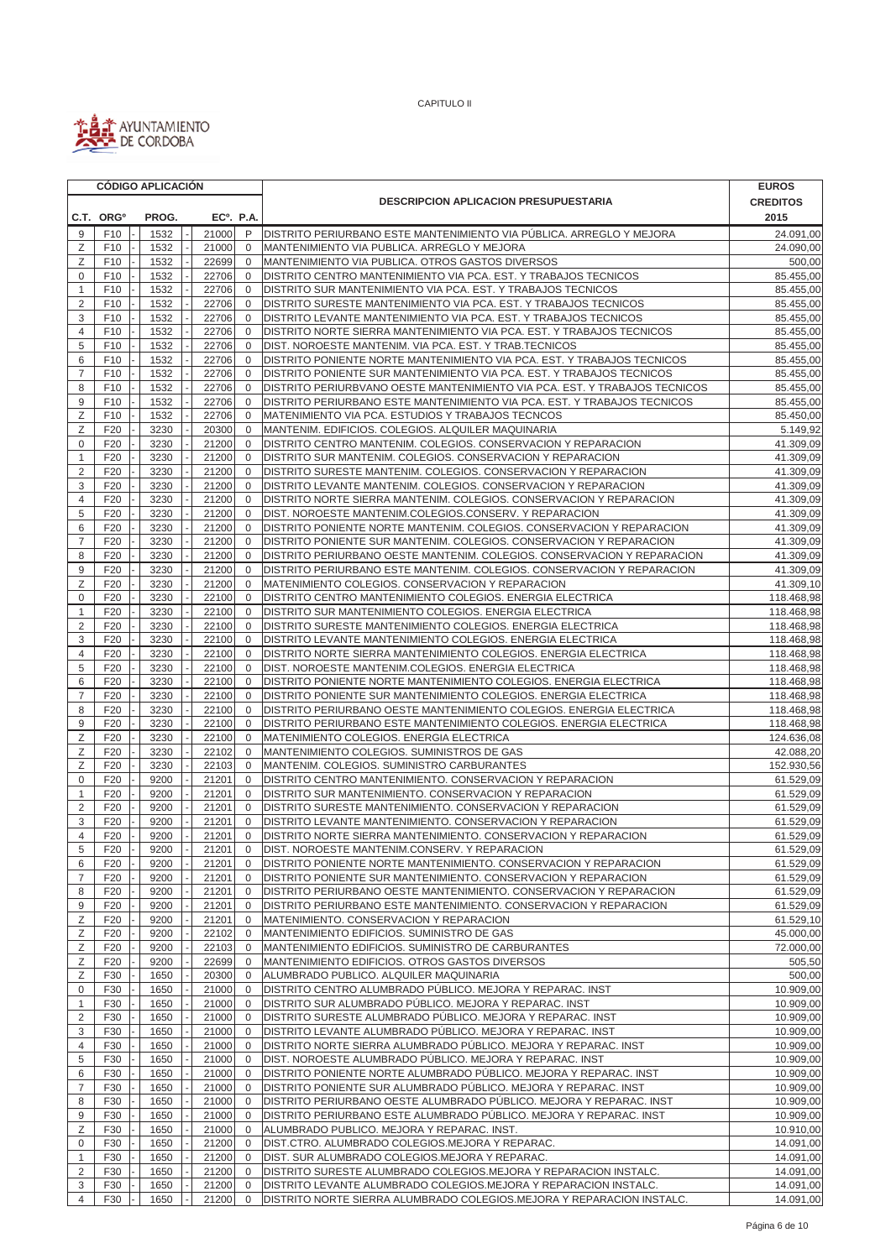

|                     | <b>CÓDIGO APLICACIÓN</b> |              |  |                |              |                             |                                                                                                                                           | <b>EUROS</b>             |
|---------------------|--------------------------|--------------|--|----------------|--------------|-----------------------------|-------------------------------------------------------------------------------------------------------------------------------------------|--------------------------|
|                     |                          |              |  |                |              |                             | <b>DESCRIPCION APLICACION PRESUPUESTARIA</b>                                                                                              | <b>CREDITOS</b>          |
|                     | C.T. ORG <sup>o</sup>    | PROG.        |  |                | $EC0$ . P.A. |                             |                                                                                                                                           | 2015                     |
| 9                   | F10                      | 1532         |  | 21000          |              | P                           | IDISTRITO PERIURBANO ESTE MANTENIMIENTO VIA PÚBLICA. ARREGLO Y MEJORA                                                                     | 24.091,00                |
| Z                   | F10                      | 1532         |  | 21000          |              | $\mathbf 0$                 | MANTENIMIENTO VIA PUBLICA. ARREGLO Y MEJORA                                                                                               | 24.090,00                |
| Ζ                   | F10                      | 1532         |  | 22699          |              | $\mathbf 0$                 | MANTENIMIENTO VIA PUBLICA. OTROS GASTOS DIVERSOS                                                                                          | 500,00                   |
| 0                   | F10                      | 1532         |  | 22706          |              | $\mathbf{0}$                | DISTRITO CENTRO MANTENIMIENTO VIA PCA. EST. Y TRABAJOS TECNICOS                                                                           | 85.455,00                |
| 1                   | F10                      | 1532         |  | 22706          |              | $\mathbf 0$                 | DISTRITO SUR MANTENIMIENTO VIA PCA. EST. Y TRABAJOS TECNICOS                                                                              | 85.455,00                |
| $\overline{2}$      | F <sub>10</sub><br>F10   | 1532         |  | 22706          |              | $\mathbf 0$<br>$\mathbf 0$  | DISTRITO SURESTE MANTENIMIENTO VIA PCA. EST. Y TRABAJOS TECNICOS                                                                          | 85.455,00                |
| 3<br>4              | F10                      | 1532<br>1532 |  | 22706<br>22706 |              | $\mathbf 0$                 | DISTRITO LEVANTE MANTENIMIENTO VIA PCA. EST. Y TRABAJOS TECNICOS<br>DISTRITO NORTE SIERRA MANTENIMIENTO VIA PCA. EST. Y TRABAJOS TECNICOS | 85.455,00<br>85.455,00   |
| 5                   | F10                      | 1532         |  | 22706          |              | $\mathbf{0}$                | DIST. NOROESTE MANTENIM. VIA PCA. EST. Y TRAB.TECNICOS                                                                                    | 85.455,00                |
| 6                   | F10                      | 1532         |  | 22706          |              | $\mathbf 0$                 | DISTRITO PONIENTE NORTE MANTENIMIENTO VIA PCA. EST. Y TRABAJOS TECNICOS                                                                   | 85.455,00                |
| $\overline{7}$      | F10                      | 1532         |  | 22706          |              | $\mathbf 0$                 | DISTRITO PONIENTE SUR MANTENIMIENTO VIA PCA. EST. Y TRABAJOS TECNICOS                                                                     | 85.455,00                |
| 8                   | F10                      | 1532         |  | 22706          |              | $\mathbf 0$                 | DISTRITO PERIURBVANO OESTE MANTENIMIENTO VIA PCA. EST. Y TRABAJOS TECNICOS                                                                | 85.455,00                |
| 9                   | F10                      | 1532         |  | 22706          |              | $\mathbf 0$                 | DISTRITO PERIURBANO ESTE MANTENIMIENTO VIA PCA. EST. Y TRABAJOS TECNICOS                                                                  | 85.455,00                |
| Z                   | F10                      | 1532         |  | 22706          |              | $\mathbf 0$                 | MATENIMIENTO VIA PCA. ESTUDIOS Y TRABAJOS TECNCOS                                                                                         | 85.450,00                |
| Ζ                   | F <sub>20</sub>          | 3230         |  | 20300          |              | $\mathbf 0$                 | MANTENIM. EDIFICIOS. COLEGIOS. ALQUILER MAQUINARIA                                                                                        | 5.149,92                 |
| $\mathbf 0$         | F20                      | 3230         |  | 21200          |              | $\mathbf 0$                 | DISTRITO CENTRO MANTENIM. COLEGIOS. CONSERVACION Y REPARACION                                                                             | 41.309,09                |
| 1                   | F <sub>20</sub>          | 3230         |  | 21200          |              | $\mathbf 0$                 | DISTRITO SUR MANTENIM. COLEGIOS. CONSERVACION Y REPARACION                                                                                | 41.309,09                |
| $\overline{2}$<br>3 | F20                      | 3230         |  | 21200          |              | $\mathbf 0$<br>$\mathbf 0$  | DISTRITO SURESTE MANTENIM. COLEGIOS. CONSERVACION Y REPARACION                                                                            | 41.309,09                |
| 4                   | F20<br>F20               | 3230<br>3230 |  | 21200<br>21200 |              | $\mathbf{0}$                | DISTRITO LEVANTE MANTENIM. COLEGIOS. CONSERVACION Y REPARACION<br>DISTRITO NORTE SIERRA MANTENIM. COLEGIOS. CONSERVACION Y REPARACION     | 41.309,09<br>41.309,09   |
| 5                   | F20                      | 3230         |  | 21200          |              | $\mathbf{0}$                | DIST. NOROESTE MANTENIM.COLEGIOS.CONSERV. Y REPARACION                                                                                    | 41.309,09                |
| 6                   | F20                      | 3230         |  | 21200          |              | $\mathbf 0$                 | DISTRITO PONIENTE NORTE MANTENIM. COLEGIOS. CONSERVACION Y REPARACION                                                                     | 41.309,09                |
| $\overline{7}$      | F20                      | 3230         |  | 21200          |              | $\mathbf 0$                 | DISTRITO PONIENTE SUR MANTENIM. COLEGIOS. CONSERVACION Y REPARACION                                                                       | 41.309,09                |
| 8                   | F <sub>20</sub>          | 3230         |  | 21200          |              | 0                           | DISTRITO PERIURBANO OESTE MANTENIM. COLEGIOS. CONSERVACION Y REPARACION                                                                   | 41.309,09                |
| 9                   | F20                      | 3230         |  | 21200          |              | $\mathbf 0$                 | DISTRITO PERIURBANO ESTE MANTENIM. COLEGIOS. CONSERVACION Y REPARACION                                                                    | 41.309,09                |
| Z                   | F20                      | 3230         |  | 21200          |              | $\mathbf 0$                 | MATENIMIENTO COLEGIOS. CONSERVACION Y REPARACION                                                                                          | 41.309,10                |
| 0                   | F20                      | 3230         |  | 22100          |              | $\mathbf 0$                 | DISTRITO CENTRO MANTENIMIENTO COLEGIOS. ENERGIA ELECTRICA                                                                                 | 118.468,98               |
| 1                   | F20                      | 3230         |  | 22100          |              | $\mathbf 0$                 | DISTRITO SUR MANTENIMIENTO COLEGIOS. ENERGIA ELECTRICA                                                                                    | 118.468,98               |
| $\overline{2}$      | F20                      | 3230         |  | 22100          |              | $\mathbf 0$                 | DISTRITO SURESTE MANTENIMIENTO COLEGIOS. ENERGIA ELECTRICA                                                                                | 118.468,98               |
| 3                   | F20                      | 3230         |  | 22100          |              | $\mathbf 0$                 | DISTRITO LEVANTE MANTENIMIENTO COLEGIOS. ENERGIA ELECTRICA                                                                                | 118.468,98               |
| 4                   | F <sub>20</sub>          | 3230         |  | 22100          |              | $\mathbf 0$                 | DISTRITO NORTE SIERRA MANTENIMIENTO COLEGIOS. ENERGIA ELECTRICA                                                                           | 118.468,98               |
| 5<br>6              | F20<br>F <sub>20</sub>   | 3230<br>3230 |  | 22100<br>22100 |              | $\mathbf 0$<br>$\mathbf{0}$ | DIST. NOROESTE MANTENIM.COLEGIOS. ENERGIA ELECTRICA<br>DISTRITO PONIENTE NORTE MANTENIMIENTO COLEGIOS. ENERGIA ELECTRICA                  | 118.468,98<br>118.468,98 |
| $\overline{7}$      | F20                      | 3230         |  | 22100          |              | $\mathbf{0}$                | DISTRITO PONIENTE SUR MANTENIMIENTO COLEGIOS. ENERGIA ELECTRICA                                                                           | 118.468,98               |
| 8                   | F20                      | 3230         |  | 22100          |              | $\mathbf 0$                 | DISTRITO PERIURBANO OESTE MANTENIMIENTO COLEGIOS. ENERGIA ELECTRICA                                                                       | 118.468,98               |
| 9                   | F20                      | 3230         |  | 22100          |              | $\mathbf 0$                 | DISTRITO PERIURBANO ESTE MANTENIMIENTO COLEGIOS. ENERGIA ELECTRICA                                                                        | 118.468,98               |
| Ζ                   | F20                      | 3230         |  | 22100          |              | $\mathbf{0}$                | MATENIMIENTO COLEGIOS. ENERGIA ELECTRICA                                                                                                  | 124.636,08               |
| Ζ                   | F20                      | 3230         |  | 22102          |              | $\mathbf{0}$                | MANTENIMIENTO COLEGIOS. SUMINISTROS DE GAS                                                                                                | 42.088,20                |
| Ζ                   | F20                      | 3230         |  | 22103          |              | $\mathbf 0$                 | MANTENIM. COLEGIOS. SUMINISTRO CARBURANTES                                                                                                | 152.930,56               |
| $\mathbf 0$         | F <sub>20</sub>          | 9200         |  | 21201          |              | 0                           | DISTRITO CENTRO MANTENIMIENTO. CONSERVACION Y REPARACION                                                                                  | 61.529,09                |
| 1                   | F20                      | 9200         |  | 21201          |              | $\mathbf 0$                 | DISTRITO SUR MANTENIMIENTO. CONSERVACION Y REPARACION                                                                                     | 61.529,09                |
| $\overline{2}$      | F20                      | 9200         |  | 21201          |              | $\mathbf 0$                 | DISTRITO SURESTE MANTENIMIENTO. CONSERVACION Y REPARACION                                                                                 | 61.529,09                |
| 3                   | F20                      | 9200         |  | 21201          |              | $\mathbf 0$<br>$\mathbf 0$  | DISTRITO LEVANTE MANTENIMIENTO. CONSERVACION Y REPARACION<br>DISTRITO NORTE SIERRA MANTENIMIENTO. CONSERVACION Y REPARACION               | 61.529,09                |
| 4<br>5              | F20<br>F20               | 9200<br>9200 |  | 21201<br>21201 |              | $\mathbf 0$                 | DIST. NOROESTE MANTENIM.CONSERV. Y REPARACION                                                                                             | 61.529,09<br>61.529,09   |
| 6                   | F <sub>20</sub>          | 9200         |  | 21201          |              | $\mathbf 0$                 | DISTRITO PONIENTE NORTE MANTENIMIENTO. CONSERVACION Y REPARACION                                                                          | 61.529,09                |
| $\overline{7}$      | F <sub>20</sub>          | 9200         |  | 21201          |              | 0                           | DISTRITO PONIENTE SUR MANTENIMIENTO. CONSERVACION Y REPARACION                                                                            | 61.529,09                |
| 8                   | F20                      | 9200         |  | 21201          |              | 0                           | DISTRITO PERIURBANO OESTE MANTENIMIENTO. CONSERVACION Y REPARACION                                                                        | 61.529,09                |
| 9                   | F <sub>20</sub>          | 9200         |  | 21201          |              | 0                           | DISTRITO PERIURBANO ESTE MANTENIMIENTO. CONSERVACION Y REPARACION                                                                         | 61.529,09                |
| Ζ                   | F <sub>20</sub>          | 9200         |  | 21201          |              | 0                           | MATENIMIENTO. CONSERVACION Y REPARACION                                                                                                   | 61.529,10                |
| Ζ                   | F <sub>20</sub>          | 9200         |  | 22102          |              | $\mathbf 0$                 | MANTENIMIENTO EDIFICIOS. SUMINISTRO DE GAS                                                                                                | 45.000,00                |
| Ζ                   | F20                      | 9200         |  | 22103          |              | $\mathbf 0$                 | MANTENIMIENTO EDIFICIOS. SUMINISTRO DE CARBURANTES                                                                                        | 72.000,00                |
| Ζ                   | F20                      | 9200         |  | 22699          |              | $\mathbf{0}$                | MANTENIMIENTO EDIFICIOS. OTROS GASTOS DIVERSOS                                                                                            | 505,50                   |
| Ζ                   | F30                      | 1650         |  | 20300          |              | $\mathbf{0}$                | ALUMBRADO PUBLICO. ALQUILER MAQUINARIA                                                                                                    | 500,00                   |
| 0                   | F30                      | 1650         |  | 21000          |              | $\mathbf{0}$                | DISTRITO CENTRO ALUMBRADO PÚBLICO. MEJORA Y REPARAC. INST                                                                                 | 10.909,00                |
| $\mathbf{1}$        | F30                      | 1650         |  | 21000          |              | 0                           | DISTRITO SUR ALUMBRADO PÚBLICO. MEJORA Y REPARAC. INST                                                                                    | 10.909,00                |
| 2<br>3              | F30<br>F30               | 1650<br>1650 |  | 21000<br>21000 |              | 0<br>0                      | DISTRITO SURESTE ALUMBRADO PÚBLICO. MEJORA Y REPARAC. INST<br>DISTRITO LEVANTE ALUMBRADO PÚBLICO. MEJORA Y REPARAC. INST                  | 10.909,00<br>10.909,00   |
| 4                   | F30                      | 1650         |  | 21000          |              | 0                           | DISTRITO NORTE SIERRA ALUMBRADO PÚBLICO. MEJORA Y REPARAC. INST                                                                           | 10.909,00                |
| 5                   | F30                      | 1650         |  | 21000          |              | $\mathbf{0}$                | DIST. NOROESTE ALUMBRADO PÚBLICO. MEJORA Y REPARAC. INST                                                                                  | 10.909,00                |
| 6                   | F30                      | 1650         |  | 21000          |              | $\mathbf 0$                 | DISTRITO PONIENTE NORTE ALUMBRADO PUBLICO. MEJORA Y REPARAC. INST                                                                         | 10.909,00                |
| $\overline{7}$      | F30                      | 1650         |  | 21000          |              | $\mathbf{0}$                | DISTRITO PONIENTE SUR ALUMBRADO PÚBLICO. MEJORA Y REPARAC. INST                                                                           | 10.909,00                |
| 8                   | F30                      | 1650         |  | 21000          |              | 0                           | DISTRITO PERIURBANO OESTE ALUMBRADO PÚBLICO. MEJORA Y REPARAC. INST                                                                       | 10.909,00                |
| 9                   | F30                      | 1650         |  | 21000          |              | 0                           | DISTRITO PERIURBANO ESTE ALUMBRADO PÚBLICO. MEJORA Y REPARAC. INST                                                                        | 10.909,00                |
| Ζ                   | F30                      | 1650         |  | 21000          |              | $\mathbf 0$                 | ALUMBRADO PUBLICO. MEJORA Y REPARAC. INST.                                                                                                | 10.910,00                |
| 0                   | F30                      | 1650         |  | 21200          |              | 0                           | DIST.CTRO. ALUMBRADO COLEGIOS.MEJORA Y REPARAC.                                                                                           | 14.091,00                |
| 1                   | F30                      | 1650         |  | 21200          |              | $\mathbf 0$                 | DIST. SUR ALUMBRADO COLEGIOS.MEJORA Y REPARAC.                                                                                            | 14.091,00                |
| $\overline{2}$      | F30                      | 1650         |  | 21200          |              | 0                           | DISTRITO SURESTE ALUMBRADO COLEGIOS.MEJORA Y REPARACION INSTALC.                                                                          | 14.091,00                |
| 3                   | F30                      | 1650         |  | 21200          |              | $\mathbf{0}$                | DISTRITO LEVANTE ALUMBRADO COLEGIOS.MEJORA Y REPARACION INSTALC.                                                                          | 14.091,00                |
| 4                   | F30                      | 1650         |  | 21200          |              | $\mathbf{0}$                | DISTRITO NORTE SIERRA ALUMBRADO COLEGIOS.MEJORA Y REPARACION INSTALC.                                                                     | 14.091,00                |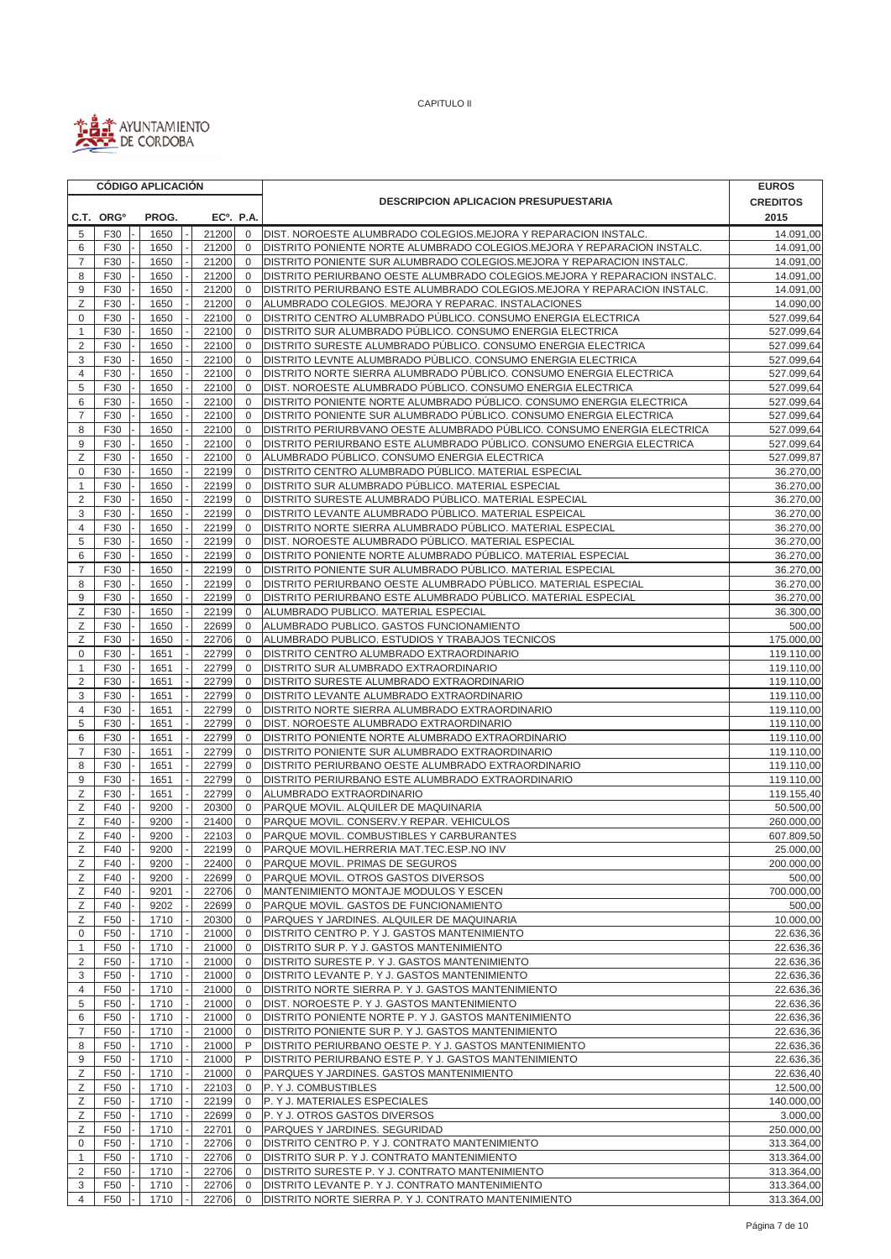

|                         |                                    | <b>CÓDIGO APLICACIÓN</b> |                        |                             |                                                                                                                                               | <b>EUROS</b>             |  |  |  |
|-------------------------|------------------------------------|--------------------------|------------------------|-----------------------------|-----------------------------------------------------------------------------------------------------------------------------------------------|--------------------------|--|--|--|
|                         |                                    |                          |                        |                             | <b>DESCRIPCION APLICACION PRESUPUESTARIA</b>                                                                                                  |                          |  |  |  |
|                         | C.T. ORG <sup>o</sup>              | PROG.                    | EC <sup>o</sup> . P.A. |                             |                                                                                                                                               | 2015                     |  |  |  |
| 5                       | F30                                | 1650                     | 21200                  | $\mathbf 0$                 | DIST. NOROESTE ALUMBRADO COLEGIOS.MEJORA Y REPARACION INSTALC.                                                                                | 14.091,00                |  |  |  |
| 6                       | F30                                | 1650                     | 21200                  | $\mathbf{0}$                | DISTRITO PONIENTE NORTE ALUMBRADO COLEGIOS.MEJORA Y REPARACION INSTALC.                                                                       | 14.091,00                |  |  |  |
| $\overline{7}$          | F30                                | 1650                     | 21200                  | $\mathbf 0$                 | DISTRITO PONIENTE SUR ALUMBRADO COLEGIOS.MEJORA Y REPARACION INSTALC.                                                                         | 14.091,00                |  |  |  |
| 8                       | F30                                | 1650                     | 21200                  | $\mathbf{0}$                | DISTRITO PERIURBANO OESTE ALUMBRADO COLEGIOS.MEJORA Y REPARACION INSTALC.                                                                     | 14.091,00                |  |  |  |
| 9                       | F30                                | 1650                     | 21200                  | $\mathbf 0$                 | DISTRITO PERIURBANO ESTE ALUMBRADO COLEGIOS.MEJORA Y REPARACION INSTALC.                                                                      | 14.091,00                |  |  |  |
| Z                       | F30                                | 1650                     | 21200                  | $\mathbf{0}$                | ALUMBRADO COLEGIOS. MEJORA Y REPARAC. INSTALACIONES                                                                                           | 14.090,00                |  |  |  |
| $\mathbf 0$             | F30                                | 1650                     | 22100                  | $\mathbf{0}$                | DISTRITO CENTRO ALUMBRADO PÚBLICO. CONSUMO ENERGIA ELECTRICA                                                                                  | 527.099,64               |  |  |  |
| $\mathbf{1}$            | F30                                | 1650                     | 22100                  | $\Omega$                    | DISTRITO SUR ALUMBRADO PÚBLICO. CONSUMO ENERGIA ELECTRICA                                                                                     | 527.099,64               |  |  |  |
| $\overline{\mathbf{c}}$ | F30                                | 1650                     | 22100                  | $\mathbf 0$                 | DISTRITO SURESTE ALUMBRADO PÚBLICO. CONSUMO ENERGIA ELECTRICA                                                                                 | 527.099,64               |  |  |  |
| 3                       | F30                                | 1650                     | 22100                  | $\mathbf{0}$                | DISTRITO LEVNTE ALUMBRADO PÚBLICO. CONSUMO ENERGIA ELECTRICA                                                                                  | 527.099,64               |  |  |  |
| $\overline{4}$          | F30                                | 1650                     | 22100                  | $\mathbf{0}$                | DISTRITO NORTE SIERRA ALUMBRADO PÚBLICO. CONSUMO ENERGIA ELECTRICA                                                                            | 527.099,64               |  |  |  |
| 5                       | F30                                | 1650                     | 22100                  | $\mathbf{0}$                | DIST. NOROESTE ALUMBRADO PÚBLICO. CONSUMO ENERGIA ELECTRICA                                                                                   | 527.099,64               |  |  |  |
| 6                       | F30                                | 1650                     | 22100                  | $\mathbf 0$                 | DISTRITO PONIENTE NORTE ALUMBRADO PÚBLICO. CONSUMO ENERGIA ELECTRICA                                                                          | 527.099,64               |  |  |  |
| $\overline{7}$<br>8     | F30                                | 1650<br>1650             | 22100                  | $\mathbf{0}$<br>$\mathbf 0$ | DISTRITO PONIENTE SUR ALUMBRADO PÚBLICO. CONSUMO ENERGIA ELECTRICA<br>DISTRITO PERIURBVANO OESTE ALUMBRADO PÚBLICO. CONSUMO ENERGIA ELECTRICA | 527.099,64               |  |  |  |
| 9                       | F30<br>F30                         | 1650                     | 22100<br>22100         | $\mathbf{0}$                | DISTRITO PERIURBANO ESTE ALUMBRADO PÚBLICO. CONSUMO ENERGIA ELECTRICA                                                                         | 527.099,64<br>527.099,64 |  |  |  |
| Ζ                       | F30                                | 1650                     | 22100                  | $\mathbf 0$                 | ALUMBRADO PÚBLICO. CONSUMO ENERGIA ELECTRICA                                                                                                  | 527.099,87               |  |  |  |
| 0                       | F30                                | 1650                     | 22199                  | $\mathbf 0$                 | DISTRITO CENTRO ALUMBRADO PÚBLICO. MATERIAL ESPECIAL                                                                                          | 36.270,00                |  |  |  |
| 1                       | F30                                | 1650                     | 22199                  | $\mathbf 0$                 | DISTRITO SUR ALUMBRADO PÚBLICO. MATERIAL ESPECIAL                                                                                             | 36.270,00                |  |  |  |
| 2                       | F30                                | 1650                     | 22199                  | $\mathbf 0$                 | DISTRITO SURESTE ALUMBRADO PÚBLICO. MATERIAL ESPECIAL                                                                                         | 36.270,00                |  |  |  |
| 3                       | F30                                | 1650                     | 22199                  | $\mathbf{0}$                | DISTRITO LEVANTE ALUMBRADO PÚBLICO. MATERIAL ESPEICAL                                                                                         | 36.270,00                |  |  |  |
| 4                       | F30                                | 1650                     | 22199                  | $\mathbf 0$                 | DISTRITO NORTE SIERRA ALUMBRADO PÚBLICO. MATERIAL ESPECIAL                                                                                    | 36.270,00                |  |  |  |
| 5                       | F30                                | 1650                     | 22199                  | $\mathbf{0}$                | DIST. NOROESTE ALUMBRADO PÚBLICO. MATERIAL ESPECIAL                                                                                           | 36.270,00                |  |  |  |
| 6                       | F30                                | 1650                     | 22199                  | $\mathbf{0}$                | DISTRITO PONIENTE NORTE ALUMBRADO PÚBLICO. MATERIAL ESPECIAL                                                                                  | 36.270,00                |  |  |  |
| $\overline{7}$          | F30                                | 1650                     | 22199                  | $\mathbf 0$                 | DISTRITO PONIENTE SUR ALUMBRADO PÚBLICO. MATERIAL ESPECIAL                                                                                    | 36.270,00                |  |  |  |
| 8                       | F30                                | 1650                     | 22199                  | $\mathbf 0$                 | DISTRITO PERIURBANO OESTE ALUMBRADO PÚBLICO. MATERIAL ESPECIAL                                                                                | 36.270,00                |  |  |  |
| 9                       | F30                                | 1650                     | 22199                  | $\mathbf 0$                 | DISTRITO PERIURBANO ESTE ALUMBRADO PÚBLICO. MATERIAL ESPECIAL                                                                                 | 36.270,00                |  |  |  |
| Z                       | F30                                | 1650                     | 22199                  | $\mathbf{0}$                | ALUMBRADO PUBLICO. MATERIAL ESPECIAL                                                                                                          | 36.300,00                |  |  |  |
| Ζ                       | F30                                | 1650                     | 22699                  | $\mathbf{0}$                | ALUMBRADO PUBLICO. GASTOS FUNCIONAMIENTO                                                                                                      | 500,00                   |  |  |  |
| Ζ                       | F30                                | 1650                     | 22706                  | $\mathbf 0$                 | ALUMBRADO PUBLICO. ESTUDIOS Y TRABAJOS TECNICOS                                                                                               | 175.000,00               |  |  |  |
| 0                       | F30                                | 1651                     | 22799                  | $\mathbf 0$                 | DISTRITO CENTRO ALUMBRADO EXTRAORDINARIO                                                                                                      | 119.110,00               |  |  |  |
| 1                       | F30                                | 1651                     | 22799                  | $\mathbf{0}$                | DISTRITO SUR ALUMBRADO EXTRAORDINARIO                                                                                                         | 119.110,00               |  |  |  |
| $\overline{c}$          | F30                                | 1651                     | 22799                  | $\mathbf 0$                 | DISTRITO SURESTE ALUMBRADO EXTRAORDINARIO                                                                                                     | 119.110,00               |  |  |  |
| 3                       | F30                                | 1651                     | 22799                  | $\mathbf 0$<br>$\mathbf 0$  | DISTRITO LEVANTE ALUMBRADO EXTRAORDINARIO                                                                                                     | 119.110,00               |  |  |  |
| 4<br>5                  | F30<br>F30                         | 1651<br>1651             | 22799<br>22799         | $\mathbf{0}$                | DISTRITO NORTE SIERRA ALUMBRADO EXTRAORDINARIO<br>DIST. NOROESTE ALUMBRADO EXTRAORDINARIO                                                     | 119.110,00<br>119.110,00 |  |  |  |
| 6                       | F30                                | 1651                     | 22799                  | $\mathbf 0$                 | DISTRITO PONIENTE NORTE ALUMBRADO EXTRAORDINARIO                                                                                              | 119.110,00               |  |  |  |
| $\overline{7}$          | F30                                | 1651                     | 22799                  | $\mathbf 0$                 | DISTRITO PONIENTE SUR ALUMBRADO EXTRAORDINARIO                                                                                                | 119.110,00               |  |  |  |
| 8                       | F30                                | 1651                     | 22799                  | $\mathbf{0}$                | DISTRITO PERIURBANO OESTE ALUMBRADO EXTRAORDINARIO                                                                                            | 119.110,00               |  |  |  |
| 9                       | F30                                | 1651                     | 22799                  | $\mathbf 0$                 | DISTRITO PERIURBANO ESTE ALUMBRADO EXTRAORDINARIO                                                                                             | 119.110,00               |  |  |  |
| Ζ                       | F30                                | 1651                     | 22799                  | $\mathbf 0$                 | ALUMBRADO EXTRAORDINARIO                                                                                                                      | 119.155,40               |  |  |  |
| Ζ                       | F40                                | 9200                     | 20300                  | $\mathbf 0$                 | PARQUE MOVIL. ALQUILER DE MAQUINARIA                                                                                                          | 50.500,00                |  |  |  |
| Ζ                       | F40                                | 9200                     | 21400                  | $\mathbf{0}$                | PARQUE MOVIL. CONSERV.Y REPAR. VEHICULOS                                                                                                      | 260.000,00               |  |  |  |
| Ζ                       | F40                                | 9200                     | 22103                  | $\mathbf 0$                 | PARQUE MOVIL. COMBUSTIBLES Y CARBURANTES                                                                                                      | 607.809,50               |  |  |  |
| Ζ                       | F40                                | 9200                     | 22199                  | $\mathbf{0}$                | <b>PARQUE MOVIL.HERRERIA MAT.TEC.ESP.NO INV</b>                                                                                               | 25.000,00                |  |  |  |
| Ζ                       | F40                                | 9200                     | 22400                  | $\mathbf 0$                 | PARQUE MOVIL. PRIMAS DE SEGUROS                                                                                                               | 200.000,00               |  |  |  |
| Ζ                       | F40                                | 9200                     | 22699                  | 0                           | PARQUE MOVIL. OTROS GASTOS DIVERSOS                                                                                                           | 500,00                   |  |  |  |
| Ζ                       | F40                                | 9201                     | 22706                  | $\mathbf 0$                 | MANTENIMIENTO MONTAJE MODULOS Y ESCEN                                                                                                         | 700.000,00               |  |  |  |
| Ζ                       | F40                                | 9202                     | 22699                  | $\mathbf{0}$                | PARQUE MOVIL. GASTOS DE FUNCIONAMIENTO                                                                                                        | 500,00                   |  |  |  |
| Ζ                       | F50                                | 1710                     | 20300                  | $\mathbf 0$                 | PARQUES Y JARDINES. ALQUILER DE MAQUINARIA                                                                                                    | 10.000,00                |  |  |  |
| 0                       | F <sub>50</sub>                    | 1710                     | 21000                  | $\mathbf 0$                 | DISTRITO CENTRO P. Y J. GASTOS MANTENIMIENTO                                                                                                  | 22.636,36                |  |  |  |
| 1<br>$\overline{2}$     | F <sub>50</sub><br>F <sub>50</sub> | 1710<br>1710             | 21000                  | $\mathbf 0$<br>$\mathbf 0$  | DISTRITO SUR P. Y J. GASTOS MANTENIMIENTO                                                                                                     | 22.636,36                |  |  |  |
| 3                       | F <sub>50</sub>                    | 1710                     | 21000<br>21000         | $\mathbf 0$                 | DISTRITO SURESTE P. Y J. GASTOS MANTENIMIENTO                                                                                                 | 22.636,36                |  |  |  |
| 4                       | F <sub>50</sub>                    | 1710                     | 21000                  | $\mathbf 0$                 | DISTRITO LEVANTE P. Y J. GASTOS MANTENIMIENTO<br>DISTRITO NORTE SIERRA P. Y J. GASTOS MANTENIMIENTO                                           | 22.636,36<br>22.636,36   |  |  |  |
| 5                       | F <sub>50</sub>                    | 1710                     | 21000                  | $\mathbf 0$                 | DIST. NOROESTE P. Y J. GASTOS MANTENIMIENTO                                                                                                   | 22.636,36                |  |  |  |
| 6                       | F <sub>50</sub>                    | 1710                     | 21000                  | $\mathbf 0$                 | DISTRITO PONIENTE NORTE P. Y J. GASTOS MANTENIMIENTO                                                                                          | 22.636,36                |  |  |  |
| $\overline{7}$          | F50                                | 1710                     | 21000                  | $\mathbf 0$                 | DISTRITO PONIENTE SUR P. Y J. GASTOS MANTENIMIENTO                                                                                            | 22.636,36                |  |  |  |
| 8                       | F <sub>50</sub>                    | 1710                     | 21000                  | P                           | DISTRITO PERIURBANO OESTE P. Y J. GASTOS MANTENIMIENTO                                                                                        | 22.636,36                |  |  |  |
| 9                       | F <sub>50</sub>                    | 1710                     | 21000                  | P                           | DISTRITO PERIURBANO ESTE P. Y J. GASTOS MANTENIMIENTO                                                                                         | 22.636,36                |  |  |  |
| Ζ                       | F <sub>50</sub>                    | 1710                     | 21000                  | 0                           | PARQUES Y JARDINES. GASTOS MANTENIMIENTO                                                                                                      | 22.636,40                |  |  |  |
| Ζ                       | F50                                | 1710                     | 22103                  | 0                           | P. Y J. COMBUSTIBLES                                                                                                                          | 12.500,00                |  |  |  |
| Ζ                       | F <sub>50</sub>                    | 1710                     | 22199                  | 0                           | P. Y J. MATERIALES ESPECIALES                                                                                                                 | 140.000,00               |  |  |  |
| Ζ                       | F <sub>50</sub>                    | 1710                     | 22699                  | $\mathbf 0$                 | P. Y J. OTROS GASTOS DIVERSOS                                                                                                                 | 3.000,00                 |  |  |  |
| Ζ                       | F50                                | 1710                     | 22701                  | $\mathbf 0$                 | PARQUES Y JARDINES. SEGURIDAD                                                                                                                 | 250.000,00               |  |  |  |
| $\mathbf 0$             | F50                                | 1710                     | 22706                  | $\mathbf 0$                 | DISTRITO CENTRO P. Y J. CONTRATO MANTENIMIENTO                                                                                                | 313.364,00               |  |  |  |
| 1                       | F <sub>50</sub>                    | 1710                     | 22706                  | $\mathbf 0$                 | DISTRITO SUR P. Y J. CONTRATO MANTENIMIENTO                                                                                                   | 313.364,00               |  |  |  |
| $\overline{2}$          | F <sub>50</sub>                    | 1710                     | 22706                  | $\mathbf 0$                 | DISTRITO SURESTE P. Y J. CONTRATO MANTENIMIENTO                                                                                               | 313.364,00               |  |  |  |
| 3                       | F <sub>50</sub>                    | 1710                     | 22706                  | $\mathbf 0$                 | DISTRITO LEVANTE P. Y J. CONTRATO MANTENIMIENTO                                                                                               | 313.364,00               |  |  |  |
| 4                       | F50                                | 1710                     | 22706                  | $\mathbf 0$                 | DISTRITO NORTE SIERRA P. Y J. CONTRATO MANTENIMIENTO                                                                                          | 313.364,00               |  |  |  |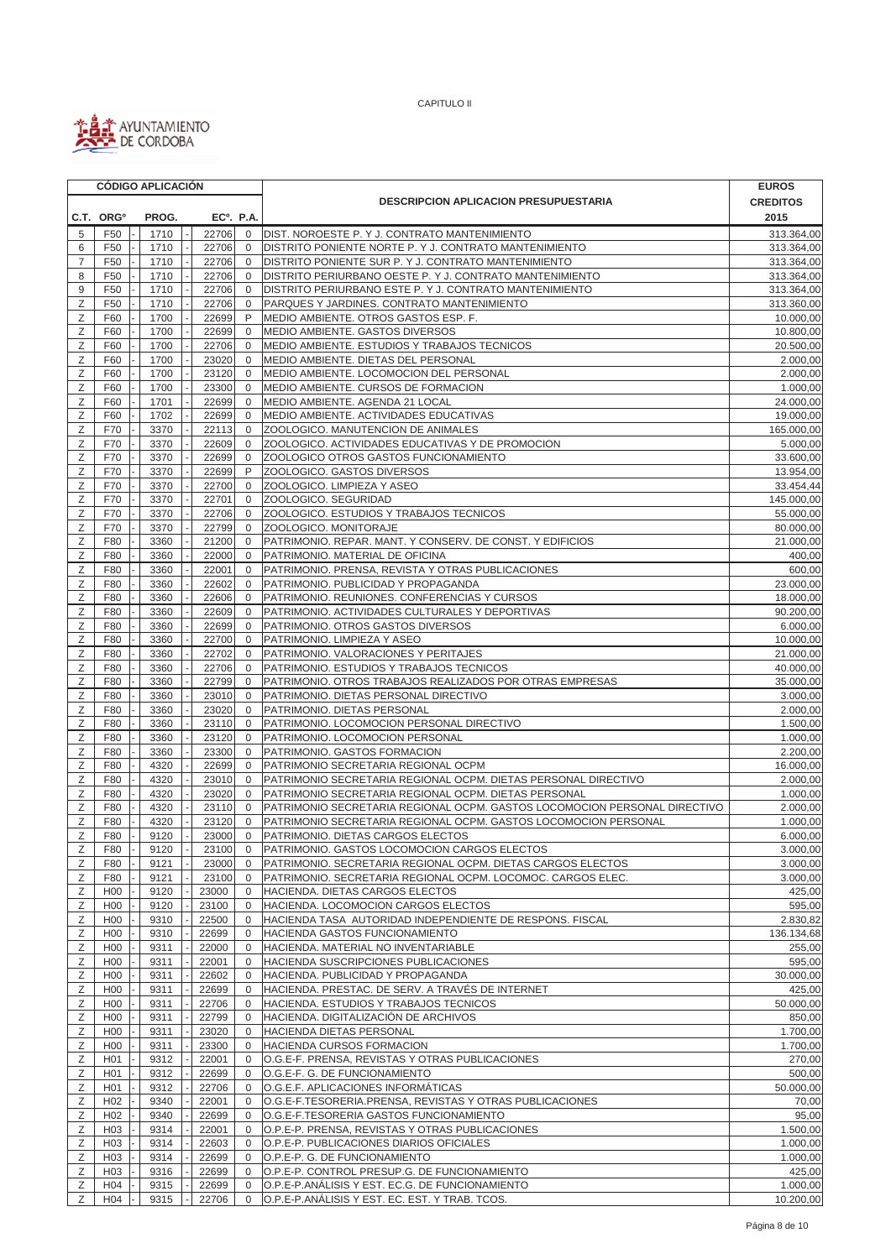

| <b>CREDITOS</b><br><b>DESCRIPCION APLICACION PRESUPUESTARIA</b><br>C.T. ORG <sup>o</sup><br>PROG.<br>$EC0$ . P.A.<br>2015<br>F50<br>1710<br>22706<br>DIST. NOROESTE P. Y J. CONTRATO MANTENIMIENTO<br>5<br>$\mathbf 0$<br>313.364,00<br>6<br>F50<br>1710<br>22706<br>$\mathbf{0}$<br>DISTRITO PONIENTE NORTE P. Y J. CONTRATO MANTENIMIENTO<br>313.364,00<br>$\overline{7}$<br>F50<br>1710<br>22706<br>$\mathbf{0}$<br>DISTRITO PONIENTE SUR P. Y J. CONTRATO MANTENIMIENTO<br>313.364,00<br>8<br>1710<br>22706<br>DISTRITO PERIURBANO OESTE P. Y J. CONTRATO MANTENIMIENTO<br>F <sub>50</sub><br>$\mathbf 0$<br>313.364,00<br>9<br>F <sub>50</sub><br>1710<br>22706<br>$\mathbf 0$<br>DISTRITO PERIURBANO ESTE P. Y J. CONTRATO MANTENIMIENTO<br>313.364,00<br>Z<br>F50<br>1710<br>22706<br>$\mathbf 0$<br>PARQUES Y JARDINES. CONTRATO MANTENIMIENTO<br>313.360,00<br>P<br>Ζ<br>F60<br>1700<br>MEDIO AMBIENTE. OTROS GASTOS ESP. F.<br>22699<br>10.000,00<br>Ζ<br>F60<br>1700<br>22699<br>$\mathbf 0$<br>MEDIO AMBIENTE. GASTOS DIVERSOS<br>10.800,00<br>Z<br>F60<br>1700<br>22706<br>$\mathbf 0$<br>MEDIO AMBIENTE. ESTUDIOS Y TRABAJOS TECNICOS<br>20.500,00<br>Ζ<br>F60<br>1700<br>23020<br>$\mathbf 0$<br>MEDIO AMBIENTE. DIETAS DEL PERSONAL<br>2.000,00<br>Ζ<br>F60<br>1700<br>23120<br>$\mathbf{0}$<br>MEDIO AMBIENTE. LOCOMOCION DEL PERSONAL<br>2.000,00<br>Ζ<br>F60<br>1700<br>23300<br>MEDIO AMBIENTE. CURSOS DE FORMACION<br>1.000,00<br>$\mathbf{0}$<br>Ζ<br>F60<br>1701<br>22699<br>$\mathbf{0}$<br>MEDIO AMBIENTE. AGENDA 21 LOCAL<br>24.000,00<br>Ζ<br>F60<br>1702<br>22699<br>$\mathbf 0$<br>MEDIO AMBIENTE. ACTIVIDADES EDUCATIVAS<br>19.000,00<br>Ζ<br>22113<br>ZOOLOGICO. MANUTENCION DE ANIMALES<br>F70<br>3370<br>$\mathbf 0$<br>165.000,00<br>Z<br>F70<br>3370<br>22609<br>$\mathbf 0$<br>ZOOLOGICO. ACTIVIDADES EDUCATIVAS Y DE PROMOCION<br>5.000,00<br>Ζ<br>22699<br>ZOOLOGICO OTROS GASTOS FUNCIONAMIENTO<br>F70<br>3370<br>$\mathbf 0$<br>33.600,00<br>P<br>Ζ<br>F70<br>3370<br>22699<br>ZOOLOGICO. GASTOS DIVERSOS<br>13.954,00<br>Ζ<br>F70<br>3370<br>22700<br>$\mathbf 0$<br>ZOOLOGICO. LIMPIEZA Y ASEO<br>33.454,44<br>Ζ<br>3370<br>22701<br>ZOOLOGICO. SEGURIDAD<br>F70<br>$\mathbf 0$<br>145.000,00<br>Ζ<br>F70<br>3370<br>22706<br>$\mathbf 0$<br>ZOOLOGICO. ESTUDIOS Y TRABAJOS TECNICOS<br>55.000,00<br>Ζ<br>F70<br>22799<br>$\mathbf 0$<br>ZOOLOGICO. MONITORAJE<br>3370<br>80.000,00<br>PATRIMONIO. REPAR. MANT. Y CONSERV. DE CONST. Y EDIFICIOS<br>Ζ<br>F80<br>3360<br>21200<br>$\mathbf 0$<br>21.000,00<br>Ζ<br>F80<br>3360<br>22000<br>0<br>PATRIMONIO. MATERIAL DE OFICINA<br>400,00<br>Ζ<br>F80<br>3360<br>22001<br>$\mathbf 0$<br>PATRIMONIO. PRENSA, REVISTA Y OTRAS PUBLICACIONES<br>600,00<br>Ζ<br>F80<br>3360<br>22602<br>PATRIMONIO. PUBLICIDAD Y PROPAGANDA<br>23.000,00<br>$\mathbf 0$<br>Ζ<br>F80<br>22606<br>$\mathbf 0$<br>PATRIMONIO. REUNIONES. CONFERENCIAS Y CURSOS<br>18.000,00<br>3360<br>Ζ<br>F80<br>3360<br>22609<br>90.200,00<br>$\mathbf 0$<br>PATRIMONIO. ACTIVIDADES CULTURALES Y DEPORTIVAS<br>Ζ<br>3360<br>22699<br>PATRIMONIO. OTROS GASTOS DIVERSOS<br>6.000,00<br>F80<br>$\mathbf 0$<br>Ζ<br>F80<br>3360<br>22700<br>$\mathbf 0$<br>PATRIMONIO. LIMPIEZA Y ASEO<br>10.000,00<br>22702<br>$\mathbf 0$<br>PATRIMONIO. VALORACIONES Y PERITAJES<br>Ζ<br>F80<br>3360<br>21.000,00<br>Ζ<br>F80<br>3360<br>22706<br>$\mathbf 0$<br>PATRIMONIO. ESTUDIOS Y TRABAJOS TECNICOS<br>40.000,00<br>Ζ<br>3360<br>22799<br>PATRIMONIO. OTROS TRABAJOS REALIZADOS POR OTRAS EMPRESAS<br>35.000,00<br>F80<br>0<br>Ζ<br>F80<br>3360<br>23010<br>$\mathbf 0$<br>PATRIMONIO. DIETAS PERSONAL DIRECTIVO<br>3.000,00<br>Ζ<br>F80<br>3360<br>23020<br>$\mathbf 0$<br>PATRIMONIO. DIETAS PERSONAL<br>2.000,00<br>Ζ<br>PATRIMONIO. LOCOMOCION PERSONAL DIRECTIVO<br>1.500,00<br>F80<br>3360<br>23110<br>$\mathbf 0$<br>Ζ<br>F80<br>3360<br>23120<br>$\mathbf{0}$<br>PATRIMONIO. LOCOMOCION PERSONAL<br>1.000,00<br>Ζ<br>F80<br>3360<br>23300<br>$\mathbf{0}$<br>PATRIMONIO. GASTOS FORMACION<br>2.200,00<br>Ζ<br>F80<br>4320<br>22699<br>$\mathbf{0}$<br>PATRIMONIO SECRETARIA REGIONAL OCPM<br>16.000,00<br>Ζ<br>23010<br>PATRIMONIO SECRETARIA REGIONAL OCPM. DIETAS PERSONAL DIRECTIVO<br>F80<br>4320<br>$\mathbf 0$<br>2.000,00<br>Ζ<br>F80<br>4320<br>23020<br>$\mathbf 0$<br>PATRIMONIO SECRETARIA REGIONAL OCPM. DIETAS PERSONAL<br>1.000,00<br>Ζ<br>F80<br>4320<br>23110<br>$\mathbf 0$<br>PATRIMONIO SECRETARIA REGIONAL OCPM. GASTOS LOCOMOCION PERSONAL DIRECTIVO<br>2.000,00<br>Z<br>F80<br>4320<br>23120<br>$\mathbf{0}$<br>PATRIMONIO SECRETARIA REGIONAL OCPM. GASTOS LOCOMOCION PERSONAL<br>1.000,00<br>Ζ<br>F80<br>9120<br>23000<br>$\mathbf 0$<br>PATRIMONIO. DIETAS CARGOS ELECTOS<br>6.000.00<br>Ζ<br>F80<br>9120<br>23100<br>$\mathbf 0$<br>PATRIMONIO. GASTOS LOCOMOCION CARGOS ELECTOS<br>3.000,00<br>Ζ<br>3.000,00<br>F80<br>9121<br>23000<br>PATRIMONIO. SECRETARIA REGIONAL OCPM. DIETAS CARGOS ELECTOS<br>$\overline{0}$<br>Ζ<br>3.000,00<br>F80<br>9121<br>23100<br>PATRIMONIO. SECRETARIA REGIONAL OCPM. LOCOMOC. CARGOS ELEC.<br>0<br>Ζ<br>425,00<br>H <sub>0</sub><br>9120<br>23000<br>$\mathbf 0$<br>HACIENDA. DIETAS CARGOS ELECTOS<br>Ζ<br>H <sub>00</sub><br>9120<br>23100<br>HACIENDA. LOCOMOCION CARGOS ELECTOS<br>595,00<br>0<br>Ζ<br>H <sub>00</sub><br>9310<br>HACIENDA TASA AUTORIDAD INDEPENDIENTE DE RESPONS. FISCAL<br>2.830,82<br>22500<br>0<br>Ζ<br>9310<br>HACIENDA GASTOS FUNCIONAMIENTO<br>H <sub>00</sub><br>22699<br>136.134,68<br>0<br>Ζ<br>H <sub>00</sub><br>9311<br>255,00<br>22000<br>$\mathbf 0$<br>HACIENDA. MATERIAL NO INVENTARIABLE<br>Ζ<br>H <sub>00</sub><br>9311<br>22001<br>HACIENDA SUSCRIPCIONES PUBLICACIONES<br>595,00<br>$\mathbf 0$<br>Ζ<br>HACIENDA. PUBLICIDAD Y PROPAGANDA<br>H <sub>0</sub><br>9311<br>22602<br>30.000,00<br>0<br>Ζ<br>HACIENDA. PRESTAC. DE SERV. A TRAVÉS DE INTERNET<br>425,00<br>H <sub>0</sub><br>9311<br>22699<br>$\mathbf 0$<br>HACIENDA. ESTUDIOS Y TRABAJOS TECNICOS<br>Ζ<br>H <sub>0</sub><br>9311<br>22706<br>50.000,00<br>0<br>850,00<br>Ζ<br>H <sub>00</sub><br>9311<br>22799<br>HACIENDA. DIGITALIZACIÓN DE ARCHIVOS<br>0<br>Ζ<br>1.700,00<br>H <sub>00</sub><br>9311<br>23020<br>HACIENDA DIETAS PERSONAL<br>0<br>Ζ<br>H <sub>00</sub><br>HACIENDA CURSOS FORMACION<br>1.700,00<br>9311<br>23300<br>0<br>Ζ<br>9312<br>270,00<br>H <sub>0</sub> 1<br>22001<br>O.G.E-F. PRENSA, REVISTAS Y OTRAS PUBLICACIONES<br>0<br>500,00<br>Ζ<br>H <sub>0</sub> 1<br>9312<br>22699<br>O.G.E-F. G. DE FUNCIONAMIENTO<br>0<br>Ζ<br>9312<br>22706<br>O.G.E.F. APLICACIONES INFORMÁTICAS<br>50.000,00<br>H <sub>0</sub> 1<br>$\mathbf{0}$<br>Ζ<br>H <sub>02</sub><br>9340<br>22001<br>O.G.E-F.TESORERIA.PRENSA, REVISTAS Y OTRAS PUBLICACIONES<br>70,00<br>0<br>95,00<br>Ζ<br>H <sub>02</sub><br>9340<br>22699<br>O.G.E-F.TESORERIA GASTOS FUNCIONAMIENTO<br>0<br>Ζ<br>H <sub>03</sub><br>9314<br>22001<br>O.P.E-P. PRENSA, REVISTAS Y OTRAS PUBLICACIONES<br>1.500,00<br>0<br>Ζ<br>H <sub>03</sub><br>9314<br>1.000,00<br>22603<br>0<br>O.P.E-P. PUBLICACIONES DIARIOS OFICIALES<br>Ζ<br>9314<br>O.P.E-P. G. DE FUNCIONAMIENTO<br>1.000,00<br>H <sub>03</sub><br>22699<br>0<br>Ζ<br>H <sub>03</sub><br>O.P.E-P. CONTROL PRESUP.G. DE FUNCIONAMIENTO<br>425,00<br>9316<br>22699<br>0<br>1.000,00<br>Ζ<br>H <sub>04</sub><br>9315<br>22699<br>$\mathbf 0$<br>O.P.E-P.ANALISIS Y EST. EC.G. DE FUNCIONAMIENTO<br>Ζ<br>O.P.E-P.ANÁLISIS Y EST. EC. EST. Y TRAB. TCOS.<br>10.200,00<br>H04<br>9315<br>22706<br>$\mathbf{0}$ |  |  | <b>CÓDIGO APLICACIÓN</b> |  |  |  | <b>EUROS</b> |
|--------------------------------------------------------------------------------------------------------------------------------------------------------------------------------------------------------------------------------------------------------------------------------------------------------------------------------------------------------------------------------------------------------------------------------------------------------------------------------------------------------------------------------------------------------------------------------------------------------------------------------------------------------------------------------------------------------------------------------------------------------------------------------------------------------------------------------------------------------------------------------------------------------------------------------------------------------------------------------------------------------------------------------------------------------------------------------------------------------------------------------------------------------------------------------------------------------------------------------------------------------------------------------------------------------------------------------------------------------------------------------------------------------------------------------------------------------------------------------------------------------------------------------------------------------------------------------------------------------------------------------------------------------------------------------------------------------------------------------------------------------------------------------------------------------------------------------------------------------------------------------------------------------------------------------------------------------------------------------------------------------------------------------------------------------------------------------------------------------------------------------------------------------------------------------------------------------------------------------------------------------------------------------------------------------------------------------------------------------------------------------------------------------------------------------------------------------------------------------------------------------------------------------------------------------------------------------------------------------------------------------------------------------------------------------------------------------------------------------------------------------------------------------------------------------------------------------------------------------------------------------------------------------------------------------------------------------------------------------------------------------------------------------------------------------------------------------------------------------------------------------------------------------------------------------------------------------------------------------------------------------------------------------------------------------------------------------------------------------------------------------------------------------------------------------------------------------------------------------------------------------------------------------------------------------------------------------------------------------------------------------------------------------------------------------------------------------------------------------------------------------------------------------------------------------------------------------------------------------------------------------------------------------------------------------------------------------------------------------------------------------------------------------------------------------------------------------------------------------------------------------------------------------------------------------------------------------------------------------------------------------------------------------------------------------------------------------------------------------------------------------------------------------------------------------------------------------------------------------------------------------------------------------------------------------------------------------------------------------------------------------------------------------------------------------------------------------------------------------------------------------------------------------------------------------------------------------------------------------------------------------------------------------------------------------------------------------------------------------------------------------------------------------------------------------------------------------------------------------------------------------------------------------------------------------------------------------------------------------------------------------------------------------------------------------------------------------------------------------------------------------------------------------------------------------------------------------------------------------------------------------------------------------------------------------------------------------------------------------------------------------------------------------------------------------------------------------------------------------------------------------------------------------------------------------------------------------------------------------------------------------------------------------------------------------------------------------------------------------------------------------------------------------------------------------------------------------------------------------------------------------------------------------------------------------------------------------------------------------------------------------------------------------------------------------------------------------------------------------------------------------------------------------------------------------------------------------------------------------------------------------------------------------------------------------------------------------------------------------------------------------------------------------------------------------------------------------------------------------------------------------------------------------------------------------------------------------------------------------------------------------------------------------------------------------------------------------------------------------------------------------------------------------------------------------------------------------------------------------------------------------------------------------------------------------------------------------------------------------------------------------------------------------------------------------------------------------------------------------------------------------------------------------------------------------------------------------------------------------------------------------------------------------------------------------------------|--|--|--------------------------|--|--|--|--------------|
|                                                                                                                                                                                                                                                                                                                                                                                                                                                                                                                                                                                                                                                                                                                                                                                                                                                                                                                                                                                                                                                                                                                                                                                                                                                                                                                                                                                                                                                                                                                                                                                                                                                                                                                                                                                                                                                                                                                                                                                                                                                                                                                                                                                                                                                                                                                                                                                                                                                                                                                                                                                                                                                                                                                                                                                                                                                                                                                                                                                                                                                                                                                                                                                                                                                                                                                                                                                                                                                                                                                                                                                                                                                                                                                                                                                                                                                                                                                                                                                                                                                                                                                                                                                                                                                                                                                                                                                                                                                                                                                                                                                                                                                                                                                                                                                                                                                                                                                                                                                                                                                                                                                                                                                                                                                                                                                                                                                                                                                                                                                                                                                                                                                                                                                                                                                                                                                                                                                                                                                                                                                                                                                                                                                                                                                                                                                                                                                                                                                                                                                                                                                                                                                                                                                                                                                                                                                                                                                                                                                                                                                                                                                                                                                                                                                                                                                                                                                                                                                                                                                                                                    |  |  |                          |  |  |  |              |
|                                                                                                                                                                                                                                                                                                                                                                                                                                                                                                                                                                                                                                                                                                                                                                                                                                                                                                                                                                                                                                                                                                                                                                                                                                                                                                                                                                                                                                                                                                                                                                                                                                                                                                                                                                                                                                                                                                                                                                                                                                                                                                                                                                                                                                                                                                                                                                                                                                                                                                                                                                                                                                                                                                                                                                                                                                                                                                                                                                                                                                                                                                                                                                                                                                                                                                                                                                                                                                                                                                                                                                                                                                                                                                                                                                                                                                                                                                                                                                                                                                                                                                                                                                                                                                                                                                                                                                                                                                                                                                                                                                                                                                                                                                                                                                                                                                                                                                                                                                                                                                                                                                                                                                                                                                                                                                                                                                                                                                                                                                                                                                                                                                                                                                                                                                                                                                                                                                                                                                                                                                                                                                                                                                                                                                                                                                                                                                                                                                                                                                                                                                                                                                                                                                                                                                                                                                                                                                                                                                                                                                                                                                                                                                                                                                                                                                                                                                                                                                                                                                                                                                    |  |  |                          |  |  |  |              |
|                                                                                                                                                                                                                                                                                                                                                                                                                                                                                                                                                                                                                                                                                                                                                                                                                                                                                                                                                                                                                                                                                                                                                                                                                                                                                                                                                                                                                                                                                                                                                                                                                                                                                                                                                                                                                                                                                                                                                                                                                                                                                                                                                                                                                                                                                                                                                                                                                                                                                                                                                                                                                                                                                                                                                                                                                                                                                                                                                                                                                                                                                                                                                                                                                                                                                                                                                                                                                                                                                                                                                                                                                                                                                                                                                                                                                                                                                                                                                                                                                                                                                                                                                                                                                                                                                                                                                                                                                                                                                                                                                                                                                                                                                                                                                                                                                                                                                                                                                                                                                                                                                                                                                                                                                                                                                                                                                                                                                                                                                                                                                                                                                                                                                                                                                                                                                                                                                                                                                                                                                                                                                                                                                                                                                                                                                                                                                                                                                                                                                                                                                                                                                                                                                                                                                                                                                                                                                                                                                                                                                                                                                                                                                                                                                                                                                                                                                                                                                                                                                                                                                                    |  |  |                          |  |  |  |              |
|                                                                                                                                                                                                                                                                                                                                                                                                                                                                                                                                                                                                                                                                                                                                                                                                                                                                                                                                                                                                                                                                                                                                                                                                                                                                                                                                                                                                                                                                                                                                                                                                                                                                                                                                                                                                                                                                                                                                                                                                                                                                                                                                                                                                                                                                                                                                                                                                                                                                                                                                                                                                                                                                                                                                                                                                                                                                                                                                                                                                                                                                                                                                                                                                                                                                                                                                                                                                                                                                                                                                                                                                                                                                                                                                                                                                                                                                                                                                                                                                                                                                                                                                                                                                                                                                                                                                                                                                                                                                                                                                                                                                                                                                                                                                                                                                                                                                                                                                                                                                                                                                                                                                                                                                                                                                                                                                                                                                                                                                                                                                                                                                                                                                                                                                                                                                                                                                                                                                                                                                                                                                                                                                                                                                                                                                                                                                                                                                                                                                                                                                                                                                                                                                                                                                                                                                                                                                                                                                                                                                                                                                                                                                                                                                                                                                                                                                                                                                                                                                                                                                                                    |  |  |                          |  |  |  |              |
|                                                                                                                                                                                                                                                                                                                                                                                                                                                                                                                                                                                                                                                                                                                                                                                                                                                                                                                                                                                                                                                                                                                                                                                                                                                                                                                                                                                                                                                                                                                                                                                                                                                                                                                                                                                                                                                                                                                                                                                                                                                                                                                                                                                                                                                                                                                                                                                                                                                                                                                                                                                                                                                                                                                                                                                                                                                                                                                                                                                                                                                                                                                                                                                                                                                                                                                                                                                                                                                                                                                                                                                                                                                                                                                                                                                                                                                                                                                                                                                                                                                                                                                                                                                                                                                                                                                                                                                                                                                                                                                                                                                                                                                                                                                                                                                                                                                                                                                                                                                                                                                                                                                                                                                                                                                                                                                                                                                                                                                                                                                                                                                                                                                                                                                                                                                                                                                                                                                                                                                                                                                                                                                                                                                                                                                                                                                                                                                                                                                                                                                                                                                                                                                                                                                                                                                                                                                                                                                                                                                                                                                                                                                                                                                                                                                                                                                                                                                                                                                                                                                                                                    |  |  |                          |  |  |  |              |
|                                                                                                                                                                                                                                                                                                                                                                                                                                                                                                                                                                                                                                                                                                                                                                                                                                                                                                                                                                                                                                                                                                                                                                                                                                                                                                                                                                                                                                                                                                                                                                                                                                                                                                                                                                                                                                                                                                                                                                                                                                                                                                                                                                                                                                                                                                                                                                                                                                                                                                                                                                                                                                                                                                                                                                                                                                                                                                                                                                                                                                                                                                                                                                                                                                                                                                                                                                                                                                                                                                                                                                                                                                                                                                                                                                                                                                                                                                                                                                                                                                                                                                                                                                                                                                                                                                                                                                                                                                                                                                                                                                                                                                                                                                                                                                                                                                                                                                                                                                                                                                                                                                                                                                                                                                                                                                                                                                                                                                                                                                                                                                                                                                                                                                                                                                                                                                                                                                                                                                                                                                                                                                                                                                                                                                                                                                                                                                                                                                                                                                                                                                                                                                                                                                                                                                                                                                                                                                                                                                                                                                                                                                                                                                                                                                                                                                                                                                                                                                                                                                                                                                    |  |  |                          |  |  |  |              |
|                                                                                                                                                                                                                                                                                                                                                                                                                                                                                                                                                                                                                                                                                                                                                                                                                                                                                                                                                                                                                                                                                                                                                                                                                                                                                                                                                                                                                                                                                                                                                                                                                                                                                                                                                                                                                                                                                                                                                                                                                                                                                                                                                                                                                                                                                                                                                                                                                                                                                                                                                                                                                                                                                                                                                                                                                                                                                                                                                                                                                                                                                                                                                                                                                                                                                                                                                                                                                                                                                                                                                                                                                                                                                                                                                                                                                                                                                                                                                                                                                                                                                                                                                                                                                                                                                                                                                                                                                                                                                                                                                                                                                                                                                                                                                                                                                                                                                                                                                                                                                                                                                                                                                                                                                                                                                                                                                                                                                                                                                                                                                                                                                                                                                                                                                                                                                                                                                                                                                                                                                                                                                                                                                                                                                                                                                                                                                                                                                                                                                                                                                                                                                                                                                                                                                                                                                                                                                                                                                                                                                                                                                                                                                                                                                                                                                                                                                                                                                                                                                                                                                                    |  |  |                          |  |  |  |              |
|                                                                                                                                                                                                                                                                                                                                                                                                                                                                                                                                                                                                                                                                                                                                                                                                                                                                                                                                                                                                                                                                                                                                                                                                                                                                                                                                                                                                                                                                                                                                                                                                                                                                                                                                                                                                                                                                                                                                                                                                                                                                                                                                                                                                                                                                                                                                                                                                                                                                                                                                                                                                                                                                                                                                                                                                                                                                                                                                                                                                                                                                                                                                                                                                                                                                                                                                                                                                                                                                                                                                                                                                                                                                                                                                                                                                                                                                                                                                                                                                                                                                                                                                                                                                                                                                                                                                                                                                                                                                                                                                                                                                                                                                                                                                                                                                                                                                                                                                                                                                                                                                                                                                                                                                                                                                                                                                                                                                                                                                                                                                                                                                                                                                                                                                                                                                                                                                                                                                                                                                                                                                                                                                                                                                                                                                                                                                                                                                                                                                                                                                                                                                                                                                                                                                                                                                                                                                                                                                                                                                                                                                                                                                                                                                                                                                                                                                                                                                                                                                                                                                                                    |  |  |                          |  |  |  |              |
|                                                                                                                                                                                                                                                                                                                                                                                                                                                                                                                                                                                                                                                                                                                                                                                                                                                                                                                                                                                                                                                                                                                                                                                                                                                                                                                                                                                                                                                                                                                                                                                                                                                                                                                                                                                                                                                                                                                                                                                                                                                                                                                                                                                                                                                                                                                                                                                                                                                                                                                                                                                                                                                                                                                                                                                                                                                                                                                                                                                                                                                                                                                                                                                                                                                                                                                                                                                                                                                                                                                                                                                                                                                                                                                                                                                                                                                                                                                                                                                                                                                                                                                                                                                                                                                                                                                                                                                                                                                                                                                                                                                                                                                                                                                                                                                                                                                                                                                                                                                                                                                                                                                                                                                                                                                                                                                                                                                                                                                                                                                                                                                                                                                                                                                                                                                                                                                                                                                                                                                                                                                                                                                                                                                                                                                                                                                                                                                                                                                                                                                                                                                                                                                                                                                                                                                                                                                                                                                                                                                                                                                                                                                                                                                                                                                                                                                                                                                                                                                                                                                                                                    |  |  |                          |  |  |  |              |
|                                                                                                                                                                                                                                                                                                                                                                                                                                                                                                                                                                                                                                                                                                                                                                                                                                                                                                                                                                                                                                                                                                                                                                                                                                                                                                                                                                                                                                                                                                                                                                                                                                                                                                                                                                                                                                                                                                                                                                                                                                                                                                                                                                                                                                                                                                                                                                                                                                                                                                                                                                                                                                                                                                                                                                                                                                                                                                                                                                                                                                                                                                                                                                                                                                                                                                                                                                                                                                                                                                                                                                                                                                                                                                                                                                                                                                                                                                                                                                                                                                                                                                                                                                                                                                                                                                                                                                                                                                                                                                                                                                                                                                                                                                                                                                                                                                                                                                                                                                                                                                                                                                                                                                                                                                                                                                                                                                                                                                                                                                                                                                                                                                                                                                                                                                                                                                                                                                                                                                                                                                                                                                                                                                                                                                                                                                                                                                                                                                                                                                                                                                                                                                                                                                                                                                                                                                                                                                                                                                                                                                                                                                                                                                                                                                                                                                                                                                                                                                                                                                                                                                    |  |  |                          |  |  |  |              |
|                                                                                                                                                                                                                                                                                                                                                                                                                                                                                                                                                                                                                                                                                                                                                                                                                                                                                                                                                                                                                                                                                                                                                                                                                                                                                                                                                                                                                                                                                                                                                                                                                                                                                                                                                                                                                                                                                                                                                                                                                                                                                                                                                                                                                                                                                                                                                                                                                                                                                                                                                                                                                                                                                                                                                                                                                                                                                                                                                                                                                                                                                                                                                                                                                                                                                                                                                                                                                                                                                                                                                                                                                                                                                                                                                                                                                                                                                                                                                                                                                                                                                                                                                                                                                                                                                                                                                                                                                                                                                                                                                                                                                                                                                                                                                                                                                                                                                                                                                                                                                                                                                                                                                                                                                                                                                                                                                                                                                                                                                                                                                                                                                                                                                                                                                                                                                                                                                                                                                                                                                                                                                                                                                                                                                                                                                                                                                                                                                                                                                                                                                                                                                                                                                                                                                                                                                                                                                                                                                                                                                                                                                                                                                                                                                                                                                                                                                                                                                                                                                                                                                                    |  |  |                          |  |  |  |              |
|                                                                                                                                                                                                                                                                                                                                                                                                                                                                                                                                                                                                                                                                                                                                                                                                                                                                                                                                                                                                                                                                                                                                                                                                                                                                                                                                                                                                                                                                                                                                                                                                                                                                                                                                                                                                                                                                                                                                                                                                                                                                                                                                                                                                                                                                                                                                                                                                                                                                                                                                                                                                                                                                                                                                                                                                                                                                                                                                                                                                                                                                                                                                                                                                                                                                                                                                                                                                                                                                                                                                                                                                                                                                                                                                                                                                                                                                                                                                                                                                                                                                                                                                                                                                                                                                                                                                                                                                                                                                                                                                                                                                                                                                                                                                                                                                                                                                                                                                                                                                                                                                                                                                                                                                                                                                                                                                                                                                                                                                                                                                                                                                                                                                                                                                                                                                                                                                                                                                                                                                                                                                                                                                                                                                                                                                                                                                                                                                                                                                                                                                                                                                                                                                                                                                                                                                                                                                                                                                                                                                                                                                                                                                                                                                                                                                                                                                                                                                                                                                                                                                                                    |  |  |                          |  |  |  |              |
|                                                                                                                                                                                                                                                                                                                                                                                                                                                                                                                                                                                                                                                                                                                                                                                                                                                                                                                                                                                                                                                                                                                                                                                                                                                                                                                                                                                                                                                                                                                                                                                                                                                                                                                                                                                                                                                                                                                                                                                                                                                                                                                                                                                                                                                                                                                                                                                                                                                                                                                                                                                                                                                                                                                                                                                                                                                                                                                                                                                                                                                                                                                                                                                                                                                                                                                                                                                                                                                                                                                                                                                                                                                                                                                                                                                                                                                                                                                                                                                                                                                                                                                                                                                                                                                                                                                                                                                                                                                                                                                                                                                                                                                                                                                                                                                                                                                                                                                                                                                                                                                                                                                                                                                                                                                                                                                                                                                                                                                                                                                                                                                                                                                                                                                                                                                                                                                                                                                                                                                                                                                                                                                                                                                                                                                                                                                                                                                                                                                                                                                                                                                                                                                                                                                                                                                                                                                                                                                                                                                                                                                                                                                                                                                                                                                                                                                                                                                                                                                                                                                                                                    |  |  |                          |  |  |  |              |
|                                                                                                                                                                                                                                                                                                                                                                                                                                                                                                                                                                                                                                                                                                                                                                                                                                                                                                                                                                                                                                                                                                                                                                                                                                                                                                                                                                                                                                                                                                                                                                                                                                                                                                                                                                                                                                                                                                                                                                                                                                                                                                                                                                                                                                                                                                                                                                                                                                                                                                                                                                                                                                                                                                                                                                                                                                                                                                                                                                                                                                                                                                                                                                                                                                                                                                                                                                                                                                                                                                                                                                                                                                                                                                                                                                                                                                                                                                                                                                                                                                                                                                                                                                                                                                                                                                                                                                                                                                                                                                                                                                                                                                                                                                                                                                                                                                                                                                                                                                                                                                                                                                                                                                                                                                                                                                                                                                                                                                                                                                                                                                                                                                                                                                                                                                                                                                                                                                                                                                                                                                                                                                                                                                                                                                                                                                                                                                                                                                                                                                                                                                                                                                                                                                                                                                                                                                                                                                                                                                                                                                                                                                                                                                                                                                                                                                                                                                                                                                                                                                                                                                    |  |  |                          |  |  |  |              |
|                                                                                                                                                                                                                                                                                                                                                                                                                                                                                                                                                                                                                                                                                                                                                                                                                                                                                                                                                                                                                                                                                                                                                                                                                                                                                                                                                                                                                                                                                                                                                                                                                                                                                                                                                                                                                                                                                                                                                                                                                                                                                                                                                                                                                                                                                                                                                                                                                                                                                                                                                                                                                                                                                                                                                                                                                                                                                                                                                                                                                                                                                                                                                                                                                                                                                                                                                                                                                                                                                                                                                                                                                                                                                                                                                                                                                                                                                                                                                                                                                                                                                                                                                                                                                                                                                                                                                                                                                                                                                                                                                                                                                                                                                                                                                                                                                                                                                                                                                                                                                                                                                                                                                                                                                                                                                                                                                                                                                                                                                                                                                                                                                                                                                                                                                                                                                                                                                                                                                                                                                                                                                                                                                                                                                                                                                                                                                                                                                                                                                                                                                                                                                                                                                                                                                                                                                                                                                                                                                                                                                                                                                                                                                                                                                                                                                                                                                                                                                                                                                                                                                                    |  |  |                          |  |  |  |              |
|                                                                                                                                                                                                                                                                                                                                                                                                                                                                                                                                                                                                                                                                                                                                                                                                                                                                                                                                                                                                                                                                                                                                                                                                                                                                                                                                                                                                                                                                                                                                                                                                                                                                                                                                                                                                                                                                                                                                                                                                                                                                                                                                                                                                                                                                                                                                                                                                                                                                                                                                                                                                                                                                                                                                                                                                                                                                                                                                                                                                                                                                                                                                                                                                                                                                                                                                                                                                                                                                                                                                                                                                                                                                                                                                                                                                                                                                                                                                                                                                                                                                                                                                                                                                                                                                                                                                                                                                                                                                                                                                                                                                                                                                                                                                                                                                                                                                                                                                                                                                                                                                                                                                                                                                                                                                                                                                                                                                                                                                                                                                                                                                                                                                                                                                                                                                                                                                                                                                                                                                                                                                                                                                                                                                                                                                                                                                                                                                                                                                                                                                                                                                                                                                                                                                                                                                                                                                                                                                                                                                                                                                                                                                                                                                                                                                                                                                                                                                                                                                                                                                                                    |  |  |                          |  |  |  |              |
|                                                                                                                                                                                                                                                                                                                                                                                                                                                                                                                                                                                                                                                                                                                                                                                                                                                                                                                                                                                                                                                                                                                                                                                                                                                                                                                                                                                                                                                                                                                                                                                                                                                                                                                                                                                                                                                                                                                                                                                                                                                                                                                                                                                                                                                                                                                                                                                                                                                                                                                                                                                                                                                                                                                                                                                                                                                                                                                                                                                                                                                                                                                                                                                                                                                                                                                                                                                                                                                                                                                                                                                                                                                                                                                                                                                                                                                                                                                                                                                                                                                                                                                                                                                                                                                                                                                                                                                                                                                                                                                                                                                                                                                                                                                                                                                                                                                                                                                                                                                                                                                                                                                                                                                                                                                                                                                                                                                                                                                                                                                                                                                                                                                                                                                                                                                                                                                                                                                                                                                                                                                                                                                                                                                                                                                                                                                                                                                                                                                                                                                                                                                                                                                                                                                                                                                                                                                                                                                                                                                                                                                                                                                                                                                                                                                                                                                                                                                                                                                                                                                                                                    |  |  |                          |  |  |  |              |
|                                                                                                                                                                                                                                                                                                                                                                                                                                                                                                                                                                                                                                                                                                                                                                                                                                                                                                                                                                                                                                                                                                                                                                                                                                                                                                                                                                                                                                                                                                                                                                                                                                                                                                                                                                                                                                                                                                                                                                                                                                                                                                                                                                                                                                                                                                                                                                                                                                                                                                                                                                                                                                                                                                                                                                                                                                                                                                                                                                                                                                                                                                                                                                                                                                                                                                                                                                                                                                                                                                                                                                                                                                                                                                                                                                                                                                                                                                                                                                                                                                                                                                                                                                                                                                                                                                                                                                                                                                                                                                                                                                                                                                                                                                                                                                                                                                                                                                                                                                                                                                                                                                                                                                                                                                                                                                                                                                                                                                                                                                                                                                                                                                                                                                                                                                                                                                                                                                                                                                                                                                                                                                                                                                                                                                                                                                                                                                                                                                                                                                                                                                                                                                                                                                                                                                                                                                                                                                                                                                                                                                                                                                                                                                                                                                                                                                                                                                                                                                                                                                                                                                    |  |  |                          |  |  |  |              |
|                                                                                                                                                                                                                                                                                                                                                                                                                                                                                                                                                                                                                                                                                                                                                                                                                                                                                                                                                                                                                                                                                                                                                                                                                                                                                                                                                                                                                                                                                                                                                                                                                                                                                                                                                                                                                                                                                                                                                                                                                                                                                                                                                                                                                                                                                                                                                                                                                                                                                                                                                                                                                                                                                                                                                                                                                                                                                                                                                                                                                                                                                                                                                                                                                                                                                                                                                                                                                                                                                                                                                                                                                                                                                                                                                                                                                                                                                                                                                                                                                                                                                                                                                                                                                                                                                                                                                                                                                                                                                                                                                                                                                                                                                                                                                                                                                                                                                                                                                                                                                                                                                                                                                                                                                                                                                                                                                                                                                                                                                                                                                                                                                                                                                                                                                                                                                                                                                                                                                                                                                                                                                                                                                                                                                                                                                                                                                                                                                                                                                                                                                                                                                                                                                                                                                                                                                                                                                                                                                                                                                                                                                                                                                                                                                                                                                                                                                                                                                                                                                                                                                                    |  |  |                          |  |  |  |              |
|                                                                                                                                                                                                                                                                                                                                                                                                                                                                                                                                                                                                                                                                                                                                                                                                                                                                                                                                                                                                                                                                                                                                                                                                                                                                                                                                                                                                                                                                                                                                                                                                                                                                                                                                                                                                                                                                                                                                                                                                                                                                                                                                                                                                                                                                                                                                                                                                                                                                                                                                                                                                                                                                                                                                                                                                                                                                                                                                                                                                                                                                                                                                                                                                                                                                                                                                                                                                                                                                                                                                                                                                                                                                                                                                                                                                                                                                                                                                                                                                                                                                                                                                                                                                                                                                                                                                                                                                                                                                                                                                                                                                                                                                                                                                                                                                                                                                                                                                                                                                                                                                                                                                                                                                                                                                                                                                                                                                                                                                                                                                                                                                                                                                                                                                                                                                                                                                                                                                                                                                                                                                                                                                                                                                                                                                                                                                                                                                                                                                                                                                                                                                                                                                                                                                                                                                                                                                                                                                                                                                                                                                                                                                                                                                                                                                                                                                                                                                                                                                                                                                                                    |  |  |                          |  |  |  |              |
|                                                                                                                                                                                                                                                                                                                                                                                                                                                                                                                                                                                                                                                                                                                                                                                                                                                                                                                                                                                                                                                                                                                                                                                                                                                                                                                                                                                                                                                                                                                                                                                                                                                                                                                                                                                                                                                                                                                                                                                                                                                                                                                                                                                                                                                                                                                                                                                                                                                                                                                                                                                                                                                                                                                                                                                                                                                                                                                                                                                                                                                                                                                                                                                                                                                                                                                                                                                                                                                                                                                                                                                                                                                                                                                                                                                                                                                                                                                                                                                                                                                                                                                                                                                                                                                                                                                                                                                                                                                                                                                                                                                                                                                                                                                                                                                                                                                                                                                                                                                                                                                                                                                                                                                                                                                                                                                                                                                                                                                                                                                                                                                                                                                                                                                                                                                                                                                                                                                                                                                                                                                                                                                                                                                                                                                                                                                                                                                                                                                                                                                                                                                                                                                                                                                                                                                                                                                                                                                                                                                                                                                                                                                                                                                                                                                                                                                                                                                                                                                                                                                                                                    |  |  |                          |  |  |  |              |
|                                                                                                                                                                                                                                                                                                                                                                                                                                                                                                                                                                                                                                                                                                                                                                                                                                                                                                                                                                                                                                                                                                                                                                                                                                                                                                                                                                                                                                                                                                                                                                                                                                                                                                                                                                                                                                                                                                                                                                                                                                                                                                                                                                                                                                                                                                                                                                                                                                                                                                                                                                                                                                                                                                                                                                                                                                                                                                                                                                                                                                                                                                                                                                                                                                                                                                                                                                                                                                                                                                                                                                                                                                                                                                                                                                                                                                                                                                                                                                                                                                                                                                                                                                                                                                                                                                                                                                                                                                                                                                                                                                                                                                                                                                                                                                                                                                                                                                                                                                                                                                                                                                                                                                                                                                                                                                                                                                                                                                                                                                                                                                                                                                                                                                                                                                                                                                                                                                                                                                                                                                                                                                                                                                                                                                                                                                                                                                                                                                                                                                                                                                                                                                                                                                                                                                                                                                                                                                                                                                                                                                                                                                                                                                                                                                                                                                                                                                                                                                                                                                                                                                    |  |  |                          |  |  |  |              |
|                                                                                                                                                                                                                                                                                                                                                                                                                                                                                                                                                                                                                                                                                                                                                                                                                                                                                                                                                                                                                                                                                                                                                                                                                                                                                                                                                                                                                                                                                                                                                                                                                                                                                                                                                                                                                                                                                                                                                                                                                                                                                                                                                                                                                                                                                                                                                                                                                                                                                                                                                                                                                                                                                                                                                                                                                                                                                                                                                                                                                                                                                                                                                                                                                                                                                                                                                                                                                                                                                                                                                                                                                                                                                                                                                                                                                                                                                                                                                                                                                                                                                                                                                                                                                                                                                                                                                                                                                                                                                                                                                                                                                                                                                                                                                                                                                                                                                                                                                                                                                                                                                                                                                                                                                                                                                                                                                                                                                                                                                                                                                                                                                                                                                                                                                                                                                                                                                                                                                                                                                                                                                                                                                                                                                                                                                                                                                                                                                                                                                                                                                                                                                                                                                                                                                                                                                                                                                                                                                                                                                                                                                                                                                                                                                                                                                                                                                                                                                                                                                                                                                                    |  |  |                          |  |  |  |              |
|                                                                                                                                                                                                                                                                                                                                                                                                                                                                                                                                                                                                                                                                                                                                                                                                                                                                                                                                                                                                                                                                                                                                                                                                                                                                                                                                                                                                                                                                                                                                                                                                                                                                                                                                                                                                                                                                                                                                                                                                                                                                                                                                                                                                                                                                                                                                                                                                                                                                                                                                                                                                                                                                                                                                                                                                                                                                                                                                                                                                                                                                                                                                                                                                                                                                                                                                                                                                                                                                                                                                                                                                                                                                                                                                                                                                                                                                                                                                                                                                                                                                                                                                                                                                                                                                                                                                                                                                                                                                                                                                                                                                                                                                                                                                                                                                                                                                                                                                                                                                                                                                                                                                                                                                                                                                                                                                                                                                                                                                                                                                                                                                                                                                                                                                                                                                                                                                                                                                                                                                                                                                                                                                                                                                                                                                                                                                                                                                                                                                                                                                                                                                                                                                                                                                                                                                                                                                                                                                                                                                                                                                                                                                                                                                                                                                                                                                                                                                                                                                                                                                                                    |  |  |                          |  |  |  |              |
|                                                                                                                                                                                                                                                                                                                                                                                                                                                                                                                                                                                                                                                                                                                                                                                                                                                                                                                                                                                                                                                                                                                                                                                                                                                                                                                                                                                                                                                                                                                                                                                                                                                                                                                                                                                                                                                                                                                                                                                                                                                                                                                                                                                                                                                                                                                                                                                                                                                                                                                                                                                                                                                                                                                                                                                                                                                                                                                                                                                                                                                                                                                                                                                                                                                                                                                                                                                                                                                                                                                                                                                                                                                                                                                                                                                                                                                                                                                                                                                                                                                                                                                                                                                                                                                                                                                                                                                                                                                                                                                                                                                                                                                                                                                                                                                                                                                                                                                                                                                                                                                                                                                                                                                                                                                                                                                                                                                                                                                                                                                                                                                                                                                                                                                                                                                                                                                                                                                                                                                                                                                                                                                                                                                                                                                                                                                                                                                                                                                                                                                                                                                                                                                                                                                                                                                                                                                                                                                                                                                                                                                                                                                                                                                                                                                                                                                                                                                                                                                                                                                                                                    |  |  |                          |  |  |  |              |
|                                                                                                                                                                                                                                                                                                                                                                                                                                                                                                                                                                                                                                                                                                                                                                                                                                                                                                                                                                                                                                                                                                                                                                                                                                                                                                                                                                                                                                                                                                                                                                                                                                                                                                                                                                                                                                                                                                                                                                                                                                                                                                                                                                                                                                                                                                                                                                                                                                                                                                                                                                                                                                                                                                                                                                                                                                                                                                                                                                                                                                                                                                                                                                                                                                                                                                                                                                                                                                                                                                                                                                                                                                                                                                                                                                                                                                                                                                                                                                                                                                                                                                                                                                                                                                                                                                                                                                                                                                                                                                                                                                                                                                                                                                                                                                                                                                                                                                                                                                                                                                                                                                                                                                                                                                                                                                                                                                                                                                                                                                                                                                                                                                                                                                                                                                                                                                                                                                                                                                                                                                                                                                                                                                                                                                                                                                                                                                                                                                                                                                                                                                                                                                                                                                                                                                                                                                                                                                                                                                                                                                                                                                                                                                                                                                                                                                                                                                                                                                                                                                                                                                    |  |  |                          |  |  |  |              |
|                                                                                                                                                                                                                                                                                                                                                                                                                                                                                                                                                                                                                                                                                                                                                                                                                                                                                                                                                                                                                                                                                                                                                                                                                                                                                                                                                                                                                                                                                                                                                                                                                                                                                                                                                                                                                                                                                                                                                                                                                                                                                                                                                                                                                                                                                                                                                                                                                                                                                                                                                                                                                                                                                                                                                                                                                                                                                                                                                                                                                                                                                                                                                                                                                                                                                                                                                                                                                                                                                                                                                                                                                                                                                                                                                                                                                                                                                                                                                                                                                                                                                                                                                                                                                                                                                                                                                                                                                                                                                                                                                                                                                                                                                                                                                                                                                                                                                                                                                                                                                                                                                                                                                                                                                                                                                                                                                                                                                                                                                                                                                                                                                                                                                                                                                                                                                                                                                                                                                                                                                                                                                                                                                                                                                                                                                                                                                                                                                                                                                                                                                                                                                                                                                                                                                                                                                                                                                                                                                                                                                                                                                                                                                                                                                                                                                                                                                                                                                                                                                                                                                                    |  |  |                          |  |  |  |              |
|                                                                                                                                                                                                                                                                                                                                                                                                                                                                                                                                                                                                                                                                                                                                                                                                                                                                                                                                                                                                                                                                                                                                                                                                                                                                                                                                                                                                                                                                                                                                                                                                                                                                                                                                                                                                                                                                                                                                                                                                                                                                                                                                                                                                                                                                                                                                                                                                                                                                                                                                                                                                                                                                                                                                                                                                                                                                                                                                                                                                                                                                                                                                                                                                                                                                                                                                                                                                                                                                                                                                                                                                                                                                                                                                                                                                                                                                                                                                                                                                                                                                                                                                                                                                                                                                                                                                                                                                                                                                                                                                                                                                                                                                                                                                                                                                                                                                                                                                                                                                                                                                                                                                                                                                                                                                                                                                                                                                                                                                                                                                                                                                                                                                                                                                                                                                                                                                                                                                                                                                                                                                                                                                                                                                                                                                                                                                                                                                                                                                                                                                                                                                                                                                                                                                                                                                                                                                                                                                                                                                                                                                                                                                                                                                                                                                                                                                                                                                                                                                                                                                                                    |  |  |                          |  |  |  |              |
|                                                                                                                                                                                                                                                                                                                                                                                                                                                                                                                                                                                                                                                                                                                                                                                                                                                                                                                                                                                                                                                                                                                                                                                                                                                                                                                                                                                                                                                                                                                                                                                                                                                                                                                                                                                                                                                                                                                                                                                                                                                                                                                                                                                                                                                                                                                                                                                                                                                                                                                                                                                                                                                                                                                                                                                                                                                                                                                                                                                                                                                                                                                                                                                                                                                                                                                                                                                                                                                                                                                                                                                                                                                                                                                                                                                                                                                                                                                                                                                                                                                                                                                                                                                                                                                                                                                                                                                                                                                                                                                                                                                                                                                                                                                                                                                                                                                                                                                                                                                                                                                                                                                                                                                                                                                                                                                                                                                                                                                                                                                                                                                                                                                                                                                                                                                                                                                                                                                                                                                                                                                                                                                                                                                                                                                                                                                                                                                                                                                                                                                                                                                                                                                                                                                                                                                                                                                                                                                                                                                                                                                                                                                                                                                                                                                                                                                                                                                                                                                                                                                                                                    |  |  |                          |  |  |  |              |
|                                                                                                                                                                                                                                                                                                                                                                                                                                                                                                                                                                                                                                                                                                                                                                                                                                                                                                                                                                                                                                                                                                                                                                                                                                                                                                                                                                                                                                                                                                                                                                                                                                                                                                                                                                                                                                                                                                                                                                                                                                                                                                                                                                                                                                                                                                                                                                                                                                                                                                                                                                                                                                                                                                                                                                                                                                                                                                                                                                                                                                                                                                                                                                                                                                                                                                                                                                                                                                                                                                                                                                                                                                                                                                                                                                                                                                                                                                                                                                                                                                                                                                                                                                                                                                                                                                                                                                                                                                                                                                                                                                                                                                                                                                                                                                                                                                                                                                                                                                                                                                                                                                                                                                                                                                                                                                                                                                                                                                                                                                                                                                                                                                                                                                                                                                                                                                                                                                                                                                                                                                                                                                                                                                                                                                                                                                                                                                                                                                                                                                                                                                                                                                                                                                                                                                                                                                                                                                                                                                                                                                                                                                                                                                                                                                                                                                                                                                                                                                                                                                                                                                    |  |  |                          |  |  |  |              |
|                                                                                                                                                                                                                                                                                                                                                                                                                                                                                                                                                                                                                                                                                                                                                                                                                                                                                                                                                                                                                                                                                                                                                                                                                                                                                                                                                                                                                                                                                                                                                                                                                                                                                                                                                                                                                                                                                                                                                                                                                                                                                                                                                                                                                                                                                                                                                                                                                                                                                                                                                                                                                                                                                                                                                                                                                                                                                                                                                                                                                                                                                                                                                                                                                                                                                                                                                                                                                                                                                                                                                                                                                                                                                                                                                                                                                                                                                                                                                                                                                                                                                                                                                                                                                                                                                                                                                                                                                                                                                                                                                                                                                                                                                                                                                                                                                                                                                                                                                                                                                                                                                                                                                                                                                                                                                                                                                                                                                                                                                                                                                                                                                                                                                                                                                                                                                                                                                                                                                                                                                                                                                                                                                                                                                                                                                                                                                                                                                                                                                                                                                                                                                                                                                                                                                                                                                                                                                                                                                                                                                                                                                                                                                                                                                                                                                                                                                                                                                                                                                                                                                                    |  |  |                          |  |  |  |              |
|                                                                                                                                                                                                                                                                                                                                                                                                                                                                                                                                                                                                                                                                                                                                                                                                                                                                                                                                                                                                                                                                                                                                                                                                                                                                                                                                                                                                                                                                                                                                                                                                                                                                                                                                                                                                                                                                                                                                                                                                                                                                                                                                                                                                                                                                                                                                                                                                                                                                                                                                                                                                                                                                                                                                                                                                                                                                                                                                                                                                                                                                                                                                                                                                                                                                                                                                                                                                                                                                                                                                                                                                                                                                                                                                                                                                                                                                                                                                                                                                                                                                                                                                                                                                                                                                                                                                                                                                                                                                                                                                                                                                                                                                                                                                                                                                                                                                                                                                                                                                                                                                                                                                                                                                                                                                                                                                                                                                                                                                                                                                                                                                                                                                                                                                                                                                                                                                                                                                                                                                                                                                                                                                                                                                                                                                                                                                                                                                                                                                                                                                                                                                                                                                                                                                                                                                                                                                                                                                                                                                                                                                                                                                                                                                                                                                                                                                                                                                                                                                                                                                                                    |  |  |                          |  |  |  |              |
|                                                                                                                                                                                                                                                                                                                                                                                                                                                                                                                                                                                                                                                                                                                                                                                                                                                                                                                                                                                                                                                                                                                                                                                                                                                                                                                                                                                                                                                                                                                                                                                                                                                                                                                                                                                                                                                                                                                                                                                                                                                                                                                                                                                                                                                                                                                                                                                                                                                                                                                                                                                                                                                                                                                                                                                                                                                                                                                                                                                                                                                                                                                                                                                                                                                                                                                                                                                                                                                                                                                                                                                                                                                                                                                                                                                                                                                                                                                                                                                                                                                                                                                                                                                                                                                                                                                                                                                                                                                                                                                                                                                                                                                                                                                                                                                                                                                                                                                                                                                                                                                                                                                                                                                                                                                                                                                                                                                                                                                                                                                                                                                                                                                                                                                                                                                                                                                                                                                                                                                                                                                                                                                                                                                                                                                                                                                                                                                                                                                                                                                                                                                                                                                                                                                                                                                                                                                                                                                                                                                                                                                                                                                                                                                                                                                                                                                                                                                                                                                                                                                                                                    |  |  |                          |  |  |  |              |
|                                                                                                                                                                                                                                                                                                                                                                                                                                                                                                                                                                                                                                                                                                                                                                                                                                                                                                                                                                                                                                                                                                                                                                                                                                                                                                                                                                                                                                                                                                                                                                                                                                                                                                                                                                                                                                                                                                                                                                                                                                                                                                                                                                                                                                                                                                                                                                                                                                                                                                                                                                                                                                                                                                                                                                                                                                                                                                                                                                                                                                                                                                                                                                                                                                                                                                                                                                                                                                                                                                                                                                                                                                                                                                                                                                                                                                                                                                                                                                                                                                                                                                                                                                                                                                                                                                                                                                                                                                                                                                                                                                                                                                                                                                                                                                                                                                                                                                                                                                                                                                                                                                                                                                                                                                                                                                                                                                                                                                                                                                                                                                                                                                                                                                                                                                                                                                                                                                                                                                                                                                                                                                                                                                                                                                                                                                                                                                                                                                                                                                                                                                                                                                                                                                                                                                                                                                                                                                                                                                                                                                                                                                                                                                                                                                                                                                                                                                                                                                                                                                                                                                    |  |  |                          |  |  |  |              |
|                                                                                                                                                                                                                                                                                                                                                                                                                                                                                                                                                                                                                                                                                                                                                                                                                                                                                                                                                                                                                                                                                                                                                                                                                                                                                                                                                                                                                                                                                                                                                                                                                                                                                                                                                                                                                                                                                                                                                                                                                                                                                                                                                                                                                                                                                                                                                                                                                                                                                                                                                                                                                                                                                                                                                                                                                                                                                                                                                                                                                                                                                                                                                                                                                                                                                                                                                                                                                                                                                                                                                                                                                                                                                                                                                                                                                                                                                                                                                                                                                                                                                                                                                                                                                                                                                                                                                                                                                                                                                                                                                                                                                                                                                                                                                                                                                                                                                                                                                                                                                                                                                                                                                                                                                                                                                                                                                                                                                                                                                                                                                                                                                                                                                                                                                                                                                                                                                                                                                                                                                                                                                                                                                                                                                                                                                                                                                                                                                                                                                                                                                                                                                                                                                                                                                                                                                                                                                                                                                                                                                                                                                                                                                                                                                                                                                                                                                                                                                                                                                                                                                                    |  |  |                          |  |  |  |              |
|                                                                                                                                                                                                                                                                                                                                                                                                                                                                                                                                                                                                                                                                                                                                                                                                                                                                                                                                                                                                                                                                                                                                                                                                                                                                                                                                                                                                                                                                                                                                                                                                                                                                                                                                                                                                                                                                                                                                                                                                                                                                                                                                                                                                                                                                                                                                                                                                                                                                                                                                                                                                                                                                                                                                                                                                                                                                                                                                                                                                                                                                                                                                                                                                                                                                                                                                                                                                                                                                                                                                                                                                                                                                                                                                                                                                                                                                                                                                                                                                                                                                                                                                                                                                                                                                                                                                                                                                                                                                                                                                                                                                                                                                                                                                                                                                                                                                                                                                                                                                                                                                                                                                                                                                                                                                                                                                                                                                                                                                                                                                                                                                                                                                                                                                                                                                                                                                                                                                                                                                                                                                                                                                                                                                                                                                                                                                                                                                                                                                                                                                                                                                                                                                                                                                                                                                                                                                                                                                                                                                                                                                                                                                                                                                                                                                                                                                                                                                                                                                                                                                                                    |  |  |                          |  |  |  |              |
|                                                                                                                                                                                                                                                                                                                                                                                                                                                                                                                                                                                                                                                                                                                                                                                                                                                                                                                                                                                                                                                                                                                                                                                                                                                                                                                                                                                                                                                                                                                                                                                                                                                                                                                                                                                                                                                                                                                                                                                                                                                                                                                                                                                                                                                                                                                                                                                                                                                                                                                                                                                                                                                                                                                                                                                                                                                                                                                                                                                                                                                                                                                                                                                                                                                                                                                                                                                                                                                                                                                                                                                                                                                                                                                                                                                                                                                                                                                                                                                                                                                                                                                                                                                                                                                                                                                                                                                                                                                                                                                                                                                                                                                                                                                                                                                                                                                                                                                                                                                                                                                                                                                                                                                                                                                                                                                                                                                                                                                                                                                                                                                                                                                                                                                                                                                                                                                                                                                                                                                                                                                                                                                                                                                                                                                                                                                                                                                                                                                                                                                                                                                                                                                                                                                                                                                                                                                                                                                                                                                                                                                                                                                                                                                                                                                                                                                                                                                                                                                                                                                                                                    |  |  |                          |  |  |  |              |
|                                                                                                                                                                                                                                                                                                                                                                                                                                                                                                                                                                                                                                                                                                                                                                                                                                                                                                                                                                                                                                                                                                                                                                                                                                                                                                                                                                                                                                                                                                                                                                                                                                                                                                                                                                                                                                                                                                                                                                                                                                                                                                                                                                                                                                                                                                                                                                                                                                                                                                                                                                                                                                                                                                                                                                                                                                                                                                                                                                                                                                                                                                                                                                                                                                                                                                                                                                                                                                                                                                                                                                                                                                                                                                                                                                                                                                                                                                                                                                                                                                                                                                                                                                                                                                                                                                                                                                                                                                                                                                                                                                                                                                                                                                                                                                                                                                                                                                                                                                                                                                                                                                                                                                                                                                                                                                                                                                                                                                                                                                                                                                                                                                                                                                                                                                                                                                                                                                                                                                                                                                                                                                                                                                                                                                                                                                                                                                                                                                                                                                                                                                                                                                                                                                                                                                                                                                                                                                                                                                                                                                                                                                                                                                                                                                                                                                                                                                                                                                                                                                                                                                    |  |  |                          |  |  |  |              |
|                                                                                                                                                                                                                                                                                                                                                                                                                                                                                                                                                                                                                                                                                                                                                                                                                                                                                                                                                                                                                                                                                                                                                                                                                                                                                                                                                                                                                                                                                                                                                                                                                                                                                                                                                                                                                                                                                                                                                                                                                                                                                                                                                                                                                                                                                                                                                                                                                                                                                                                                                                                                                                                                                                                                                                                                                                                                                                                                                                                                                                                                                                                                                                                                                                                                                                                                                                                                                                                                                                                                                                                                                                                                                                                                                                                                                                                                                                                                                                                                                                                                                                                                                                                                                                                                                                                                                                                                                                                                                                                                                                                                                                                                                                                                                                                                                                                                                                                                                                                                                                                                                                                                                                                                                                                                                                                                                                                                                                                                                                                                                                                                                                                                                                                                                                                                                                                                                                                                                                                                                                                                                                                                                                                                                                                                                                                                                                                                                                                                                                                                                                                                                                                                                                                                                                                                                                                                                                                                                                                                                                                                                                                                                                                                                                                                                                                                                                                                                                                                                                                                                                    |  |  |                          |  |  |  |              |
|                                                                                                                                                                                                                                                                                                                                                                                                                                                                                                                                                                                                                                                                                                                                                                                                                                                                                                                                                                                                                                                                                                                                                                                                                                                                                                                                                                                                                                                                                                                                                                                                                                                                                                                                                                                                                                                                                                                                                                                                                                                                                                                                                                                                                                                                                                                                                                                                                                                                                                                                                                                                                                                                                                                                                                                                                                                                                                                                                                                                                                                                                                                                                                                                                                                                                                                                                                                                                                                                                                                                                                                                                                                                                                                                                                                                                                                                                                                                                                                                                                                                                                                                                                                                                                                                                                                                                                                                                                                                                                                                                                                                                                                                                                                                                                                                                                                                                                                                                                                                                                                                                                                                                                                                                                                                                                                                                                                                                                                                                                                                                                                                                                                                                                                                                                                                                                                                                                                                                                                                                                                                                                                                                                                                                                                                                                                                                                                                                                                                                                                                                                                                                                                                                                                                                                                                                                                                                                                                                                                                                                                                                                                                                                                                                                                                                                                                                                                                                                                                                                                                                                    |  |  |                          |  |  |  |              |
|                                                                                                                                                                                                                                                                                                                                                                                                                                                                                                                                                                                                                                                                                                                                                                                                                                                                                                                                                                                                                                                                                                                                                                                                                                                                                                                                                                                                                                                                                                                                                                                                                                                                                                                                                                                                                                                                                                                                                                                                                                                                                                                                                                                                                                                                                                                                                                                                                                                                                                                                                                                                                                                                                                                                                                                                                                                                                                                                                                                                                                                                                                                                                                                                                                                                                                                                                                                                                                                                                                                                                                                                                                                                                                                                                                                                                                                                                                                                                                                                                                                                                                                                                                                                                                                                                                                                                                                                                                                                                                                                                                                                                                                                                                                                                                                                                                                                                                                                                                                                                                                                                                                                                                                                                                                                                                                                                                                                                                                                                                                                                                                                                                                                                                                                                                                                                                                                                                                                                                                                                                                                                                                                                                                                                                                                                                                                                                                                                                                                                                                                                                                                                                                                                                                                                                                                                                                                                                                                                                                                                                                                                                                                                                                                                                                                                                                                                                                                                                                                                                                                                                    |  |  |                          |  |  |  |              |
|                                                                                                                                                                                                                                                                                                                                                                                                                                                                                                                                                                                                                                                                                                                                                                                                                                                                                                                                                                                                                                                                                                                                                                                                                                                                                                                                                                                                                                                                                                                                                                                                                                                                                                                                                                                                                                                                                                                                                                                                                                                                                                                                                                                                                                                                                                                                                                                                                                                                                                                                                                                                                                                                                                                                                                                                                                                                                                                                                                                                                                                                                                                                                                                                                                                                                                                                                                                                                                                                                                                                                                                                                                                                                                                                                                                                                                                                                                                                                                                                                                                                                                                                                                                                                                                                                                                                                                                                                                                                                                                                                                                                                                                                                                                                                                                                                                                                                                                                                                                                                                                                                                                                                                                                                                                                                                                                                                                                                                                                                                                                                                                                                                                                                                                                                                                                                                                                                                                                                                                                                                                                                                                                                                                                                                                                                                                                                                                                                                                                                                                                                                                                                                                                                                                                                                                                                                                                                                                                                                                                                                                                                                                                                                                                                                                                                                                                                                                                                                                                                                                                                                    |  |  |                          |  |  |  |              |
|                                                                                                                                                                                                                                                                                                                                                                                                                                                                                                                                                                                                                                                                                                                                                                                                                                                                                                                                                                                                                                                                                                                                                                                                                                                                                                                                                                                                                                                                                                                                                                                                                                                                                                                                                                                                                                                                                                                                                                                                                                                                                                                                                                                                                                                                                                                                                                                                                                                                                                                                                                                                                                                                                                                                                                                                                                                                                                                                                                                                                                                                                                                                                                                                                                                                                                                                                                                                                                                                                                                                                                                                                                                                                                                                                                                                                                                                                                                                                                                                                                                                                                                                                                                                                                                                                                                                                                                                                                                                                                                                                                                                                                                                                                                                                                                                                                                                                                                                                                                                                                                                                                                                                                                                                                                                                                                                                                                                                                                                                                                                                                                                                                                                                                                                                                                                                                                                                                                                                                                                                                                                                                                                                                                                                                                                                                                                                                                                                                                                                                                                                                                                                                                                                                                                                                                                                                                                                                                                                                                                                                                                                                                                                                                                                                                                                                                                                                                                                                                                                                                                                                    |  |  |                          |  |  |  |              |
|                                                                                                                                                                                                                                                                                                                                                                                                                                                                                                                                                                                                                                                                                                                                                                                                                                                                                                                                                                                                                                                                                                                                                                                                                                                                                                                                                                                                                                                                                                                                                                                                                                                                                                                                                                                                                                                                                                                                                                                                                                                                                                                                                                                                                                                                                                                                                                                                                                                                                                                                                                                                                                                                                                                                                                                                                                                                                                                                                                                                                                                                                                                                                                                                                                                                                                                                                                                                                                                                                                                                                                                                                                                                                                                                                                                                                                                                                                                                                                                                                                                                                                                                                                                                                                                                                                                                                                                                                                                                                                                                                                                                                                                                                                                                                                                                                                                                                                                                                                                                                                                                                                                                                                                                                                                                                                                                                                                                                                                                                                                                                                                                                                                                                                                                                                                                                                                                                                                                                                                                                                                                                                                                                                                                                                                                                                                                                                                                                                                                                                                                                                                                                                                                                                                                                                                                                                                                                                                                                                                                                                                                                                                                                                                                                                                                                                                                                                                                                                                                                                                                                                    |  |  |                          |  |  |  |              |
|                                                                                                                                                                                                                                                                                                                                                                                                                                                                                                                                                                                                                                                                                                                                                                                                                                                                                                                                                                                                                                                                                                                                                                                                                                                                                                                                                                                                                                                                                                                                                                                                                                                                                                                                                                                                                                                                                                                                                                                                                                                                                                                                                                                                                                                                                                                                                                                                                                                                                                                                                                                                                                                                                                                                                                                                                                                                                                                                                                                                                                                                                                                                                                                                                                                                                                                                                                                                                                                                                                                                                                                                                                                                                                                                                                                                                                                                                                                                                                                                                                                                                                                                                                                                                                                                                                                                                                                                                                                                                                                                                                                                                                                                                                                                                                                                                                                                                                                                                                                                                                                                                                                                                                                                                                                                                                                                                                                                                                                                                                                                                                                                                                                                                                                                                                                                                                                                                                                                                                                                                                                                                                                                                                                                                                                                                                                                                                                                                                                                                                                                                                                                                                                                                                                                                                                                                                                                                                                                                                                                                                                                                                                                                                                                                                                                                                                                                                                                                                                                                                                                                                    |  |  |                          |  |  |  |              |
|                                                                                                                                                                                                                                                                                                                                                                                                                                                                                                                                                                                                                                                                                                                                                                                                                                                                                                                                                                                                                                                                                                                                                                                                                                                                                                                                                                                                                                                                                                                                                                                                                                                                                                                                                                                                                                                                                                                                                                                                                                                                                                                                                                                                                                                                                                                                                                                                                                                                                                                                                                                                                                                                                                                                                                                                                                                                                                                                                                                                                                                                                                                                                                                                                                                                                                                                                                                                                                                                                                                                                                                                                                                                                                                                                                                                                                                                                                                                                                                                                                                                                                                                                                                                                                                                                                                                                                                                                                                                                                                                                                                                                                                                                                                                                                                                                                                                                                                                                                                                                                                                                                                                                                                                                                                                                                                                                                                                                                                                                                                                                                                                                                                                                                                                                                                                                                                                                                                                                                                                                                                                                                                                                                                                                                                                                                                                                                                                                                                                                                                                                                                                                                                                                                                                                                                                                                                                                                                                                                                                                                                                                                                                                                                                                                                                                                                                                                                                                                                                                                                                                                    |  |  |                          |  |  |  |              |
|                                                                                                                                                                                                                                                                                                                                                                                                                                                                                                                                                                                                                                                                                                                                                                                                                                                                                                                                                                                                                                                                                                                                                                                                                                                                                                                                                                                                                                                                                                                                                                                                                                                                                                                                                                                                                                                                                                                                                                                                                                                                                                                                                                                                                                                                                                                                                                                                                                                                                                                                                                                                                                                                                                                                                                                                                                                                                                                                                                                                                                                                                                                                                                                                                                                                                                                                                                                                                                                                                                                                                                                                                                                                                                                                                                                                                                                                                                                                                                                                                                                                                                                                                                                                                                                                                                                                                                                                                                                                                                                                                                                                                                                                                                                                                                                                                                                                                                                                                                                                                                                                                                                                                                                                                                                                                                                                                                                                                                                                                                                                                                                                                                                                                                                                                                                                                                                                                                                                                                                                                                                                                                                                                                                                                                                                                                                                                                                                                                                                                                                                                                                                                                                                                                                                                                                                                                                                                                                                                                                                                                                                                                                                                                                                                                                                                                                                                                                                                                                                                                                                                                    |  |  |                          |  |  |  |              |
|                                                                                                                                                                                                                                                                                                                                                                                                                                                                                                                                                                                                                                                                                                                                                                                                                                                                                                                                                                                                                                                                                                                                                                                                                                                                                                                                                                                                                                                                                                                                                                                                                                                                                                                                                                                                                                                                                                                                                                                                                                                                                                                                                                                                                                                                                                                                                                                                                                                                                                                                                                                                                                                                                                                                                                                                                                                                                                                                                                                                                                                                                                                                                                                                                                                                                                                                                                                                                                                                                                                                                                                                                                                                                                                                                                                                                                                                                                                                                                                                                                                                                                                                                                                                                                                                                                                                                                                                                                                                                                                                                                                                                                                                                                                                                                                                                                                                                                                                                                                                                                                                                                                                                                                                                                                                                                                                                                                                                                                                                                                                                                                                                                                                                                                                                                                                                                                                                                                                                                                                                                                                                                                                                                                                                                                                                                                                                                                                                                                                                                                                                                                                                                                                                                                                                                                                                                                                                                                                                                                                                                                                                                                                                                                                                                                                                                                                                                                                                                                                                                                                                                    |  |  |                          |  |  |  |              |
|                                                                                                                                                                                                                                                                                                                                                                                                                                                                                                                                                                                                                                                                                                                                                                                                                                                                                                                                                                                                                                                                                                                                                                                                                                                                                                                                                                                                                                                                                                                                                                                                                                                                                                                                                                                                                                                                                                                                                                                                                                                                                                                                                                                                                                                                                                                                                                                                                                                                                                                                                                                                                                                                                                                                                                                                                                                                                                                                                                                                                                                                                                                                                                                                                                                                                                                                                                                                                                                                                                                                                                                                                                                                                                                                                                                                                                                                                                                                                                                                                                                                                                                                                                                                                                                                                                                                                                                                                                                                                                                                                                                                                                                                                                                                                                                                                                                                                                                                                                                                                                                                                                                                                                                                                                                                                                                                                                                                                                                                                                                                                                                                                                                                                                                                                                                                                                                                                                                                                                                                                                                                                                                                                                                                                                                                                                                                                                                                                                                                                                                                                                                                                                                                                                                                                                                                                                                                                                                                                                                                                                                                                                                                                                                                                                                                                                                                                                                                                                                                                                                                                                    |  |  |                          |  |  |  |              |
|                                                                                                                                                                                                                                                                                                                                                                                                                                                                                                                                                                                                                                                                                                                                                                                                                                                                                                                                                                                                                                                                                                                                                                                                                                                                                                                                                                                                                                                                                                                                                                                                                                                                                                                                                                                                                                                                                                                                                                                                                                                                                                                                                                                                                                                                                                                                                                                                                                                                                                                                                                                                                                                                                                                                                                                                                                                                                                                                                                                                                                                                                                                                                                                                                                                                                                                                                                                                                                                                                                                                                                                                                                                                                                                                                                                                                                                                                                                                                                                                                                                                                                                                                                                                                                                                                                                                                                                                                                                                                                                                                                                                                                                                                                                                                                                                                                                                                                                                                                                                                                                                                                                                                                                                                                                                                                                                                                                                                                                                                                                                                                                                                                                                                                                                                                                                                                                                                                                                                                                                                                                                                                                                                                                                                                                                                                                                                                                                                                                                                                                                                                                                                                                                                                                                                                                                                                                                                                                                                                                                                                                                                                                                                                                                                                                                                                                                                                                                                                                                                                                                                                    |  |  |                          |  |  |  |              |
|                                                                                                                                                                                                                                                                                                                                                                                                                                                                                                                                                                                                                                                                                                                                                                                                                                                                                                                                                                                                                                                                                                                                                                                                                                                                                                                                                                                                                                                                                                                                                                                                                                                                                                                                                                                                                                                                                                                                                                                                                                                                                                                                                                                                                                                                                                                                                                                                                                                                                                                                                                                                                                                                                                                                                                                                                                                                                                                                                                                                                                                                                                                                                                                                                                                                                                                                                                                                                                                                                                                                                                                                                                                                                                                                                                                                                                                                                                                                                                                                                                                                                                                                                                                                                                                                                                                                                                                                                                                                                                                                                                                                                                                                                                                                                                                                                                                                                                                                                                                                                                                                                                                                                                                                                                                                                                                                                                                                                                                                                                                                                                                                                                                                                                                                                                                                                                                                                                                                                                                                                                                                                                                                                                                                                                                                                                                                                                                                                                                                                                                                                                                                                                                                                                                                                                                                                                                                                                                                                                                                                                                                                                                                                                                                                                                                                                                                                                                                                                                                                                                                                                    |  |  |                          |  |  |  |              |
|                                                                                                                                                                                                                                                                                                                                                                                                                                                                                                                                                                                                                                                                                                                                                                                                                                                                                                                                                                                                                                                                                                                                                                                                                                                                                                                                                                                                                                                                                                                                                                                                                                                                                                                                                                                                                                                                                                                                                                                                                                                                                                                                                                                                                                                                                                                                                                                                                                                                                                                                                                                                                                                                                                                                                                                                                                                                                                                                                                                                                                                                                                                                                                                                                                                                                                                                                                                                                                                                                                                                                                                                                                                                                                                                                                                                                                                                                                                                                                                                                                                                                                                                                                                                                                                                                                                                                                                                                                                                                                                                                                                                                                                                                                                                                                                                                                                                                                                                                                                                                                                                                                                                                                                                                                                                                                                                                                                                                                                                                                                                                                                                                                                                                                                                                                                                                                                                                                                                                                                                                                                                                                                                                                                                                                                                                                                                                                                                                                                                                                                                                                                                                                                                                                                                                                                                                                                                                                                                                                                                                                                                                                                                                                                                                                                                                                                                                                                                                                                                                                                                                                    |  |  |                          |  |  |  |              |
|                                                                                                                                                                                                                                                                                                                                                                                                                                                                                                                                                                                                                                                                                                                                                                                                                                                                                                                                                                                                                                                                                                                                                                                                                                                                                                                                                                                                                                                                                                                                                                                                                                                                                                                                                                                                                                                                                                                                                                                                                                                                                                                                                                                                                                                                                                                                                                                                                                                                                                                                                                                                                                                                                                                                                                                                                                                                                                                                                                                                                                                                                                                                                                                                                                                                                                                                                                                                                                                                                                                                                                                                                                                                                                                                                                                                                                                                                                                                                                                                                                                                                                                                                                                                                                                                                                                                                                                                                                                                                                                                                                                                                                                                                                                                                                                                                                                                                                                                                                                                                                                                                                                                                                                                                                                                                                                                                                                                                                                                                                                                                                                                                                                                                                                                                                                                                                                                                                                                                                                                                                                                                                                                                                                                                                                                                                                                                                                                                                                                                                                                                                                                                                                                                                                                                                                                                                                                                                                                                                                                                                                                                                                                                                                                                                                                                                                                                                                                                                                                                                                                                                    |  |  |                          |  |  |  |              |
|                                                                                                                                                                                                                                                                                                                                                                                                                                                                                                                                                                                                                                                                                                                                                                                                                                                                                                                                                                                                                                                                                                                                                                                                                                                                                                                                                                                                                                                                                                                                                                                                                                                                                                                                                                                                                                                                                                                                                                                                                                                                                                                                                                                                                                                                                                                                                                                                                                                                                                                                                                                                                                                                                                                                                                                                                                                                                                                                                                                                                                                                                                                                                                                                                                                                                                                                                                                                                                                                                                                                                                                                                                                                                                                                                                                                                                                                                                                                                                                                                                                                                                                                                                                                                                                                                                                                                                                                                                                                                                                                                                                                                                                                                                                                                                                                                                                                                                                                                                                                                                                                                                                                                                                                                                                                                                                                                                                                                                                                                                                                                                                                                                                                                                                                                                                                                                                                                                                                                                                                                                                                                                                                                                                                                                                                                                                                                                                                                                                                                                                                                                                                                                                                                                                                                                                                                                                                                                                                                                                                                                                                                                                                                                                                                                                                                                                                                                                                                                                                                                                                                                    |  |  |                          |  |  |  |              |
|                                                                                                                                                                                                                                                                                                                                                                                                                                                                                                                                                                                                                                                                                                                                                                                                                                                                                                                                                                                                                                                                                                                                                                                                                                                                                                                                                                                                                                                                                                                                                                                                                                                                                                                                                                                                                                                                                                                                                                                                                                                                                                                                                                                                                                                                                                                                                                                                                                                                                                                                                                                                                                                                                                                                                                                                                                                                                                                                                                                                                                                                                                                                                                                                                                                                                                                                                                                                                                                                                                                                                                                                                                                                                                                                                                                                                                                                                                                                                                                                                                                                                                                                                                                                                                                                                                                                                                                                                                                                                                                                                                                                                                                                                                                                                                                                                                                                                                                                                                                                                                                                                                                                                                                                                                                                                                                                                                                                                                                                                                                                                                                                                                                                                                                                                                                                                                                                                                                                                                                                                                                                                                                                                                                                                                                                                                                                                                                                                                                                                                                                                                                                                                                                                                                                                                                                                                                                                                                                                                                                                                                                                                                                                                                                                                                                                                                                                                                                                                                                                                                                                                    |  |  |                          |  |  |  |              |
|                                                                                                                                                                                                                                                                                                                                                                                                                                                                                                                                                                                                                                                                                                                                                                                                                                                                                                                                                                                                                                                                                                                                                                                                                                                                                                                                                                                                                                                                                                                                                                                                                                                                                                                                                                                                                                                                                                                                                                                                                                                                                                                                                                                                                                                                                                                                                                                                                                                                                                                                                                                                                                                                                                                                                                                                                                                                                                                                                                                                                                                                                                                                                                                                                                                                                                                                                                                                                                                                                                                                                                                                                                                                                                                                                                                                                                                                                                                                                                                                                                                                                                                                                                                                                                                                                                                                                                                                                                                                                                                                                                                                                                                                                                                                                                                                                                                                                                                                                                                                                                                                                                                                                                                                                                                                                                                                                                                                                                                                                                                                                                                                                                                                                                                                                                                                                                                                                                                                                                                                                                                                                                                                                                                                                                                                                                                                                                                                                                                                                                                                                                                                                                                                                                                                                                                                                                                                                                                                                                                                                                                                                                                                                                                                                                                                                                                                                                                                                                                                                                                                                                    |  |  |                          |  |  |  |              |
|                                                                                                                                                                                                                                                                                                                                                                                                                                                                                                                                                                                                                                                                                                                                                                                                                                                                                                                                                                                                                                                                                                                                                                                                                                                                                                                                                                                                                                                                                                                                                                                                                                                                                                                                                                                                                                                                                                                                                                                                                                                                                                                                                                                                                                                                                                                                                                                                                                                                                                                                                                                                                                                                                                                                                                                                                                                                                                                                                                                                                                                                                                                                                                                                                                                                                                                                                                                                                                                                                                                                                                                                                                                                                                                                                                                                                                                                                                                                                                                                                                                                                                                                                                                                                                                                                                                                                                                                                                                                                                                                                                                                                                                                                                                                                                                                                                                                                                                                                                                                                                                                                                                                                                                                                                                                                                                                                                                                                                                                                                                                                                                                                                                                                                                                                                                                                                                                                                                                                                                                                                                                                                                                                                                                                                                                                                                                                                                                                                                                                                                                                                                                                                                                                                                                                                                                                                                                                                                                                                                                                                                                                                                                                                                                                                                                                                                                                                                                                                                                                                                                                                    |  |  |                          |  |  |  |              |
|                                                                                                                                                                                                                                                                                                                                                                                                                                                                                                                                                                                                                                                                                                                                                                                                                                                                                                                                                                                                                                                                                                                                                                                                                                                                                                                                                                                                                                                                                                                                                                                                                                                                                                                                                                                                                                                                                                                                                                                                                                                                                                                                                                                                                                                                                                                                                                                                                                                                                                                                                                                                                                                                                                                                                                                                                                                                                                                                                                                                                                                                                                                                                                                                                                                                                                                                                                                                                                                                                                                                                                                                                                                                                                                                                                                                                                                                                                                                                                                                                                                                                                                                                                                                                                                                                                                                                                                                                                                                                                                                                                                                                                                                                                                                                                                                                                                                                                                                                                                                                                                                                                                                                                                                                                                                                                                                                                                                                                                                                                                                                                                                                                                                                                                                                                                                                                                                                                                                                                                                                                                                                                                                                                                                                                                                                                                                                                                                                                                                                                                                                                                                                                                                                                                                                                                                                                                                                                                                                                                                                                                                                                                                                                                                                                                                                                                                                                                                                                                                                                                                                                    |  |  |                          |  |  |  |              |
|                                                                                                                                                                                                                                                                                                                                                                                                                                                                                                                                                                                                                                                                                                                                                                                                                                                                                                                                                                                                                                                                                                                                                                                                                                                                                                                                                                                                                                                                                                                                                                                                                                                                                                                                                                                                                                                                                                                                                                                                                                                                                                                                                                                                                                                                                                                                                                                                                                                                                                                                                                                                                                                                                                                                                                                                                                                                                                                                                                                                                                                                                                                                                                                                                                                                                                                                                                                                                                                                                                                                                                                                                                                                                                                                                                                                                                                                                                                                                                                                                                                                                                                                                                                                                                                                                                                                                                                                                                                                                                                                                                                                                                                                                                                                                                                                                                                                                                                                                                                                                                                                                                                                                                                                                                                                                                                                                                                                                                                                                                                                                                                                                                                                                                                                                                                                                                                                                                                                                                                                                                                                                                                                                                                                                                                                                                                                                                                                                                                                                                                                                                                                                                                                                                                                                                                                                                                                                                                                                                                                                                                                                                                                                                                                                                                                                                                                                                                                                                                                                                                                                                    |  |  |                          |  |  |  |              |
|                                                                                                                                                                                                                                                                                                                                                                                                                                                                                                                                                                                                                                                                                                                                                                                                                                                                                                                                                                                                                                                                                                                                                                                                                                                                                                                                                                                                                                                                                                                                                                                                                                                                                                                                                                                                                                                                                                                                                                                                                                                                                                                                                                                                                                                                                                                                                                                                                                                                                                                                                                                                                                                                                                                                                                                                                                                                                                                                                                                                                                                                                                                                                                                                                                                                                                                                                                                                                                                                                                                                                                                                                                                                                                                                                                                                                                                                                                                                                                                                                                                                                                                                                                                                                                                                                                                                                                                                                                                                                                                                                                                                                                                                                                                                                                                                                                                                                                                                                                                                                                                                                                                                                                                                                                                                                                                                                                                                                                                                                                                                                                                                                                                                                                                                                                                                                                                                                                                                                                                                                                                                                                                                                                                                                                                                                                                                                                                                                                                                                                                                                                                                                                                                                                                                                                                                                                                                                                                                                                                                                                                                                                                                                                                                                                                                                                                                                                                                                                                                                                                                                                    |  |  |                          |  |  |  |              |
|                                                                                                                                                                                                                                                                                                                                                                                                                                                                                                                                                                                                                                                                                                                                                                                                                                                                                                                                                                                                                                                                                                                                                                                                                                                                                                                                                                                                                                                                                                                                                                                                                                                                                                                                                                                                                                                                                                                                                                                                                                                                                                                                                                                                                                                                                                                                                                                                                                                                                                                                                                                                                                                                                                                                                                                                                                                                                                                                                                                                                                                                                                                                                                                                                                                                                                                                                                                                                                                                                                                                                                                                                                                                                                                                                                                                                                                                                                                                                                                                                                                                                                                                                                                                                                                                                                                                                                                                                                                                                                                                                                                                                                                                                                                                                                                                                                                                                                                                                                                                                                                                                                                                                                                                                                                                                                                                                                                                                                                                                                                                                                                                                                                                                                                                                                                                                                                                                                                                                                                                                                                                                                                                                                                                                                                                                                                                                                                                                                                                                                                                                                                                                                                                                                                                                                                                                                                                                                                                                                                                                                                                                                                                                                                                                                                                                                                                                                                                                                                                                                                                                                    |  |  |                          |  |  |  |              |
|                                                                                                                                                                                                                                                                                                                                                                                                                                                                                                                                                                                                                                                                                                                                                                                                                                                                                                                                                                                                                                                                                                                                                                                                                                                                                                                                                                                                                                                                                                                                                                                                                                                                                                                                                                                                                                                                                                                                                                                                                                                                                                                                                                                                                                                                                                                                                                                                                                                                                                                                                                                                                                                                                                                                                                                                                                                                                                                                                                                                                                                                                                                                                                                                                                                                                                                                                                                                                                                                                                                                                                                                                                                                                                                                                                                                                                                                                                                                                                                                                                                                                                                                                                                                                                                                                                                                                                                                                                                                                                                                                                                                                                                                                                                                                                                                                                                                                                                                                                                                                                                                                                                                                                                                                                                                                                                                                                                                                                                                                                                                                                                                                                                                                                                                                                                                                                                                                                                                                                                                                                                                                                                                                                                                                                                                                                                                                                                                                                                                                                                                                                                                                                                                                                                                                                                                                                                                                                                                                                                                                                                                                                                                                                                                                                                                                                                                                                                                                                                                                                                                                                    |  |  |                          |  |  |  |              |
|                                                                                                                                                                                                                                                                                                                                                                                                                                                                                                                                                                                                                                                                                                                                                                                                                                                                                                                                                                                                                                                                                                                                                                                                                                                                                                                                                                                                                                                                                                                                                                                                                                                                                                                                                                                                                                                                                                                                                                                                                                                                                                                                                                                                                                                                                                                                                                                                                                                                                                                                                                                                                                                                                                                                                                                                                                                                                                                                                                                                                                                                                                                                                                                                                                                                                                                                                                                                                                                                                                                                                                                                                                                                                                                                                                                                                                                                                                                                                                                                                                                                                                                                                                                                                                                                                                                                                                                                                                                                                                                                                                                                                                                                                                                                                                                                                                                                                                                                                                                                                                                                                                                                                                                                                                                                                                                                                                                                                                                                                                                                                                                                                                                                                                                                                                                                                                                                                                                                                                                                                                                                                                                                                                                                                                                                                                                                                                                                                                                                                                                                                                                                                                                                                                                                                                                                                                                                                                                                                                                                                                                                                                                                                                                                                                                                                                                                                                                                                                                                                                                                                                    |  |  |                          |  |  |  |              |
|                                                                                                                                                                                                                                                                                                                                                                                                                                                                                                                                                                                                                                                                                                                                                                                                                                                                                                                                                                                                                                                                                                                                                                                                                                                                                                                                                                                                                                                                                                                                                                                                                                                                                                                                                                                                                                                                                                                                                                                                                                                                                                                                                                                                                                                                                                                                                                                                                                                                                                                                                                                                                                                                                                                                                                                                                                                                                                                                                                                                                                                                                                                                                                                                                                                                                                                                                                                                                                                                                                                                                                                                                                                                                                                                                                                                                                                                                                                                                                                                                                                                                                                                                                                                                                                                                                                                                                                                                                                                                                                                                                                                                                                                                                                                                                                                                                                                                                                                                                                                                                                                                                                                                                                                                                                                                                                                                                                                                                                                                                                                                                                                                                                                                                                                                                                                                                                                                                                                                                                                                                                                                                                                                                                                                                                                                                                                                                                                                                                                                                                                                                                                                                                                                                                                                                                                                                                                                                                                                                                                                                                                                                                                                                                                                                                                                                                                                                                                                                                                                                                                                                    |  |  |                          |  |  |  |              |
|                                                                                                                                                                                                                                                                                                                                                                                                                                                                                                                                                                                                                                                                                                                                                                                                                                                                                                                                                                                                                                                                                                                                                                                                                                                                                                                                                                                                                                                                                                                                                                                                                                                                                                                                                                                                                                                                                                                                                                                                                                                                                                                                                                                                                                                                                                                                                                                                                                                                                                                                                                                                                                                                                                                                                                                                                                                                                                                                                                                                                                                                                                                                                                                                                                                                                                                                                                                                                                                                                                                                                                                                                                                                                                                                                                                                                                                                                                                                                                                                                                                                                                                                                                                                                                                                                                                                                                                                                                                                                                                                                                                                                                                                                                                                                                                                                                                                                                                                                                                                                                                                                                                                                                                                                                                                                                                                                                                                                                                                                                                                                                                                                                                                                                                                                                                                                                                                                                                                                                                                                                                                                                                                                                                                                                                                                                                                                                                                                                                                                                                                                                                                                                                                                                                                                                                                                                                                                                                                                                                                                                                                                                                                                                                                                                                                                                                                                                                                                                                                                                                                                                    |  |  |                          |  |  |  |              |
|                                                                                                                                                                                                                                                                                                                                                                                                                                                                                                                                                                                                                                                                                                                                                                                                                                                                                                                                                                                                                                                                                                                                                                                                                                                                                                                                                                                                                                                                                                                                                                                                                                                                                                                                                                                                                                                                                                                                                                                                                                                                                                                                                                                                                                                                                                                                                                                                                                                                                                                                                                                                                                                                                                                                                                                                                                                                                                                                                                                                                                                                                                                                                                                                                                                                                                                                                                                                                                                                                                                                                                                                                                                                                                                                                                                                                                                                                                                                                                                                                                                                                                                                                                                                                                                                                                                                                                                                                                                                                                                                                                                                                                                                                                                                                                                                                                                                                                                                                                                                                                                                                                                                                                                                                                                                                                                                                                                                                                                                                                                                                                                                                                                                                                                                                                                                                                                                                                                                                                                                                                                                                                                                                                                                                                                                                                                                                                                                                                                                                                                                                                                                                                                                                                                                                                                                                                                                                                                                                                                                                                                                                                                                                                                                                                                                                                                                                                                                                                                                                                                                                                    |  |  |                          |  |  |  |              |
|                                                                                                                                                                                                                                                                                                                                                                                                                                                                                                                                                                                                                                                                                                                                                                                                                                                                                                                                                                                                                                                                                                                                                                                                                                                                                                                                                                                                                                                                                                                                                                                                                                                                                                                                                                                                                                                                                                                                                                                                                                                                                                                                                                                                                                                                                                                                                                                                                                                                                                                                                                                                                                                                                                                                                                                                                                                                                                                                                                                                                                                                                                                                                                                                                                                                                                                                                                                                                                                                                                                                                                                                                                                                                                                                                                                                                                                                                                                                                                                                                                                                                                                                                                                                                                                                                                                                                                                                                                                                                                                                                                                                                                                                                                                                                                                                                                                                                                                                                                                                                                                                                                                                                                                                                                                                                                                                                                                                                                                                                                                                                                                                                                                                                                                                                                                                                                                                                                                                                                                                                                                                                                                                                                                                                                                                                                                                                                                                                                                                                                                                                                                                                                                                                                                                                                                                                                                                                                                                                                                                                                                                                                                                                                                                                                                                                                                                                                                                                                                                                                                                                                    |  |  |                          |  |  |  |              |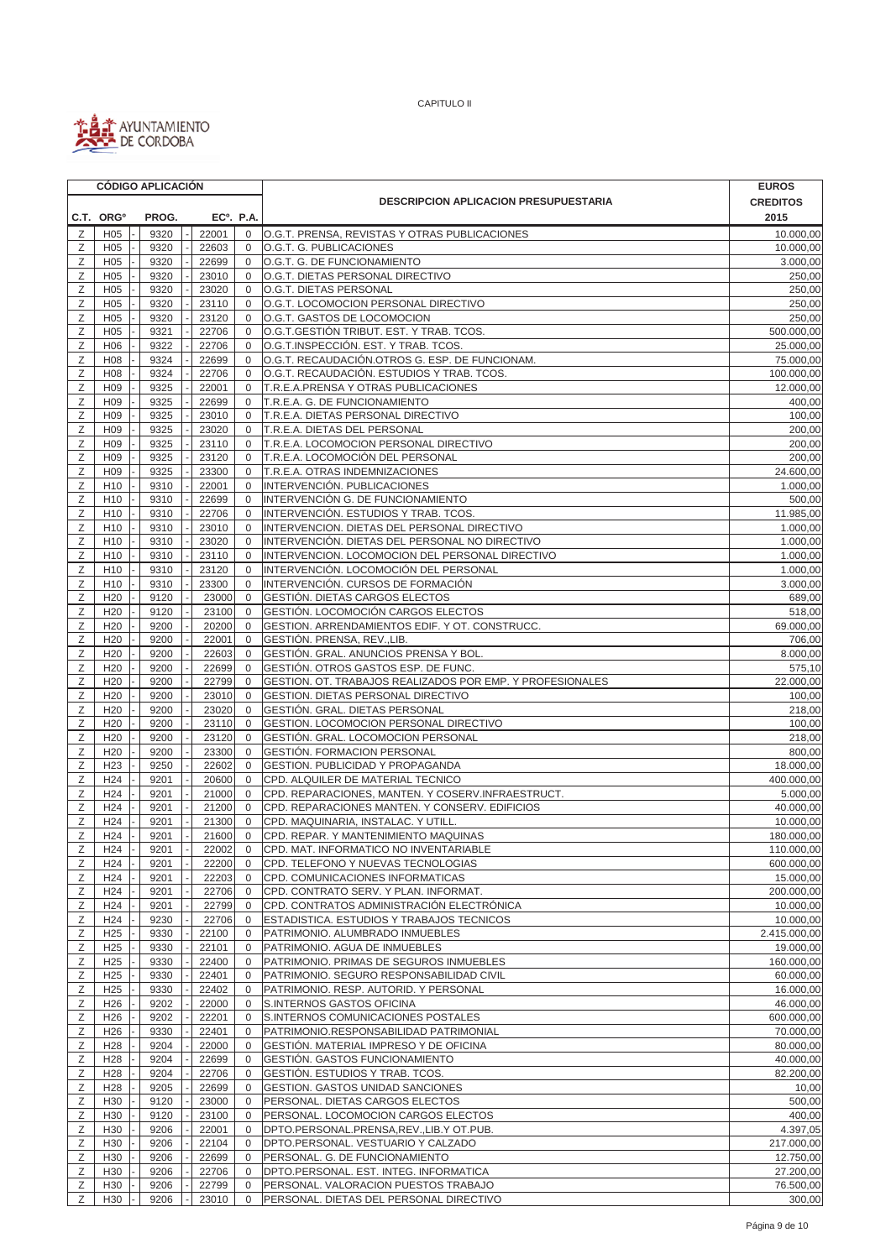

|        | <b>CÓDIGO APLICACIÓN</b>           |              |  |                |                             |                                                                                               | <b>EUROS</b>            |
|--------|------------------------------------|--------------|--|----------------|-----------------------------|-----------------------------------------------------------------------------------------------|-------------------------|
|        |                                    |              |  |                |                             | <b>DESCRIPCION APLICACION PRESUPUESTARIA</b>                                                  | <b>CREDITOS</b>         |
|        | C.T. ORG <sup>o</sup>              | PROG.        |  |                | EC <sup>o</sup> . P.A.      |                                                                                               | 2015                    |
| Ζ      | H <sub>05</sub>                    | 9320         |  | 22001          | $\mathbf 0$                 | O.G.T. PRENSA, REVISTAS Y OTRAS PUBLICACIONES                                                 | 10.000,00               |
| Z      | H <sub>05</sub>                    | 9320         |  | 22603          | $\mathbf 0$                 | O.G.T. G. PUBLICACIONES                                                                       | 10.000,00               |
| Ζ      | H <sub>05</sub>                    | 9320         |  | 22699          | $\mathbf 0$                 | O.G.T. G. DE FUNCIONAMIENTO                                                                   | 3.000,00                |
| Ζ      | H <sub>05</sub>                    | 9320         |  | 23010          | 0                           | O.G.T. DIETAS PERSONAL DIRECTIVO                                                              | 250,00                  |
| Z      | H <sub>05</sub>                    | 9320         |  | 23020          | $\mathbf{0}$                | O.G.T. DIETAS PERSONAL                                                                        | 250,00                  |
| Ζ      | H <sub>05</sub>                    | 9320         |  | 23110          | $\mathbf 0$                 | O.G.T. LOCOMOCION PERSONAL DIRECTIVO                                                          | 250,00                  |
| Ζ<br>Ζ | H <sub>05</sub><br>H <sub>05</sub> | 9320<br>9321 |  | 23120<br>22706 | $\mathbf 0$<br>$\mathbf{0}$ | O.G.T. GASTOS DE LOCOMOCION<br>O.G.T.GESTIÓN TRIBUT. EST. Y TRAB. TCOS.                       | 250,00<br>500.000,00    |
| Ζ      | H <sub>06</sub>                    | 9322         |  | 22706          | $\mathbf{0}$                | O.G.T.INSPECCIÓN. EST. Y TRAB. TCOS.                                                          | 25.000,00               |
| Ζ      | H08                                | 9324         |  | 22699          | 0                           | O.G.T. RECAUDACIÓN.OTROS G. ESP. DE FUNCIONAM.                                                | 75.000.00               |
| Ζ      | H <sub>08</sub>                    | 9324         |  | 22706          | 0                           | O.G.T. RECAUDACIÓN. ESTUDIOS Y TRAB. TCOS.                                                    | 100.000,00              |
| Ζ      | H <sub>09</sub>                    | 9325         |  | 22001          | $\mathbf 0$                 | T.R.E.A.PRENSA Y OTRAS PUBLICACIONES                                                          | 12.000,00               |
| Ζ      | H <sub>09</sub>                    | 9325         |  | 22699          | $\mathbf 0$                 | T.R.E.A. G. DE FUNCIONAMIENTO                                                                 | 400,00                  |
| Ζ      | H <sub>09</sub>                    | 9325         |  | 23010          | $\mathbf 0$                 | T.R.E.A. DIETAS PERSONAL DIRECTIVO                                                            | 100,00                  |
| Ζ      | H <sub>09</sub>                    | 9325         |  | 23020          | 0                           | T.R.E.A. DIETAS DEL PERSONAL                                                                  | 200,00                  |
| Z      | H <sub>09</sub>                    | 9325         |  | 23110          | $\mathbf 0$                 | T.R.E.A. LOCOMOCION PERSONAL DIRECTIVO                                                        | 200,00                  |
| Ζ      | H <sub>09</sub>                    | 9325         |  | 23120          | $\mathbf 0$                 | T.R.E.A. LOCOMOCIÓN DEL PERSONAL                                                              | 200,00                  |
| Ζ      | H <sub>09</sub>                    | 9325         |  | 23300          | $\mathbf 0$                 | T.R.E.A. OTRAS INDEMNIZACIONES                                                                | 24.600,00               |
| Ζ      | H <sub>10</sub>                    | 9310         |  | 22001          | $\mathbf 0$                 | INTERVENCIÓN. PUBLICACIONES                                                                   | 1.000,00                |
| Ζ      | H <sub>10</sub>                    | 9310         |  | 22699          | $\mathbf 0$                 | INTERVENCIÓN G. DE FUNCIONAMIENTO                                                             | 500,00                  |
| Ζ      | H <sub>10</sub>                    | 9310         |  | 22706          | $\mathbf 0$                 | INTERVENCIÓN. ESTUDIOS Y TRAB. TCOS.                                                          | 11.985,00               |
| Ζ      | H <sub>10</sub><br>H <sub>10</sub> | 9310         |  | 23010          | $\mathbf 0$<br>$\mathbf 0$  | INTERVENCION. DIETAS DEL PERSONAL DIRECTIVO<br>INTERVENCIÓN. DIETAS DEL PERSONAL NO DIRECTIVO | 1.000,00                |
| Ζ<br>Ζ | H <sub>10</sub>                    | 9310<br>9310 |  | 23020<br>23110 | 0                           | INTERVENCION. LOCOMOCION DEL PERSONAL DIRECTIVO                                               | 1.000,00<br>1.000,00    |
| Ζ      | H <sub>10</sub>                    | 9310         |  | 23120          | $\mathbf{0}$                | INTERVENCIÓN. LOCOMOCIÓN DEL PERSONAL                                                         | 1.000,00                |
| Ζ      | H <sub>10</sub>                    | 9310         |  | 23300          | $\mathbf 0$                 | INTERVENCIÓN, CURSOS DE FORMACIÓN                                                             | 3.000,00                |
| Ζ      | H <sub>20</sub>                    | 9120         |  | 23000          | $\mathbf 0$                 | GESTIÓN. DIETAS CARGOS ELECTOS                                                                | 689,00                  |
| Ζ      | H <sub>20</sub>                    | 9120         |  | 23100          | $\mathbf 0$                 | GESTIÓN. LOCOMOCIÓN CARGOS ELECTOS                                                            | 518,00                  |
| Ζ      | H <sub>20</sub>                    | 9200         |  | 20200          | $\mathbf 0$                 | GESTION. ARRENDAMIENTOS EDIF. Y OT. CONSTRUCC.                                                | 69.000,00               |
| Ζ      | H <sub>20</sub>                    | 9200         |  | 22001          | $\mathbf{0}$                | GESTIÓN. PRENSA, REV., LIB.                                                                   | 706,00                  |
| Ζ      | H <sub>20</sub>                    | 9200         |  | 22603          | $\mathbf 0$                 | GESTIÓN. GRAL. ANUNCIOS PRENSA Y BOL.                                                         | 8.000,00                |
| Ζ      | H <sub>20</sub>                    | 9200         |  | 22699          | $\mathbf 0$                 | GESTIÓN. OTROS GASTOS ESP. DE FUNC.                                                           | 575,10                  |
| Ζ      | H <sub>20</sub>                    | 9200         |  | 22799          | 0                           | GESTION. OT. TRABAJOS REALIZADOS POR EMP. Y PROFESIONALES                                     | 22.000,00               |
| Ζ      | H <sub>20</sub>                    | 9200         |  | 23010          | $\mathbf{0}$                | GESTION. DIETAS PERSONAL DIRECTIVO                                                            | 100,00                  |
| Ζ      | H <sub>20</sub>                    | 9200         |  | 23020          | $\mathbf 0$                 | GESTIÓN. GRAL. DIETAS PERSONAL                                                                | 218,00                  |
| Ζ      | H <sub>20</sub>                    | 9200         |  | 23110          | $\mathbf 0$                 | GESTION. LOCOMOCION PERSONAL DIRECTIVO                                                        | 100,00                  |
| Ζ      | H <sub>20</sub>                    | 9200         |  | 23120          | $\mathbf 0$                 | GESTIÓN. GRAL. LOCOMOCION PERSONAL                                                            | 218,00                  |
| Ζ      | H <sub>20</sub>                    | 9200         |  | 23300          | $\mathbf{0}$                | GESTIÓN. FORMACION PERSONAL                                                                   | 800,00                  |
| Ζ      | H <sub>23</sub>                    | 9250         |  | 22602          | $\mathbf{0}$                | GESTION. PUBLICIDAD Y PROPAGANDA                                                              | 18.000,00               |
| Ζ      | H <sub>24</sub>                    | 9201         |  | 20600          | 0                           | CPD. ALQUILER DE MATERIAL TECNICO                                                             | 400.000,00              |
| Ζ      | H <sub>24</sub>                    | 9201         |  | 21000          | $\mathbf 0$                 | CPD. REPARACIONES, MANTEN. Y COSERV.INFRAESTRUCT.                                             | 5.000,00                |
| Ζ      | H <sub>24</sub>                    | 9201         |  | 21200          | $\mathbf{0}$                | CPD. REPARACIONES MANTEN. Y CONSERV. EDIFICIOS                                                | 40.000,00               |
| Z<br>Ζ | H <sub>24</sub><br>H <sub>24</sub> | 9201<br>9201 |  | 21300<br>21600 | $\mathbf{0}$<br>$\mathbf 0$ | CPD. MAQUINARIA, INSTALAC. Y UTILL<br>CPD. REPAR. Y MANTENIMIENTO MAQUINAS                    | 10.000,00<br>180.000,00 |
| Ζ      | H24                                | 9201         |  | 22002          | $\mathbf 0$                 | CPD. MAT. INFORMATICO NO INVENTARIABLE                                                        | 110.000,00              |
| Ζ      | H <sub>24</sub>                    | 9201         |  | 22200          | $\mathbf 0$                 | CPD. TELEFONO Y NUEVAS TECNOLOGIAS                                                            | 600.000,00              |
| Ζ      | H <sub>24</sub>                    | 9201         |  | 22203          | $\mathbf 0$                 | CPD. COMUNICACIONES INFORMATICAS                                                              | 15.000,00               |
| Ζ      | H <sub>24</sub>                    | 9201         |  | 22706          | $\mathbf 0$                 | CPD. CONTRATO SERV. Y PLAN. INFORMAT.                                                         | 200.000,00              |
| Ζ      | H <sub>24</sub>                    | 9201         |  | 22799          | $\mathbf 0$                 | CPD. CONTRATOS ADMINISTRACIÓN ELECTRÓNICA                                                     | 10.000,00               |
| Ζ      | H <sub>24</sub>                    | 9230         |  | 22706          | $\mathbf 0$                 | ESTADISTICA. ESTUDIOS Y TRABAJOS TECNICOS                                                     | 10.000,00               |
| Ζ      | H <sub>25</sub>                    | 9330         |  | 22100          | $\mathbf 0$                 | PATRIMONIO. ALUMBRADO INMUEBLES                                                               | 2.415.000,00            |
| Ζ      | H <sub>25</sub>                    | 9330         |  | 22101          | $\mathbf 0$                 | PATRIMONIO. AGUA DE INMUEBLES                                                                 | 19.000,00               |
| Ζ      | H <sub>25</sub>                    | 9330         |  | 22400          | $\mathbf 0$                 | PATRIMONIO. PRIMAS DE SEGUROS INMUEBLES                                                       | 160.000,00              |
| Ζ      | H <sub>25</sub>                    | 9330         |  | 22401          | 0                           | PATRIMONIO. SEGURO RESPONSABILIDAD CIVIL                                                      | 60.000,00               |
| Ζ      | H <sub>25</sub>                    | 9330         |  | 22402          | $\mathbf 0$                 | PATRIMONIO. RESP. AUTORID. Y PERSONAL                                                         | 16.000,00               |
| Ζ      | H <sub>26</sub>                    | 9202         |  | 22000          | 0                           | S.INTERNOS GASTOS OFICINA                                                                     | 46.000,00               |
| Ζ      | H <sub>26</sub>                    | 9202         |  | 22201          | 0                           | S.INTERNOS COMUNICACIONES POSTALES                                                            | 600.000,00              |
| Ζ      | H <sub>26</sub>                    | 9330         |  | 22401          | 0                           | PATRIMONIO.RESPONSABILIDAD PATRIMONIAL                                                        | 70.000,00               |
| Ζ      | H <sub>28</sub>                    | 9204         |  | 22000          | 0                           | GESTIÓN. MATERIAL IMPRESO Y DE OFICINA                                                        | 80.000,00               |
| Ζ      | H <sub>28</sub>                    | 9204         |  | 22699          | 0                           | GESTIÓN. GASTOS FUNCIONAMIENTO                                                                | 40.000,00               |
| Ζ<br>Ζ | H <sub>28</sub><br>H <sub>28</sub> | 9204<br>9205 |  | 22706<br>22699 | 0<br>$\mathbf 0$            | GESTIÓN. ESTUDIOS Y TRAB. TCOS.<br>GESTION. GASTOS UNIDAD SANCIONES                           | 82.200,00<br>10,00      |
| Ζ      | H <sub>30</sub>                    | 9120         |  | 23000          | 0                           | PERSONAL. DIETAS CARGOS ELECTOS                                                               | 500,00                  |
| Ζ      | H <sub>30</sub>                    | 9120         |  | 23100          | 0                           | PERSONAL. LOCOMOCION CARGOS ELECTOS                                                           | 400,00                  |
| Ζ      | H <sub>30</sub>                    | 9206         |  | 22001          | $\mathbf 0$                 | DPTO.PERSONAL.PRENSA,REV.,LIB.Y OT.PUB.                                                       | 4.397,05                |
| Ζ      | H30                                | 9206         |  | 22104          | 0                           | DPTO.PERSONAL. VESTUARIO Y CALZADO                                                            | 217.000,00              |
| Ζ      | H <sub>30</sub>                    | 9206         |  | 22699          | 0                           | PERSONAL. G. DE FUNCIONAMIENTO                                                                | 12.750,00               |
| Ζ      | H30                                | 9206         |  | 22706          | 0                           | DPTO.PERSONAL. EST. INTEG. INFORMATICA                                                        | 27.200,00               |
| Ζ      | H <sub>30</sub>                    | 9206         |  | 22799          | $\mathbf 0$                 | PERSONAL. VALORACION PUESTOS TRABAJO                                                          | 76.500,00               |
| Ζ      | H30                                | 9206         |  | 23010          | 0                           | PERSONAL. DIETAS DEL PERSONAL DIRECTIVO                                                       | 300,00                  |